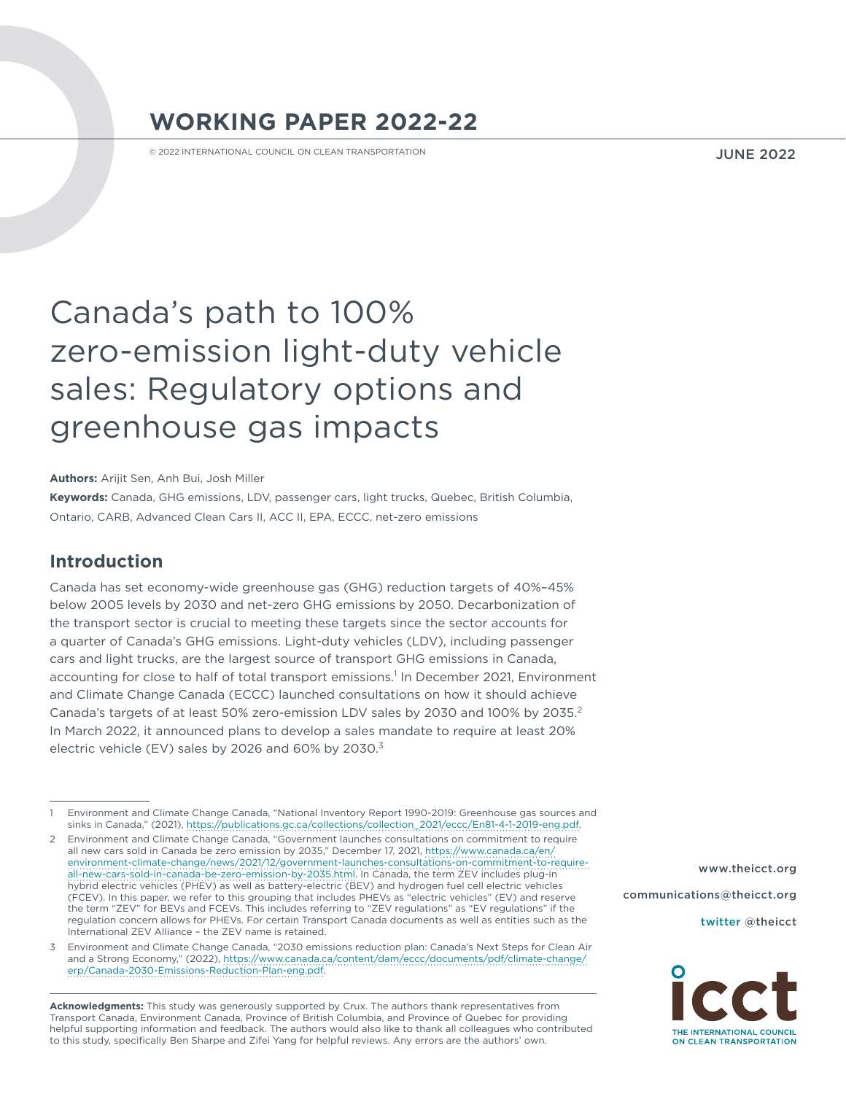# **WORKING PAPER 2022-22**

© 2022 INTERNATIONAL COUNCIL ON CLEAN TRANSPORTATION

JUNE 2022

# Canada's path to 100% zero-emission light-duty vehicle sales: Regulatory options and greenhouse gas impacts

**Authors:** Arijit Sen, Anh Bui, Josh Miller

**Keywords:** Canada, GHG emissions, LDV, passenger cars, light trucks, Quebec, British Columbia, Ontario, CARB, Advanced Clean Cars II, ACC II, EPA, ECCC, net-zero emissions

# **Introduction**

Canada has set economy-wide greenhouse gas (GHG) reduction targets of 40%–45% below 2005 levels by 2030 and net-zero GHG emissions by 2050. Decarbonization of the transport sector is crucial to meeting these targets since the sector accounts for a quarter of Canada's GHG emissions. Light-duty vehicles (LDV), including passenger cars and light trucks, are the largest source of transport GHG emissions in Canada, accounting for close to half of total transport emissions.<sup>1</sup> In December 2021, Environment and Climate Change Canada (ECCC) launched consultations on how it should achieve Canada's targets of at least 50% zero-emission LDV sales by 2030 and 100% by 2035.2 In March 2022, it announced plans to develop a sales mandate to require at least 20% electric vehicle (EV) sales by 2026 and 60% by 2030. $3$ 

**Acknowledgments:** This study was generously supported by Crux. The authors thank representatives from Transport Canada, Environment Canada, Province of British Columbia, and Province of Quebec for providing helpful supporting information and feedback. The authors would also like to thank all colleagues who contributed to this study, specifically Ben Sharpe and Zifei Yang for helpful reviews. Any errors are the authors' own.

[www.theicct.org](http://www.theicct.org)

[communications@theicct.org](mailto:communications%40theicct.org%20%20%20%20?subject=) 

[twitter @theicct](http://twitter.com/theicct)



<sup>1</sup> Environment and Climate Change Canada, "National Inventory Report 1990-2019: Greenhouse gas sources and sinks in Canada," (2021), https://publications.gc.ca/collections/collection\_2021/eccc/En81-4-1-2019-eng.pdf.

<sup>2</sup> Environment and Climate Change Canada, "Government launches consultations on commitment to require all new cars sold in Canada be zero emission by 2035," December 17, 2021, https://www.canada.ca/en/ environment-climate-change/news/2021/12/government-launches-consultations-on-commitment-to-requireall-new-cars-sold-in-canada-be-zero-emission-by-2035.html. In Canada, the term ZEV includes plug-in hybrid electric vehicles (PHEV) as well as battery-electric (BEV) and hydrogen fuel cell electric vehicles (FCEV). In this paper, we refer to this grouping that includes PHEVs as "electric vehicles" (EV) and reserve the term "ZEV" for BEVs and FCEVs. This includes referring to "ZEV regulations" as "EV regulations" if the regulation concern allows for PHEVs. For certain Transport Canada documents as well as entities such as the International ZEV Alliance – the ZEV name is retained.

<sup>3</sup> Environment and Climate Change Canada, "2030 emissions reduction plan: Canada's Next Steps for Clean Air and a Strong Economy," (2022), https://www.canada.ca/content/dam/eccc/documents/pdf/climate-change/ erp/Canada-2030-Emissions-Reduction-Plan-eng.pdf.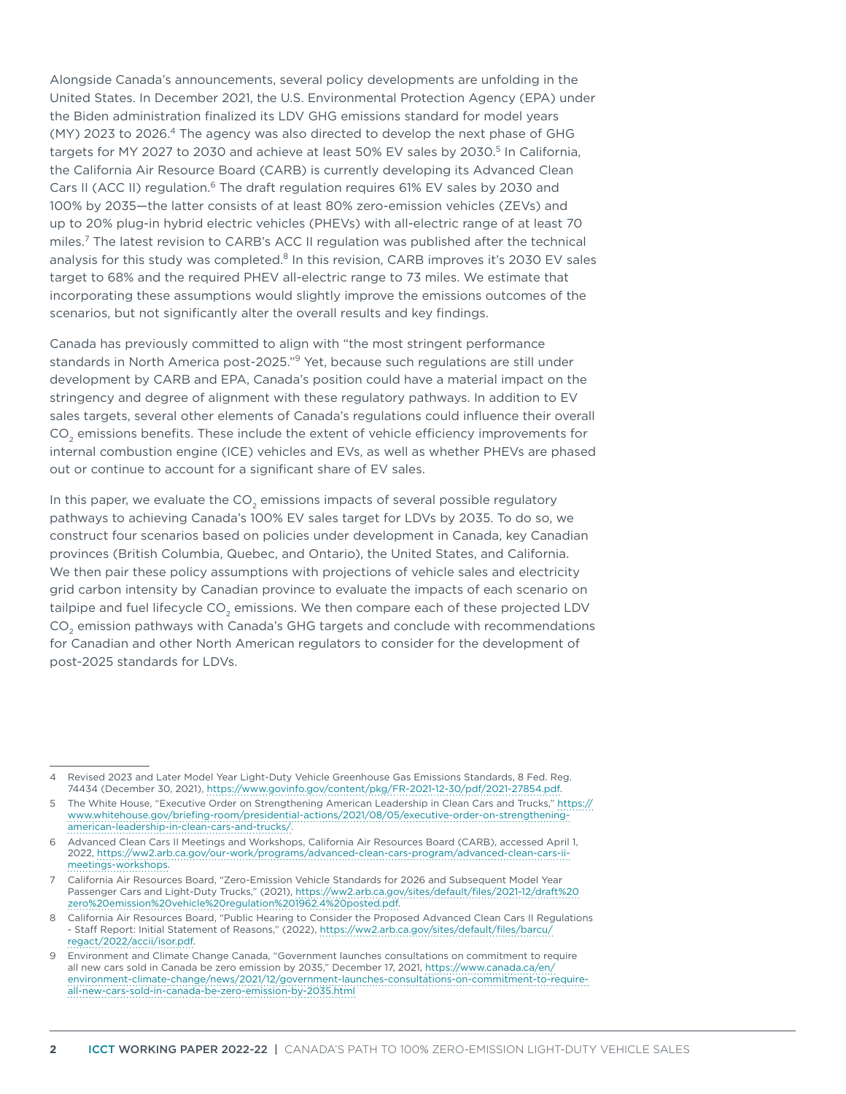Alongside Canada's announcements, several policy developments are unfolding in the United States. In December 2021, the U.S. Environmental Protection Agency (EPA) under the Biden administration finalized its LDV GHG emissions standard for model years (MY) 2023 to 2026.<sup>4</sup> The agency was also directed to develop the next phase of GHG targets for MY 2027 to 2030 and achieve at least 50% EV sales by 2030.<sup>5</sup> In California, the California Air Resource Board (CARB) is currently developing its Advanced Clean Cars II (ACC II) regulation.<sup>6</sup> The draft regulation requires 61% EV sales by 2030 and 100% by 2035—the latter consists of at least 80% zero-emission vehicles (ZEVs) and up to 20% plug-in hybrid electric vehicles (PHEVs) with all-electric range of at least 70 miles.7 The latest revision to CARB's ACC II regulation was published after the technical analysis for this study was completed.<sup>8</sup> In this revision, CARB improves it's 2030 EV sales target to 68% and the required PHEV all-electric range to 73 miles. We estimate that incorporating these assumptions would slightly improve the emissions outcomes of the scenarios, but not significantly alter the overall results and key findings.

Canada has previously committed to align with "the most stringent performance standards in North America post-2025."<sup>9</sup> Yet, because such regulations are still under development by CARB and EPA, Canada's position could have a material impact on the stringency and degree of alignment with these regulatory pathways. In addition to EV sales targets, several other elements of Canada's regulations could influence their overall CO<sub>2</sub> emissions benefits. These include the extent of vehicle efficiency improvements for internal combustion engine (ICE) vehicles and EVs, as well as whether PHEVs are phased out or continue to account for a significant share of EV sales.

In this paper, we evaluate the CO<sub>2</sub> emissions impacts of several possible regulatory pathways to achieving Canada's 100% EV sales target for LDVs by 2035. To do so, we construct four scenarios based on policies under development in Canada, key Canadian provinces (British Columbia, Quebec, and Ontario), the United States, and California. We then pair these policy assumptions with projections of vehicle sales and electricity grid carbon intensity by Canadian province to evaluate the impacts of each scenario on tailpipe and fuel lifecycle CO<sub>2</sub> emissions. We then compare each of these projected LDV CO2 emission pathways with Canada's GHG targets and conclude with recommendations for Canadian and other North American regulators to consider for the development of post-2025 standards for LDVs.

<sup>4</sup> Revised 2023 and Later Model Year Light-Duty Vehicle Greenhouse Gas Emissions Standards, 8 Fed. Reg. 74434 (December 30, 2021), https://www.govinfo.gov/content/pkg/FR-2021-12-30/pdf/2021-27854.pdf.

<sup>5</sup> The White House, "Executive Order on Strengthening American Leadership in Clean Cars and Trucks," https:// www.whitehouse.gov/briefing-room/presidential-actions/2021/08/05/executive-order-on-strengtheningamerican-leadership-in-clean-cars-and-trucks/.

<sup>6</sup> Advanced Clean Cars II Meetings and Workshops, California Air Resources Board (CARB), accessed April 1, 2022, https://ww2.arb.ca.gov/our-work/programs/advanced-clean-cars-program/advanced-clean-cars-iimeetings-workshops.

<sup>7</sup> California Air Resources Board, "Zero-Emission Vehicle Standards for 2026 and Subsequent Model Year Passenger Cars and Light-Duty Trucks," (2021), https://ww2.arb.ca.gov/sites/default/files/2021-12/draft%20 zero%20emission%20vehicle%20regulation%201962.4%20posted.pdf.

<sup>8</sup> California Air Resources Board, "Public Hearing to Consider the Proposed Advanced Clean Cars II Regulations - Staff Report: Initial Statement of Reasons," (2022), https://ww2.arb.ca.gov/sites/default/files/barcu/ regact/2022/accii/isor.pdf.

<sup>9</sup> Environment and Climate Change Canada, "Government launches consultations on commitment to require all new cars sold in Canada be zero emission by 2035," December 17, 2021, https://www.canada.ca/en/ environment-climate-change/news/2021/12/government-launches-consultations-on-commitment-to-requireall-new-cars-sold-in-canada-be-zero-emission-by-2035.html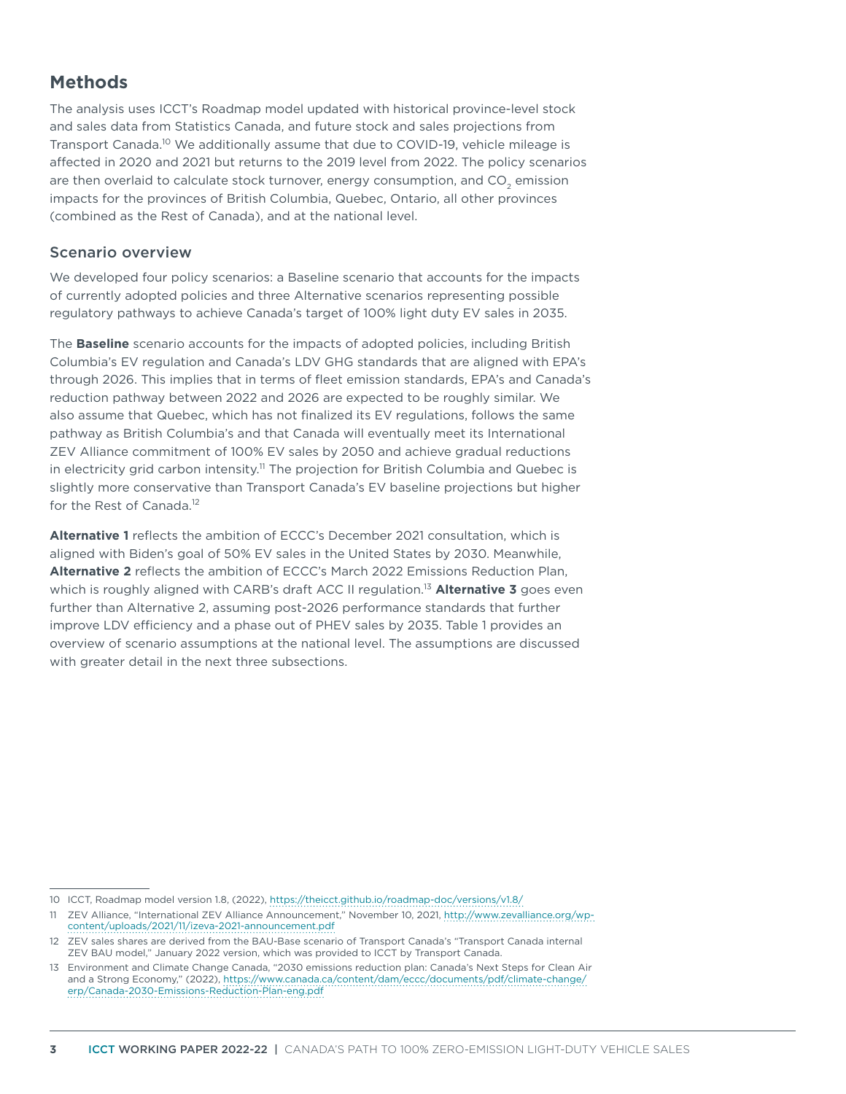# **Methods**

The analysis uses ICCT's Roadmap model updated with historical province-level stock and sales data from Statistics Canada, and future stock and sales projections from Transport Canada.<sup>10</sup> We additionally assume that due to COVID-19, vehicle mileage is affected in 2020 and 2021 but returns to the 2019 level from 2022. The policy scenarios are then overlaid to calculate stock turnover, energy consumption, and  $CO<sub>2</sub>$  emission impacts for the provinces of British Columbia, Quebec, Ontario, all other provinces (combined as the Rest of Canada), and at the national level.

#### Scenario overview

We developed four policy scenarios: a Baseline scenario that accounts for the impacts of currently adopted policies and three Alternative scenarios representing possible regulatory pathways to achieve Canada's target of 100% light duty EV sales in 2035.

The **Baseline** scenario accounts for the impacts of adopted policies, including British Columbia's EV regulation and Canada's LDV GHG standards that are aligned with EPA's through 2026. This implies that in terms of fleet emission standards, EPA's and Canada's reduction pathway between 2022 and 2026 are expected to be roughly similar. We also assume that Quebec, which has not finalized its EV regulations, follows the same pathway as British Columbia's and that Canada will eventually meet its International ZEV Alliance commitment of 100% EV sales by 2050 and achieve gradual reductions in electricity grid carbon intensity.<sup>11</sup> The projection for British Columbia and Quebec is slightly more conservative than Transport Canada's EV baseline projections but higher for the Rest of Canada.<sup>12</sup>

**Alternative 1** reflects the ambition of ECCC's December 2021 consultation, which is aligned with Biden's goal of 50% EV sales in the United States by 2030. Meanwhile, **Alternative 2** reflects the ambition of ECCC's March 2022 Emissions Reduction Plan, which is roughly aligned with CARB's draft ACC II regulation.13 **Alternative 3** goes even further than Alternative 2, assuming post-2026 performance standards that further improve LDV efficiency and a phase out of PHEV sales by 2035. Table 1 provides an overview of scenario assumptions at the national level. The assumptions are discussed with greater detail in the next three subsections.

<sup>10</sup> ICCT, Roadmap model version 1.8, (2022),<https://theicct.github.io/roadmap-doc/versions/v1.8/>

<sup>11</sup> ZEV Alliance, "International ZEV Alliance Announcement," November 10, 2021, http://www.zevalliance.org/wpcontent/uploads/2021/11/izeva-2021-announcement.pdf

<sup>12</sup> ZEV sales shares are derived from the BAU-Base scenario of Transport Canada's "Transport Canada internal ZEV BAU model," January 2022 version, which was provided to ICCT by Transport Canada.

<sup>13</sup> Environment and Climate Change Canada, "2030 emissions reduction plan: Canada's Next Steps for Clean Air and a Strong Economy," (2022), https://www.canada.ca/content/dam/eccc/documents/pdf/climate-change/ erp/Canada-2030-Emissions-Reduction-Plan-eng.pdf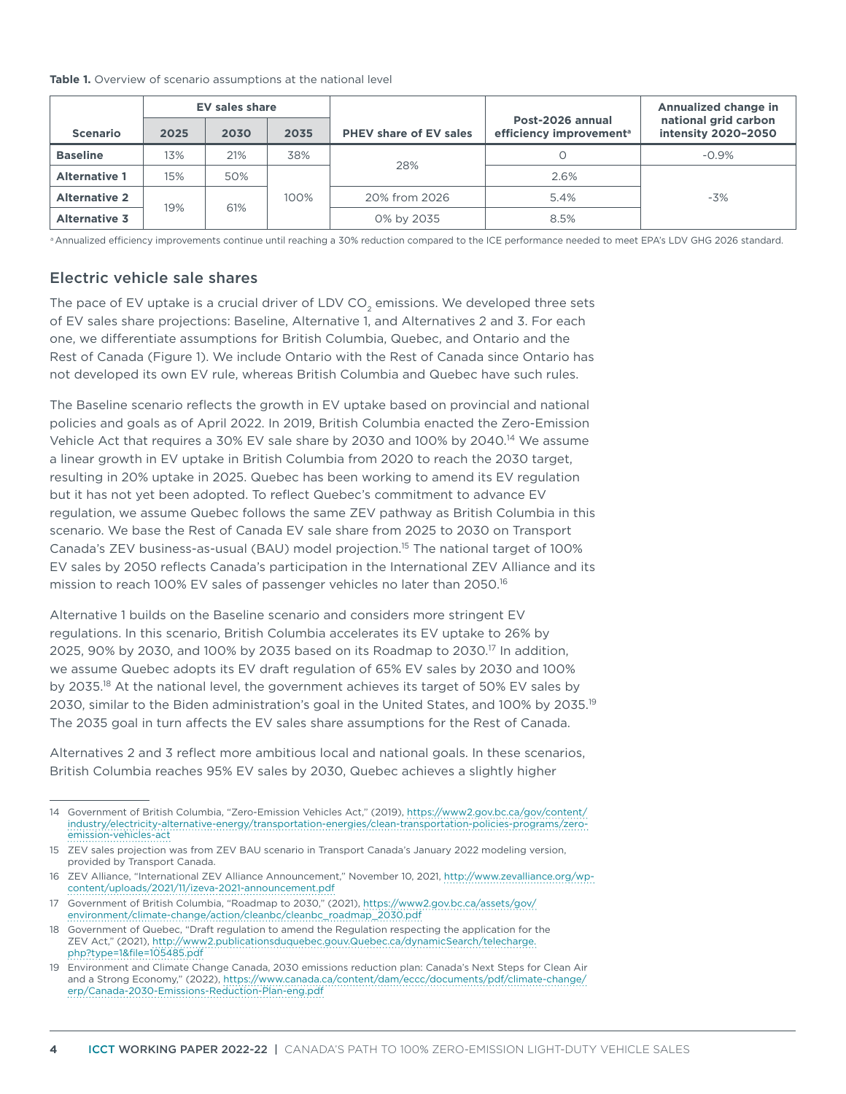#### **Table 1.** Overview of scenario assumptions at the national level

|                      |            | EV sales share |      |                               |                                                         | Annualized change in                        |  |
|----------------------|------------|----------------|------|-------------------------------|---------------------------------------------------------|---------------------------------------------|--|
| <b>Scenario</b>      | 2025       | 2030           | 2035 | <b>PHEV share of EV sales</b> | Post-2026 annual<br>efficiency improvement <sup>a</sup> | national grid carbon<br>intensity 2020-2050 |  |
| <b>Baseline</b>      | 13%        | 21%            | 38%  |                               |                                                         | $-0.9\%$                                    |  |
| <b>Alternative 1</b> | 15%        | 50%            |      | 28%                           | 2.6%                                                    |                                             |  |
| <b>Alternative 2</b> |            |                | 100% | 20% from 2026                 | 5.4%                                                    | $-3%$                                       |  |
| <b>Alternative 3</b> | 61%<br>19% |                |      | 0% by 2035                    | 8.5%                                                    |                                             |  |

a Annualized efficiency improvements continue until reaching a 30% reduction compared to the ICE performance needed to meet EPA's LDV GHG 2026 standard.

#### Electric vehicle sale shares

The pace of EV uptake is a crucial driver of LDV  $CO<sub>2</sub>$  emissions. We developed three sets of EV sales share projections: Baseline, Alternative 1, and Alternatives 2 and 3. For each one, we differentiate assumptions for British Columbia, Quebec, and Ontario and the Rest of Canada (Figure 1). We include Ontario with the Rest of Canada since Ontario has not developed its own EV rule, whereas British Columbia and Quebec have such rules.

The Baseline scenario reflects the growth in EV uptake based on provincial and national policies and goals as of April 2022. In 2019, British Columbia enacted the Zero-Emission Vehicle Act that requires a 30% EV sale share by 2030 and 100% by 2040.<sup>14</sup> We assume a linear growth in EV uptake in British Columbia from 2020 to reach the 2030 target, resulting in 20% uptake in 2025. Quebec has been working to amend its EV regulation but it has not yet been adopted. To reflect Quebec's commitment to advance EV regulation, we assume Quebec follows the same ZEV pathway as British Columbia in this scenario. We base the Rest of Canada EV sale share from 2025 to 2030 on Transport Canada's ZEV business-as-usual (BAU) model projection.15 The national target of 100% EV sales by 2050 reflects Canada's participation in the International ZEV Alliance and its mission to reach 100% EV sales of passenger vehicles no later than 2050.<sup>16</sup>

Alternative 1 builds on the Baseline scenario and considers more stringent EV regulations. In this scenario, British Columbia accelerates its EV uptake to 26% by 2025, 90% by 2030, and 100% by 2035 based on its Roadmap to 2030.<sup>17</sup> In addition, we assume Quebec adopts its EV draft regulation of 65% EV sales by 2030 and 100% by 2035.<sup>18</sup> At the national level, the government achieves its target of 50% EV sales by 2030, similar to the Biden administration's goal in the United States, and 100% by 2035.<sup>19</sup> The 2035 goal in turn affects the EV sales share assumptions for the Rest of Canada.

Alternatives 2 and 3 reflect more ambitious local and national goals. In these scenarios, British Columbia reaches 95% EV sales by 2030, Quebec achieves a slightly higher

<sup>14</sup> Government of British Columbia, "Zero-Emission Vehicles Act," (2019), https://www2.gov.bc.ca/gov/content/ industry/electricity-alternative-energy/transportation-energies/clean-transportation-policies-programs/zeroemission-vehicles-act

<sup>15</sup> ZEV sales projection was from ZEV BAU scenario in Transport Canada's January 2022 modeling version, provided by Transport Canada.

<sup>16</sup> ZEV Alliance, "International ZEV Alliance Announcement," November 10, 2021, http://www.zevalliance.org/wpcontent/uploads/2021/11/izeva-2021-announcement.pdf

<sup>17</sup> Government of British Columbia, "Roadmap to 2030," (2021), https://www2.gov.bc.ca/assets/gov/ environment/climate-change/action/cleanbc/cleanbc\_roadmap\_2030.pdf

<sup>18</sup> Government of Quebec, "Draft regulation to amend the Regulation respecting the application for the ZEV Act," (2021), http://www2.publicationsduquebec.gouv.Quebec.ca/dynamicSearch/telecharge. php?type=1&file=105485.pdf

<sup>19</sup> Environment and Climate Change Canada, 2030 emissions reduction plan: Canada's Next Steps for Clean Air and a Strong Economy," (2022), https://www.canada.ca/content/dam/eccc/documents/pdf/climate-change/ erp/Canada-2030-Emissions-Reduction-Plan-eng.pdf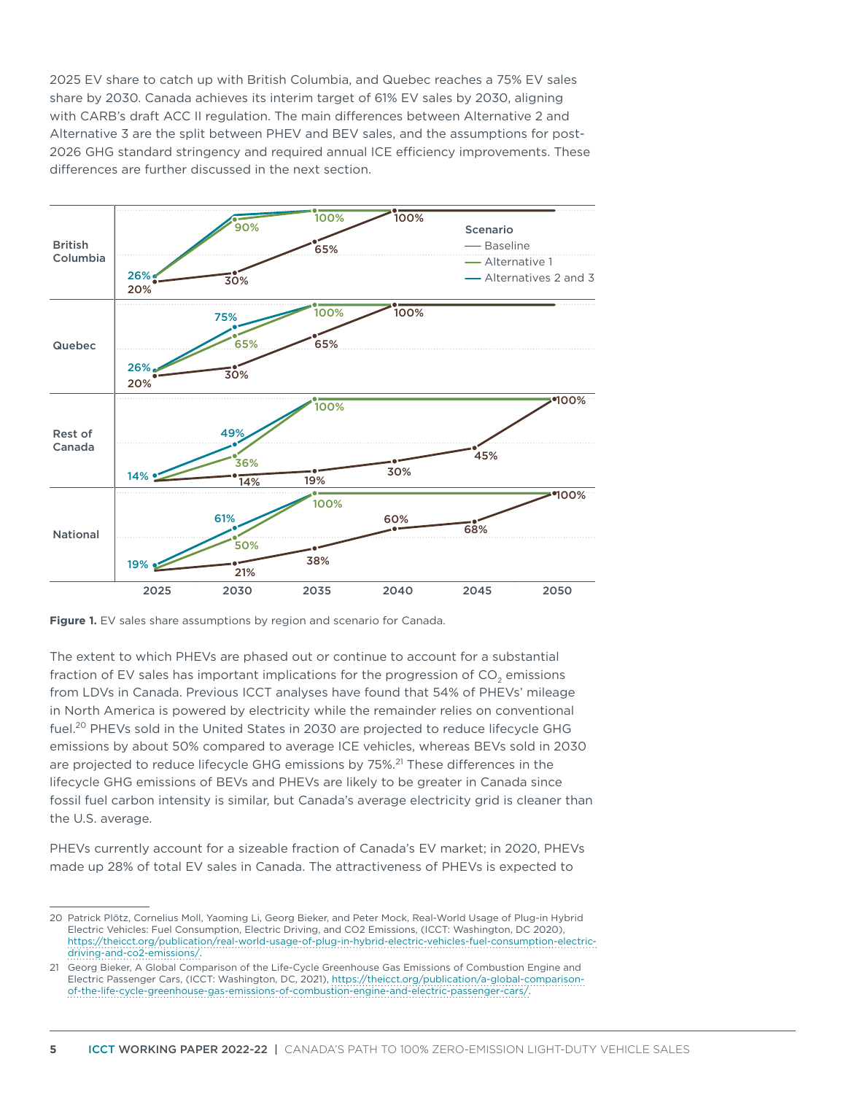2025 EV share to catch up with British Columbia, and Quebec reaches a 75% EV sales share by 2030. Canada achieves its interim target of 61% EV sales by 2030, aligning with CARB's draft ACC II regulation. The main differences between Alternative 2 and Alternative 3 are the split between PHEV and BEV sales, and the assumptions for post-2026 GHG standard stringency and required annual ICE efficiency improvements. These differences are further discussed in the next section.



**Figure 1.** EV sales share assumptions by region and scenario for Canada.

The extent to which PHEVs are phased out or continue to account for a substantial fraction of EV sales has important implications for the progression of  $CO<sub>2</sub>$  emissions from LDVs in Canada. Previous ICCT analyses have found that 54% of PHEVs' mileage in North America is powered by electricity while the remainder relies on conventional fuel.<sup>20</sup> PHEVs sold in the United States in 2030 are projected to reduce lifecycle GHG emissions by about 50% compared to average ICE vehicles, whereas BEVs sold in 2030 are projected to reduce lifecycle GHG emissions by 75%.<sup>21</sup> These differences in the lifecycle GHG emissions of BEVs and PHEVs are likely to be greater in Canada since fossil fuel carbon intensity is similar, but Canada's average electricity grid is cleaner than the U.S. average.

PHEVs currently account for a sizeable fraction of Canada's EV market; in 2020, PHEVs made up 28% of total EV sales in Canada. The attractiveness of PHEVs is expected to

<sup>20</sup> Patrick Plötz, Cornelius Moll, Yaoming Li, Georg Bieker, and Peter Mock, Real-World Usage of Plug-in Hybrid Electric Vehicles: Fuel Consumption, Electric Driving, and CO2 Emissions, (ICCT: Washington, DC 2020), [https://theicct.org/publication/real-world-usage-of-plug-in-hybrid-electric-vehicles-fuel-consumption-electric](https://theicct.org/publication/real-world-usage-of-plug-in-hybrid-electric-vehicles-fuel-consumption-electric-driving-and-co2-emissions/)[driving-and-co2-emissions/.](https://theicct.org/publication/real-world-usage-of-plug-in-hybrid-electric-vehicles-fuel-consumption-electric-driving-and-co2-emissions/)

<sup>21</sup> Georg Bieker, A Global Comparison of the Life-Cycle Greenhouse Gas Emissions of Combustion Engine and Electric Passenger Cars, (ICCT: Washington, DC, 2021), [https://theicct.org/publication/a-global-comparison](https://theicct.org/publication/a-global-comparison-of-the-life-cycle-greenhouse-gas-emissions-of-combustion-engine-and-electric-passenger-cars/)[of-the-life-cycle-greenhouse-gas-emissions-of-combustion-engine-and-electric-passenger-cars/.](https://theicct.org/publication/a-global-comparison-of-the-life-cycle-greenhouse-gas-emissions-of-combustion-engine-and-electric-passenger-cars/)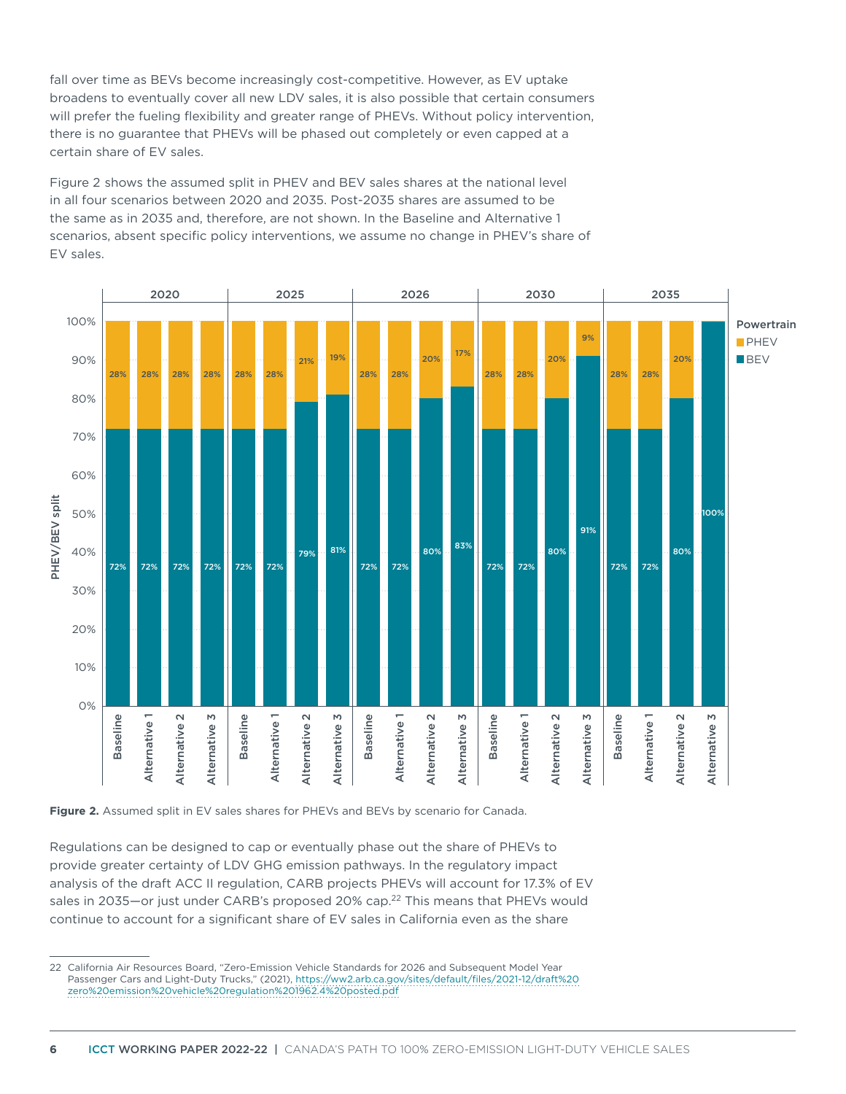fall over time as BEVs become increasingly cost-competitive. However, as EV uptake broadens to eventually cover all new LDV sales, it is also possible that certain consumers will prefer the fueling flexibility and greater range of PHEVs. Without policy intervention, there is no guarantee that PHEVs will be phased out completely or even capped at a certain share of EV sales.

Figure 2 shows the assumed split in PHEV and BEV sales shares at the national level in all four scenarios between 2020 and 2035. Post-2035 shares are assumed to be the same as in 2035 and, therefore, are not shown. In the Baseline and Alternative 1 scenarios, absent specific policy interventions, we assume no change in PHEV's share of EV sales.



Figure 2. Assumed split in EV sales shares for PHEVs and BEVs by scenario for Canada.

Regulations can be designed to cap or eventually phase out the share of PHEVs to provide greater certainty of LDV GHG emission pathways. In the regulatory impact analysis of the draft ACC II regulation, CARB projects PHEVs will account for 17.3% of EV sales in 2035—or just under CARB's proposed 20% cap.<sup>22</sup> This means that PHEVs would continue to account for a significant share of EV sales in California even as the share

<sup>22</sup> California Air Resources Board, "Zero-Emission Vehicle Standards for 2026 and Subsequent Model Year Passenger Cars and Light-Duty Trucks," (2021), https://ww2.arb.ca.gov/sites/default/files/2021-12/draft%20 zero%20emission%20vehicle%20regulation%201962.4%20posted.pdf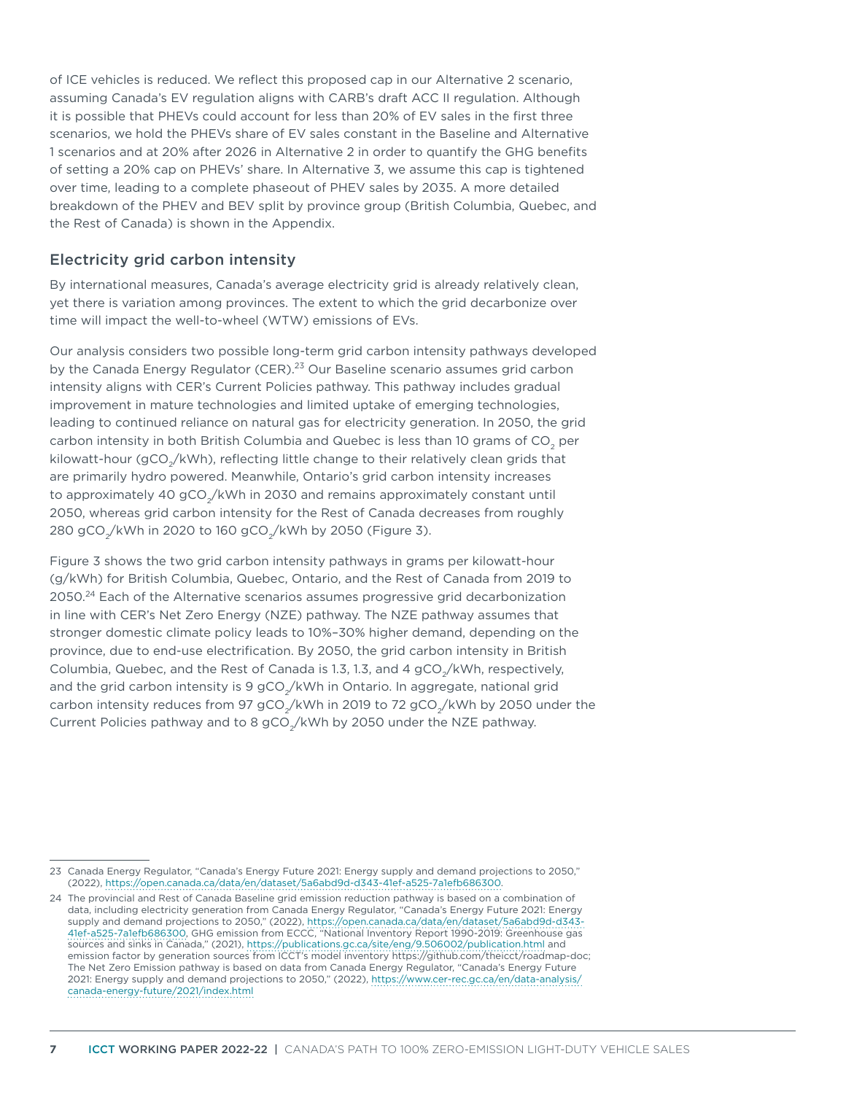of ICE vehicles is reduced. We reflect this proposed cap in our Alternative 2 scenario, assuming Canada's EV regulation aligns with CARB's draft ACC II regulation. Although it is possible that PHEVs could account for less than 20% of EV sales in the first three scenarios, we hold the PHEVs share of EV sales constant in the Baseline and Alternative 1 scenarios and at 20% after 2026 in Alternative 2 in order to quantify the GHG benefits of setting a 20% cap on PHEVs' share. In Alternative 3, we assume this cap is tightened over time, leading to a complete phaseout of PHEV sales by 2035. A more detailed breakdown of the PHEV and BEV split by province group (British Columbia, Quebec, and the Rest of Canada) is shown in the Appendix.

## Electricity grid carbon intensity

By international measures, Canada's average electricity grid is already relatively clean, yet there is variation among provinces. The extent to which the grid decarbonize over time will impact the well-to-wheel (WTW) emissions of EVs.

Our analysis considers two possible long-term grid carbon intensity pathways developed by the Canada Energy Regulator (CER).<sup>23</sup> Our Baseline scenario assumes grid carbon intensity aligns with CER's Current Policies pathway. This pathway includes gradual improvement in mature technologies and limited uptake of emerging technologies, leading to continued reliance on natural gas for electricity generation. In 2050, the grid carbon intensity in both British Columbia and Quebec is less than 10 grams of CO<sub>2</sub> per kilowatt-hour (gCO<sub>2</sub>/kWh), reflecting little change to their relatively clean grids that are primarily hydro powered. Meanwhile, Ontario's grid carbon intensity increases to approximately 40 gCO<sub>2</sub>/kWh in 2030 and remains approximately constant until 2050, whereas grid carbon intensity for the Rest of Canada decreases from roughly 280 gCO<sub>2</sub>/kWh in 2020 to 160 gCO<sub>2</sub>/kWh by 2050 (Figure 3).

Figure 3 shows the two grid carbon intensity pathways in grams per kilowatt-hour (g/kWh) for British Columbia, Quebec, Ontario, and the Rest of Canada from 2019 to 2050.<sup>24</sup> Each of the Alternative scenarios assumes progressive grid decarbonization in line with CER's Net Zero Energy (NZE) pathway. The NZE pathway assumes that stronger domestic climate policy leads to 10%–30% higher demand, depending on the province, due to end-use electrification. By 2050, the grid carbon intensity in British Columbia, Quebec, and the Rest of Canada is 1.3, 1.3, and 4  $gCO<sub>2</sub>/kWh$ , respectively, and the grid carbon intensity is  $9 \text{ gCO}_{1}/\text{kWh}$  in Ontario. In aggregate, national grid carbon intensity reduces from 97 gCO<sub>2</sub>/kWh in 2019 to 72 gCO<sub>2</sub>/kWh by 2050 under the Current Policies pathway and to 8 gCO<sub>2</sub>/kWh by 2050 under the NZE pathway.

<sup>23</sup> Canada Energy Regulator, "Canada's Energy Future 2021: Energy supply and demand projections to 2050," (2022), https://open.canada.ca/data/en/dataset/5a6abd9d-d343-41ef-a525-7a1efb686300.

<sup>24</sup> The provincial and Rest of Canada Baseline grid emission reduction pathway is based on a combination of data, including electricity generation from Canada Energy Regulator, "Canada's Energy Future 2021: Energy supply and demand projections to 2050," (2022), https://open.canada.ca/data/en/dataset/5a6abd9d-d343- 41ef-a525-7a1efb686300, GHG emission from ECCC, "National Inventory Report 1990-2019: Greenhouse gas sources and sinks in Canada," (2021), https://publications.gc.ca/site/eng/9.506002/publication.html and emission factor by generation sources from ICCT's model inventory https://github.com/theicct/roadmap-doc; The Net Zero Emission pathway is based on data from Canada Energy Regulator, "Canada's Energy Future [2021: Energy supply and de](https://publications.gc.ca/site/eng/9.506002/publication.html)mand projections to 2050," (2022), https://www.cer-rec.gc.ca/en/data-analysis/ canada-energy-future/2021/index.html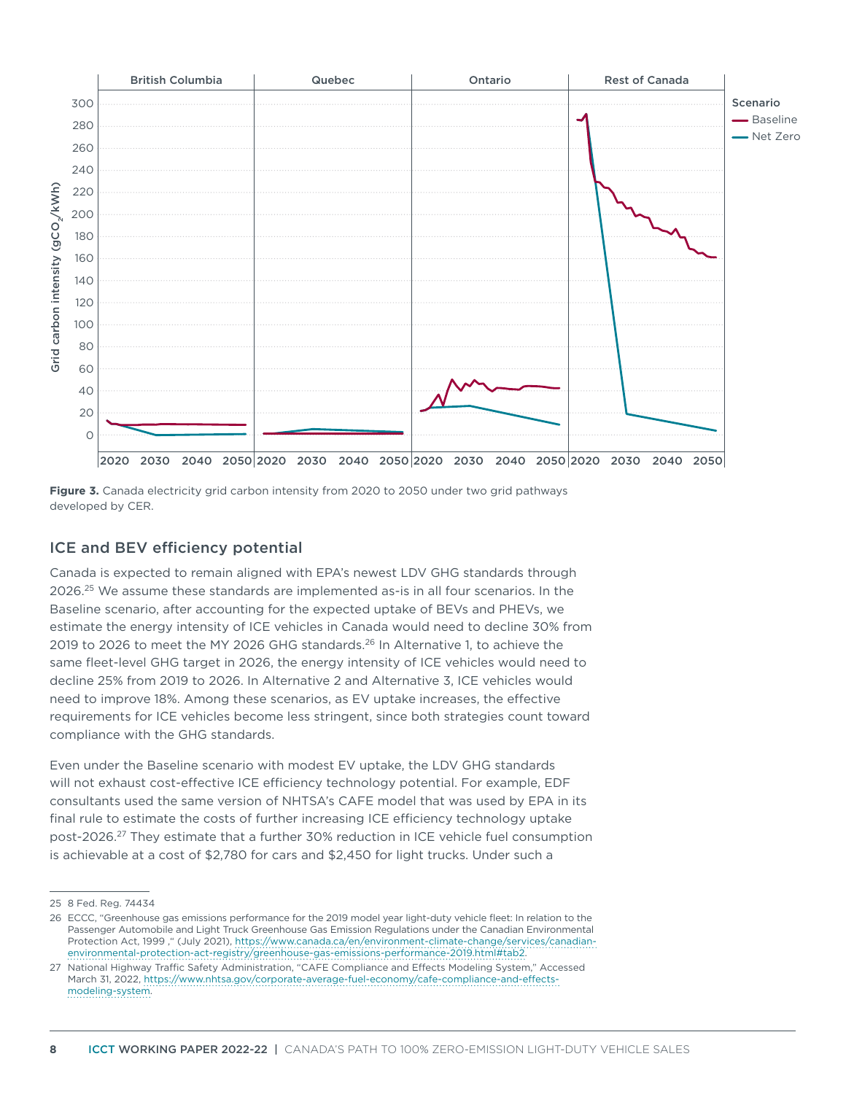



## ICE and BEV efficiency potential

Canada is expected to remain aligned with EPA's newest LDV GHG standards through 2026.<sup>25</sup> We assume these standards are implemented as-is in all four scenarios. In the Baseline scenario, after accounting for the expected uptake of BEVs and PHEVs, we estimate the energy intensity of ICE vehicles in Canada would need to decline 30% from 2019 to 2026 to meet the MY 2026 GHG standards.<sup>26</sup> In Alternative 1, to achieve the same fleet-level GHG target in 2026, the energy intensity of ICE vehicles would need to decline 25% from 2019 to 2026. In Alternative 2 and Alternative 3, ICE vehicles would need to improve 18%. Among these scenarios, as EV uptake increases, the effective requirements for ICE vehicles become less stringent, since both strategies count toward compliance with the GHG standards.

Even under the Baseline scenario with modest EV uptake, the LDV GHG standards will not exhaust cost-effective ICE efficiency technology potential. For example, EDF consultants used the same version of NHTSA's CAFE model that was used by EPA in its final rule to estimate the costs of further increasing ICE efficiency technology uptake post-2026.27 They estimate that a further 30% reduction in ICE vehicle fuel consumption is achievable at a cost of \$2,780 for cars and \$2,450 for light trucks. Under such a

<sup>25</sup> 8 Fed. Reg. 74434

<sup>26</sup> ECCC, "Greenhouse gas emissions performance for the 2019 model year light-duty vehicle fleet: In relation to the Passenger Automobile and Light Truck Greenhouse Gas Emission Regulations under the Canadian Environmental Protection Act, 1999 ," (July 2021), https://www.canada.ca/en/environment-climate-change/services/canadianenvironmental-protection-act-registry/greenhouse-gas-emissions-performance-2019.html#tab2.

<sup>27</sup> National Highway Traffic Safety Administration, "CAFE Compliance and Effects Modeling System," Accessed March 31, 2022, https://www.nhtsa.gov/corporate-average-fuel-economy/cafe-compliance-and-effectsmodeling-system.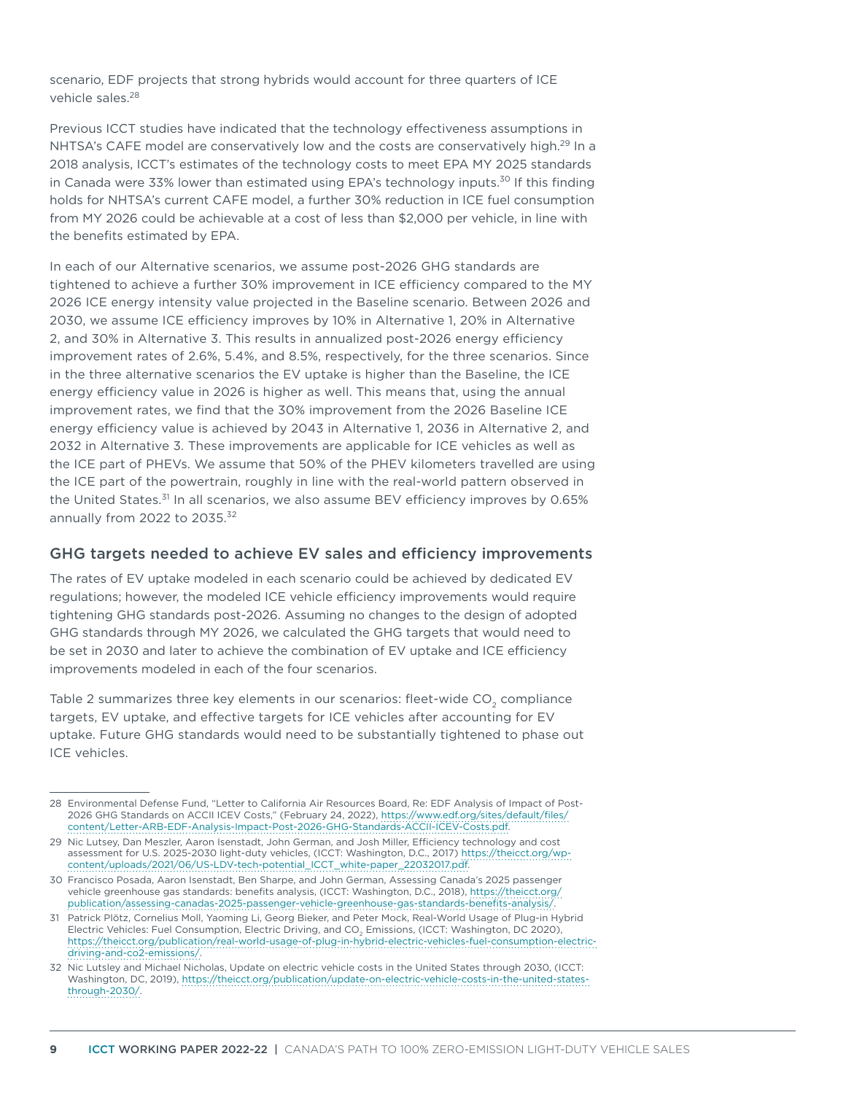scenario, EDF projects that strong hybrids would account for three quarters of ICE vehicle sales.<sup>28</sup>

Previous ICCT studies have indicated that the technology effectiveness assumptions in NHTSA's CAFE model are conservatively low and the costs are conservatively high.<sup>29</sup> In a 2018 analysis, ICCT's estimates of the technology costs to meet EPA MY 2025 standards in Canada were 33% lower than estimated using EPA's technology inputs.<sup>30</sup> If this finding holds for NHTSA's current CAFE model, a further 30% reduction in ICE fuel consumption from MY 2026 could be achievable at a cost of less than \$2,000 per vehicle, in line with the benefits estimated by EPA.

In each of our Alternative scenarios, we assume post-2026 GHG standards are tightened to achieve a further 30% improvement in ICE efficiency compared to the MY 2026 ICE energy intensity value projected in the Baseline scenario. Between 2026 and 2030, we assume ICE efficiency improves by 10% in Alternative 1, 20% in Alternative 2, and 30% in Alternative 3. This results in annualized post-2026 energy efficiency improvement rates of 2.6%, 5.4%, and 8.5%, respectively, for the three scenarios. Since in the three alternative scenarios the EV uptake is higher than the Baseline, the ICE energy efficiency value in 2026 is higher as well. This means that, using the annual improvement rates, we find that the 30% improvement from the 2026 Baseline ICE energy efficiency value is achieved by 2043 in Alternative 1, 2036 in Alternative 2, and 2032 in Alternative 3. These improvements are applicable for ICE vehicles as well as the ICE part of PHEVs. We assume that 50% of the PHEV kilometers travelled are using the ICE part of the powertrain, roughly in line with the real-world pattern observed in the United States.<sup>31</sup> In all scenarios, we also assume BEV efficiency improves by 0.65% annually from 2022 to 2035.<sup>32</sup>

#### GHG targets needed to achieve EV sales and efficiency improvements

The rates of EV uptake modeled in each scenario could be achieved by dedicated EV regulations; however, the modeled ICE vehicle efficiency improvements would require tightening GHG standards post-2026. Assuming no changes to the design of adopted GHG standards through MY 2026, we calculated the GHG targets that would need to be set in 2030 and later to achieve the combination of EV uptake and ICE efficiency improvements modeled in each of the four scenarios.

Table 2 summarizes three key elements in our scenarios: fleet-wide  $CO<sub>2</sub>$  compliance targets, EV uptake, and effective targets for ICE vehicles after accounting for EV uptake. Future GHG standards would need to be substantially tightened to phase out ICE vehicles.

<sup>28</sup> Environmental Defense Fund, "Letter to California Air Resources Board, Re: EDF Analysis of Impact of Post-2026 GHG Standards on ACCII ICEV Costs," (February 24, 2022), https://www.edf.org/sites/default/files/ content/Letter-ARB-EDF-Analysis-Impact-Post-2026-GHG-Standards-ACCII-ICEV-Costs.pdf.

<sup>29</sup> Nic Lutsey, Dan Meszler, Aaron Isenstadt, John German, and Josh Miller, Efficiency technology and cost assessment for U.S. 2025-2030 light-duty vehicles, (ICCT: Washington, D.C., 2017) https://theicct.org/wpcontent/uploads/2021/06/US-LDV-tech-potential\_ICCT\_white-paper\_22032017.pdf.

<sup>30</sup> Francisco Posada, Aaron Isenstadt, Ben Sharpe, and John German, Assessing Canada's 2025 passenger vehicle greenhouse gas standards: benefits analysis, (ICCT: Washington, D.C., 2018), https://theicct.org/ publication/assessing-canadas-2025-passenger-vehicle-greenhouse-gas-standards-benefits-analysis/.

<sup>31</sup> Patrick Plötz, Cornelius Moll, Yaoming Li, Georg Bieker, and Peter Mock, Real-World Usage of Plug-in Hybrid Electric Vehicles: Fuel Consumption, Electric Driving, and CO<sub>2</sub> Emissions, (ICCT: Washington, DC 2020), https://theicct.org/publication/real-world-usage-of-plug-in-hybrid-electric-vehicles-fuel-consumption-electricdriving-and-co2-emissions/.

<sup>32</sup> [Nic Lutsley and Michael Nicholas, Update on electric vehicle costs in the United Sta](https://theicct.org/publication/real-world-usage-of-plug-in-hybrid-electric-vehicles-fuel-consumption-electric-driving-and-co2-emissions/)tes through 2030, (ICCT: Washington, DC, 2019), https://theicct.org/publication/update-on-electric-vehicle-costs-in-the-united-statesthrough-2030/.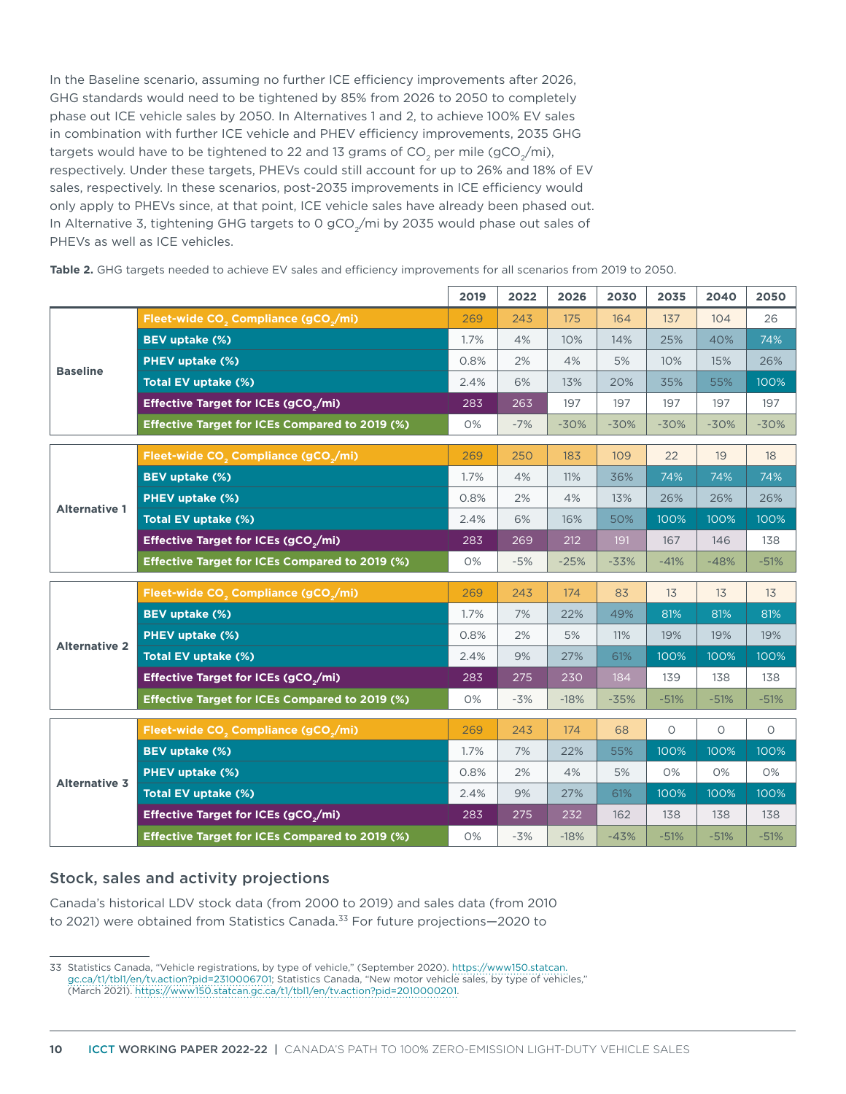In the Baseline scenario, assuming no further ICE efficiency improvements after 2026, GHG standards would need to be tightened by 85% from 2026 to 2050 to completely phase out ICE vehicle sales by 2050. In Alternatives 1 and 2, to achieve 100% EV sales in combination with further ICE vehicle and PHEV efficiency improvements, 2035 GHG targets would have to be tightened to 22 and 13 grams of  $CO<sub>2</sub>$  per mile (gCO<sub>2</sub>/mi), respectively. Under these targets, PHEVs could still account for up to 26% and 18% of EV sales, respectively. In these scenarios, post-2035 improvements in ICE efficiency would only apply to PHEVs since, at that point, ICE vehicle sales have already been phased out. In Alternative 3, tightening GHG targets to 0 gCO<sub>2</sub>/mi by 2035 would phase out sales of PHEVs as well as ICE vehicles.

Table 2. GHG targets needed to achieve EV sales and efficiency improvements for all scenarios from 2019 to 2050.

|                      |                                                              | 2019 | 2022  | 2026   | 2030   | 2035    | 2040    | 2050    |
|----------------------|--------------------------------------------------------------|------|-------|--------|--------|---------|---------|---------|
|                      | Fleet-wide CO <sub>2</sub> Compliance (gCO <sub>2</sub> /mi) | 269  | 243   | 175    | 164    | 137     | 104     | 26      |
|                      | BEV uptake (%)                                               | 1.7% | 4%    | 10%    | 14%    | 25%     | 40%     | 74%     |
| <b>Baseline</b>      | PHEV uptake (%)                                              | 0.8% | 2%    | 4%     | 5%     | 10%     | 15%     | 26%     |
|                      | Total EV uptake (%)                                          | 2.4% | 6%    | 13%    | 20%    | 35%     | 55%     | 100%    |
|                      | Effective Target for ICEs (gCO <sub>2</sub> /mi)             | 283  | 263   | 197    | 197    | 197     | 197     | 197     |
|                      | Effective Target for ICEs Compared to 2019 (%)               | 0%   | $-7%$ | $-30%$ | $-30%$ | $-30%$  | $-30%$  | $-30%$  |
|                      | Fleet-wide CO <sub>2</sub> Compliance (gCO <sub>2</sub> /mi) | 269  | 250   | 183    | 109    | 22      | 19      | 18      |
|                      | BEV uptake (%)                                               | 1.7% | 4%    | 11%    | 36%    | 74%     | 74%     | 74%     |
|                      | <b>PHEV uptake (%)</b>                                       | 0.8% | 2%    | 4%     | 13%    | 26%     | 26%     | 26%     |
| <b>Alternative 1</b> | Total EV uptake (%)                                          | 2.4% | 6%    | 16%    | 50%    | 100%    | 100%    | 100%    |
|                      | Effective Target for ICEs (gCO <sub>2</sub> /mi)             | 283  | 269   | 212    | 191    | 167     | 146     | 138     |
|                      | Effective Target for ICEs Compared to 2019 (%)               | 0%   | $-5%$ | $-25%$ | $-33%$ | $-41%$  | $-48%$  | $-51%$  |
|                      |                                                              |      |       |        |        |         |         |         |
|                      | Fleet-wide CO <sub>2</sub> Compliance (gCO <sub>2</sub> /mi) | 269  | 243   | 174    | 83     | 13      | 13      | 13      |
|                      | BEV uptake (%)                                               | 1.7% | 7%    | 22%    | 49%    | 81%     | 81%     | 81%     |
| <b>Alternative 2</b> | PHEV uptake (%)                                              | 0.8% | 2%    | 5%     | 11%    | 19%     | 19%     | 19%     |
|                      | Total EV uptake (%)                                          | 2.4% | 9%    | 27%    | 61%    | 100%    | 100%    | 100%    |
|                      | Effective Target for ICEs (gCO <sub>2</sub> /mi)             | 283  | 275   | 230    | 184    | 139     | 138     | 138     |
|                      | Effective Target for ICEs Compared to 2019 (%)               | 0%   | $-3%$ | $-18%$ | $-35%$ | $-51%$  | $-51%$  | $-51%$  |
|                      | Fleet-wide CO <sub>2</sub> Compliance (gCO <sub>2</sub> /mi) | 269  | 243   | 174    | 68     | $\circ$ | $\circ$ | $\circ$ |
|                      | BEV uptake (%)                                               | 1.7% | 7%    | 22%    | 55%    | 100%    | 100%    | 100%    |
|                      | PHEV uptake (%)                                              | 0.8% | 2%    | 4%     | 5%     | 0%      | 0%      | 0%      |
| <b>Alternative 3</b> | Total EV uptake (%)                                          | 2.4% | 9%    | 27%    | 61%    | 100%    | 100%    | 100%    |
|                      | Effective Target for ICEs (gCO <sub>2</sub> /mi)             | 283  | 275   | 232    | 162    | 138     | 138     | 138     |
|                      | Effective Target for ICEs Compared to 2019 (%)               | 0%   | $-3%$ | $-18%$ | $-43%$ | $-51%$  | $-51%$  | $-51%$  |

#### Stock, sales and activity projections

Canada's historical LDV stock data (from 2000 to 2019) and sales data (from 2010 to 2021) were obtained from Statistics Canada.<sup>33</sup> For future projections-2020 to

<sup>33</sup> Statistics Canada, "Vehicle registrations, by type of vehicle," (September 2020). https://www150.statcan. gc.ca/t1/tbl1/en/tv.action?pid=2310006701; Statistics Canada, "New motor vehicle sales, by type of vehicles," (March 2021). https://www150.statcan.gc.ca/t1/tbl1/en/tv.action?pid=2010000201.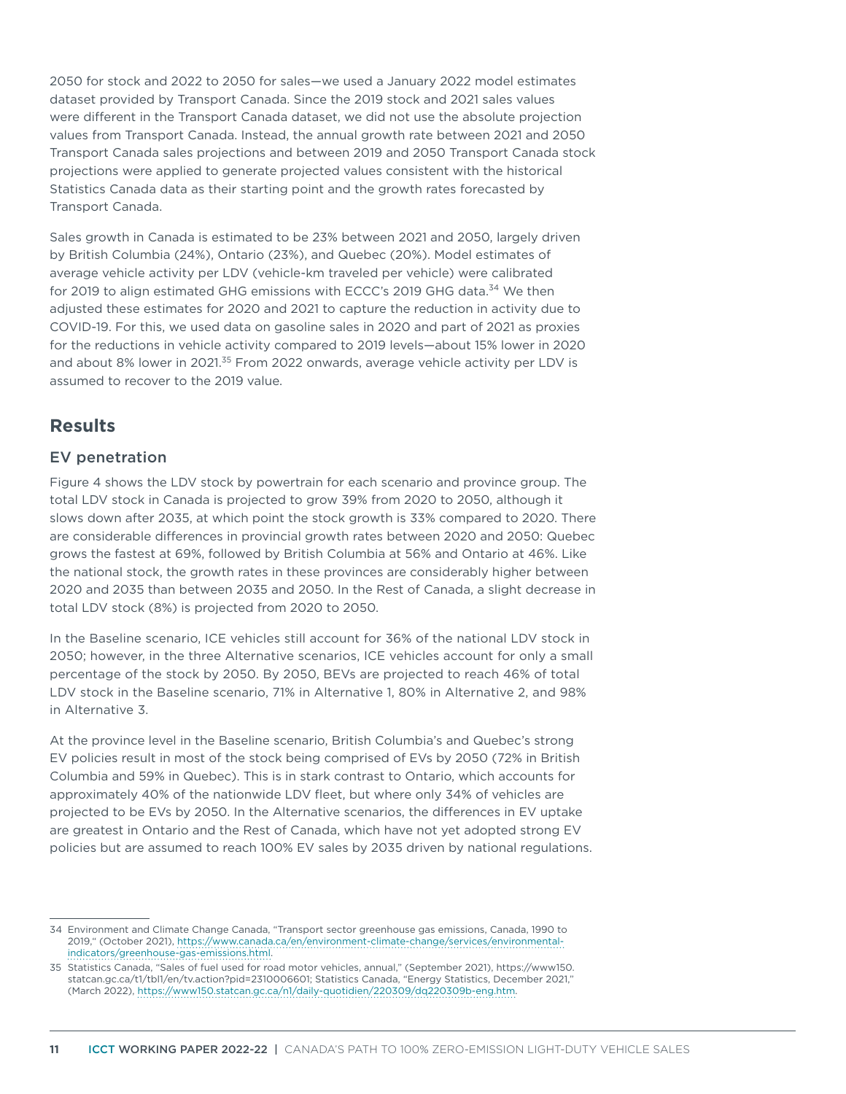2050 for stock and 2022 to 2050 for sales—we used a January 2022 model estimates dataset provided by Transport Canada. Since the 2019 stock and 2021 sales values were different in the Transport Canada dataset, we did not use the absolute projection values from Transport Canada. Instead, the annual growth rate between 2021 and 2050 Transport Canada sales projections and between 2019 and 2050 Transport Canada stock projections were applied to generate projected values consistent with the historical Statistics Canada data as their starting point and the growth rates forecasted by Transport Canada.

Sales growth in Canada is estimated to be 23% between 2021 and 2050, largely driven by British Columbia (24%), Ontario (23%), and Quebec (20%). Model estimates of average vehicle activity per LDV (vehicle-km traveled per vehicle) were calibrated for 2019 to align estimated GHG emissions with ECCC's 2019 GHG data.<sup>34</sup> We then adjusted these estimates for 2020 and 2021 to capture the reduction in activity due to COVID-19. For this, we used data on gasoline sales in 2020 and part of 2021 as proxies for the reductions in vehicle activity compared to 2019 levels—about 15% lower in 2020 and about 8% lower in 2021.<sup>35</sup> From 2022 onwards, average vehicle activity per LDV is assumed to recover to the 2019 value.

# **Results**

### EV penetration

Figure 4 shows the LDV stock by powertrain for each scenario and province group. The total LDV stock in Canada is projected to grow 39% from 2020 to 2050, although it slows down after 2035, at which point the stock growth is 33% compared to 2020. There are considerable differences in provincial growth rates between 2020 and 2050: Quebec grows the fastest at 69%, followed by British Columbia at 56% and Ontario at 46%. Like the national stock, the growth rates in these provinces are considerably higher between 2020 and 2035 than between 2035 and 2050. In the Rest of Canada, a slight decrease in total LDV stock (8%) is projected from 2020 to 2050.

In the Baseline scenario, ICE vehicles still account for 36% of the national LDV stock in 2050; however, in the three Alternative scenarios, ICE vehicles account for only a small percentage of the stock by 2050. By 2050, BEVs are projected to reach 46% of total LDV stock in the Baseline scenario, 71% in Alternative 1, 80% in Alternative 2, and 98% in Alternative 3.

At the province level in the Baseline scenario, British Columbia's and Quebec's strong EV policies result in most of the stock being comprised of EVs by 2050 (72% in British Columbia and 59% in Quebec). This is in stark contrast to Ontario, which accounts for approximately 40% of the nationwide LDV fleet, but where only 34% of vehicles are projected to be EVs by 2050. In the Alternative scenarios, the differences in EV uptake are greatest in Ontario and the Rest of Canada, which have not yet adopted strong EV policies but are assumed to reach 100% EV sales by 2035 driven by national regulations.

<sup>34</sup> Environment and Climate Change Canada, "Transport sector greenhouse gas emissions, Canada, 1990 to 2019," (October 2021), https://www.canada.ca/en/environment-climate-change/services/environmentalindicators/greenhouse-gas-emissions.html.

<sup>35</sup> Statistics Canada, "Sales of fuel used for road motor vehicles, annual," (September 2021), https://www150. statcan.gc.ca/t1/tbl1/en/tv.action?pid=2310006601; Statistics Canada, "Energy Statistics, December 2021," (March 2022), https://www150.statcan.gc.ca/n1/daily-quotidien/220309/dq220309b-eng.htm.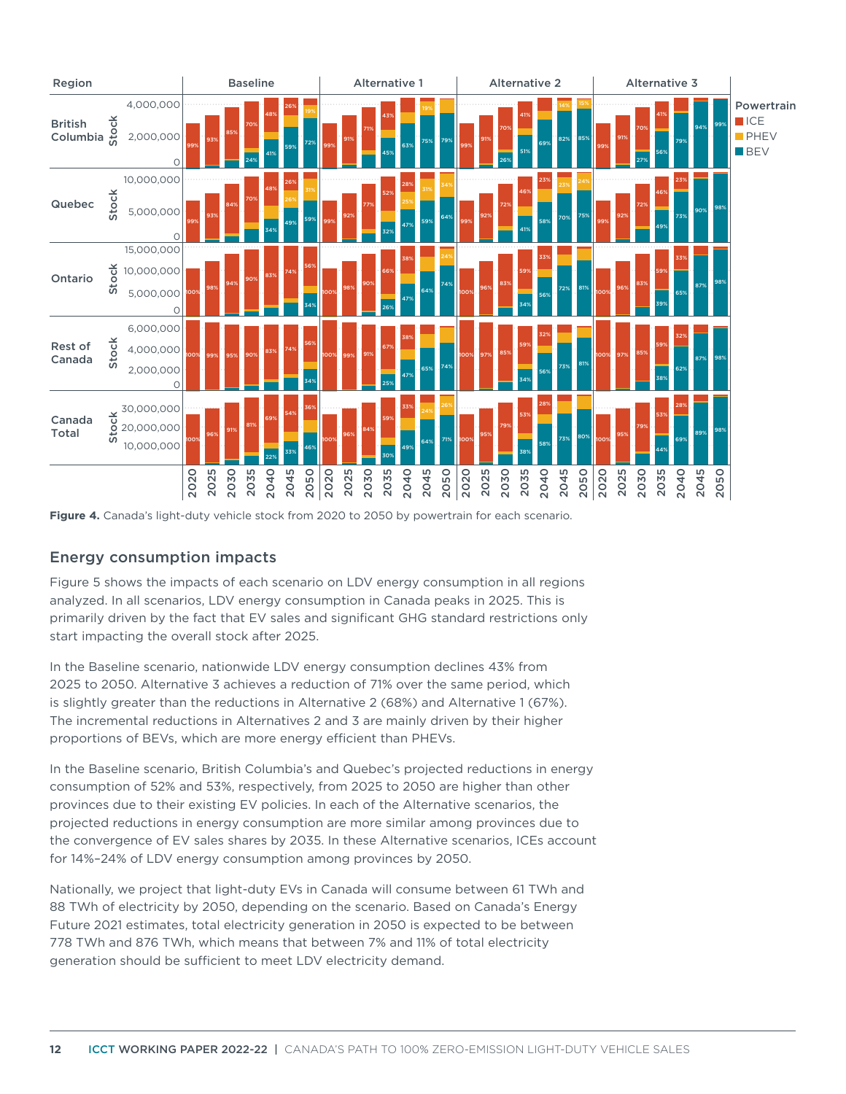

**Figure 4.** Canada's light-duty vehicle stock from 2020 to 2050 by powertrain for each scenario.

## Energy consumption impacts

Figure 5 shows the impacts of each scenario on LDV energy consumption in all regions analyzed. In all scenarios, LDV energy consumption in Canada peaks in 2025. This is primarily driven by the fact that EV sales and significant GHG standard restrictions only start impacting the overall stock after 2025.

In the Baseline scenario, nationwide LDV energy consumption declines 43% from 2025 to 2050. Alternative 3 achieves a reduction of 71% over the same period, which is slightly greater than the reductions in Alternative 2 (68%) and Alternative 1 (67%). The incremental reductions in Alternatives 2 and 3 are mainly driven by their higher proportions of BEVs, which are more energy efficient than PHEVs.

In the Baseline scenario, British Columbia's and Quebec's projected reductions in energy consumption of 52% and 53%, respectively, from 2025 to 2050 are higher than other provinces due to their existing EV policies. In each of the Alternative scenarios, the projected reductions in energy consumption are more similar among provinces due to the convergence of EV sales shares by 2035. In these Alternative scenarios, ICEs account for 14%–24% of LDV energy consumption among provinces by 2050.

Nationally, we project that light-duty EVs in Canada will consume between 61 TWh and 88 TWh of electricity by 2050, depending on the scenario. Based on Canada's Energy Future 2021 estimates, total electricity generation in 2050 is expected to be between 778 TWh and 876 TWh, which means that between 7% and 11% of total electricity generation should be sufficient to meet LDV electricity demand.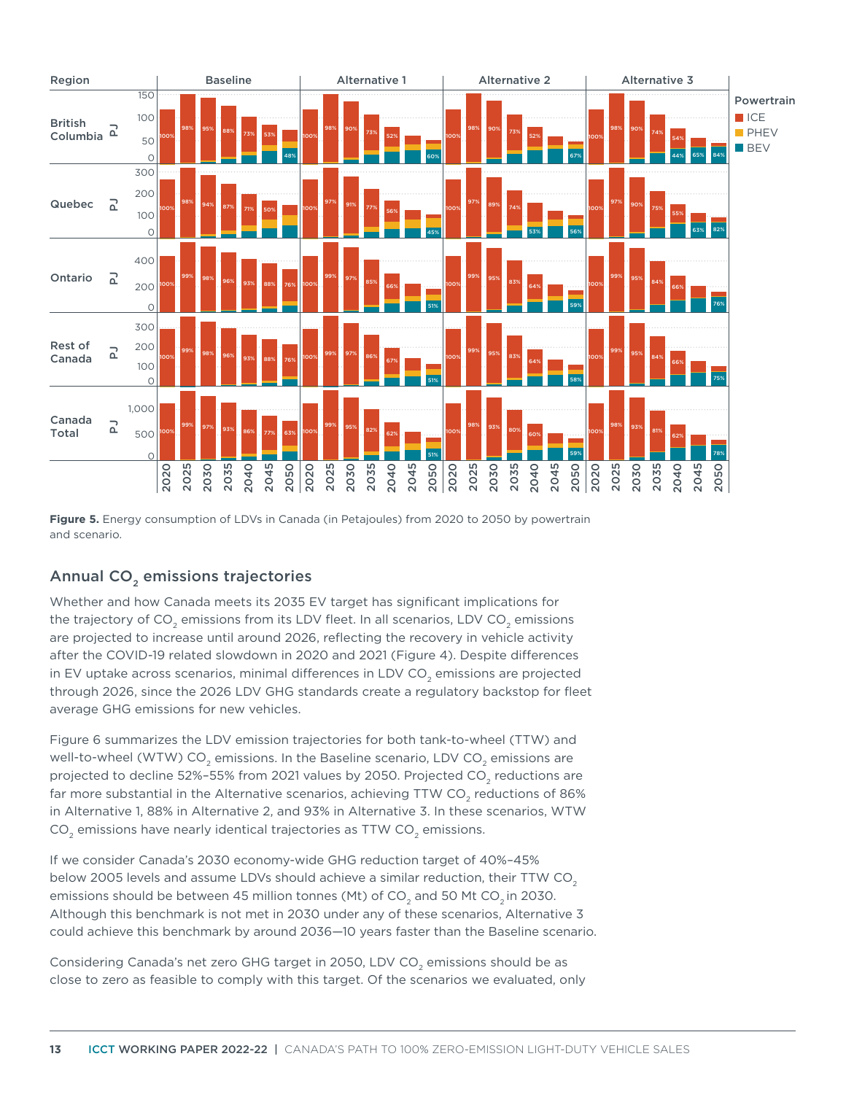

**Figure 5.** Energy consumption of LDVs in Canada (in Petajoules) from 2020 to 2050 by powertrain and scenario.

## Annual CO<sub>2</sub> emissions trajectories

Whether and how Canada meets its 2035 EV target has significant implications for the trajectory of  $CO<sub>2</sub>$  emissions from its LDV fleet. In all scenarios, LDV  $CO<sub>2</sub>$  emissions are projected to increase until around 2026, reflecting the recovery in vehicle activity after the COVID-19 related slowdown in 2020 and 2021 (Figure 4). Despite differences in EV uptake across scenarios, minimal differences in LDV CO<sub>2</sub> emissions are projected through 2026, since the 2026 LDV GHG standards create a regulatory backstop for fleet average GHG emissions for new vehicles.

Figure 6 summarizes the LDV emission trajectories for both tank-to-wheel (TTW) and well-to-wheel (WTW) CO<sub>2</sub> emissions. In the Baseline scenario, LDV CO<sub>2</sub> emissions are projected to decline 52%-55% from 2021 values by 2050. Projected CO<sub>2</sub> reductions are far more substantial in the Alternative scenarios, achieving TTW CO<sub>2</sub> reductions of 86% in Alternative 1, 88% in Alternative 2, and 93% in Alternative 3. In these scenarios, WTW  $CO<sub>2</sub>$  emissions have nearly identical trajectories as TTW  $CO<sub>2</sub>$  emissions.

If we consider Canada's 2030 economy-wide GHG reduction target of 40%–45% below 2005 levels and assume LDVs should achieve a similar reduction, their TTW CO<sub>2</sub> emissions should be between 45 million tonnes (Mt) of CO<sub>2</sub> and 50 Mt CO<sub>2</sub> in 2030. Although this benchmark is not met in 2030 under any of these scenarios, Alternative 3 could achieve this benchmark by around 2036—10 years faster than the Baseline scenario.

Considering Canada's net zero GHG target in 2050, LDV CO<sub>2</sub> emissions should be as close to zero as feasible to comply with this target. Of the scenarios we evaluated, only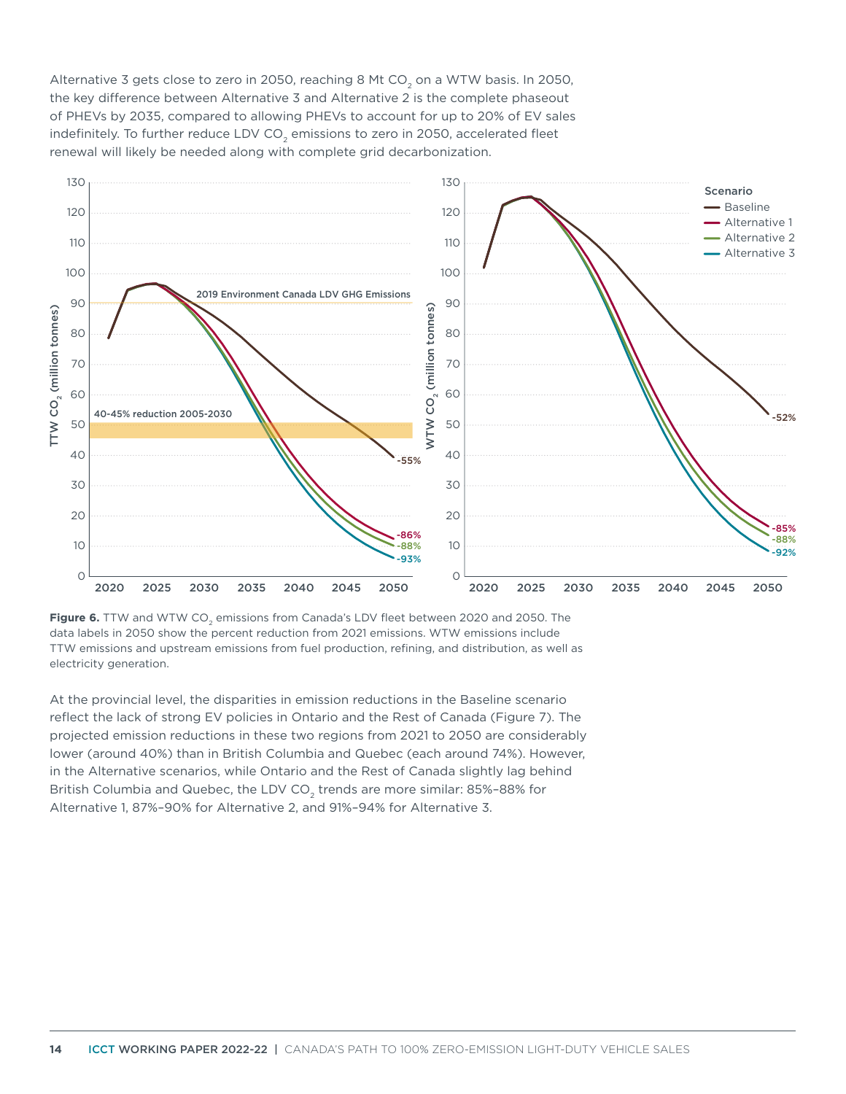Alternative 3 gets close to zero in 2050, reaching 8 Mt CO<sub>2</sub> on a WTW basis. In 2050, the key difference between Alternative 3 and Alternative 2 is the complete phaseout of PHEVs by 2035, compared to allowing PHEVs to account for up to 20% of EV sales indefinitely. To further reduce LDV CO<sub>2</sub> emissions to zero in 2050, accelerated fleet renewal will likely be needed along with complete grid decarbonization.



Figure 6. TTW and WTW CO<sub>2</sub> emissions from Canada's LDV fleet between 2020 and 2050. The data labels in 2050 show the percent reduction from 2021 emissions. WTW emissions include TTW emissions and upstream emissions from fuel production, refining, and distribution, as well as electricity generation.

At the provincial level, the disparities in emission reductions in the Baseline scenario reflect the lack of strong EV policies in Ontario and the Rest of Canada (Figure 7). The projected emission reductions in these two regions from 2021 to 2050 are considerably lower (around 40%) than in British Columbia and Quebec (each around 74%). However, in the Alternative scenarios, while Ontario and the Rest of Canada slightly lag behind British Columbia and Quebec, the LDV CO<sub>2</sub> trends are more similar: 85%-88% for Alternative 1, 87%–90% for Alternative 2, and 91%–94% for Alternative 3.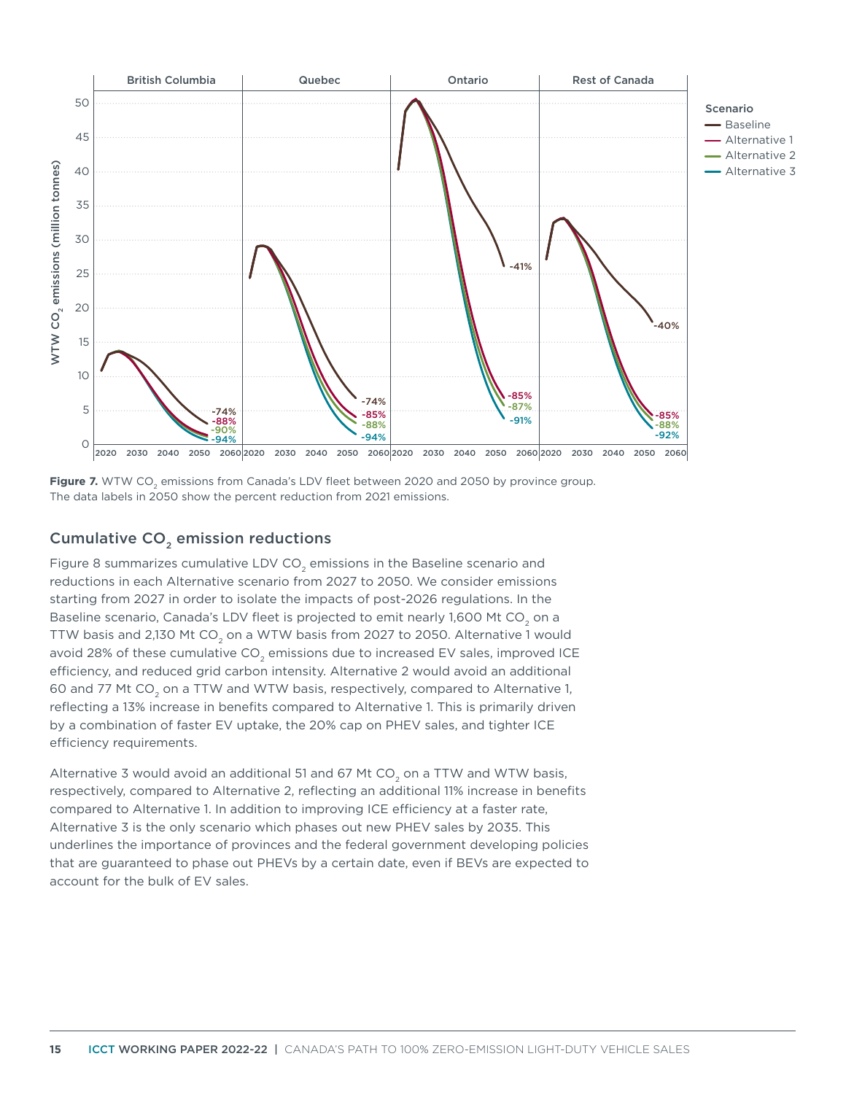

**Figure 7.** WTW CO<sub>2</sub> emissions from Canada's LDV fleet between 2020 and 2050 by province group. The data labels in 2050 show the percent reduction from 2021 emissions.

## Cumulative CO<sub>2</sub> emission reductions

Figure 8 summarizes cumulative LDV CO<sub>2</sub> emissions in the Baseline scenario and reductions in each Alternative scenario from 2027 to 2050. We consider emissions starting from 2027 in order to isolate the impacts of post-2026 regulations. In the Baseline scenario, Canada's LDV fleet is projected to emit nearly 1,600 Mt CO<sub>2</sub> on a TTW basis and 2,130 Mt CO<sub>2</sub> on a WTW basis from 2027 to 2050. Alternative 1 would avoid 28% of these cumulative  $CO<sub>2</sub>$  emissions due to increased EV sales, improved ICE efficiency, and reduced grid carbon intensity. Alternative 2 would avoid an additional 60 and 77 Mt CO<sub>2</sub> on a TTW and WTW basis, respectively, compared to Alternative 1, reflecting a 13% increase in benefits compared to Alternative 1. This is primarily driven by a combination of faster EV uptake, the 20% cap on PHEV sales, and tighter ICE efficiency requirements.

Alternative 3 would avoid an additional 51 and 67 Mt CO<sub>2</sub> on a TTW and WTW basis, respectively, compared to Alternative 2, reflecting an additional 11% increase in benefits compared to Alternative 1. In addition to improving ICE efficiency at a faster rate, Alternative 3 is the only scenario which phases out new PHEV sales by 2035. This underlines the importance of provinces and the federal government developing policies that are guaranteed to phase out PHEVs by a certain date, even if BEVs are expected to account for the bulk of EV sales.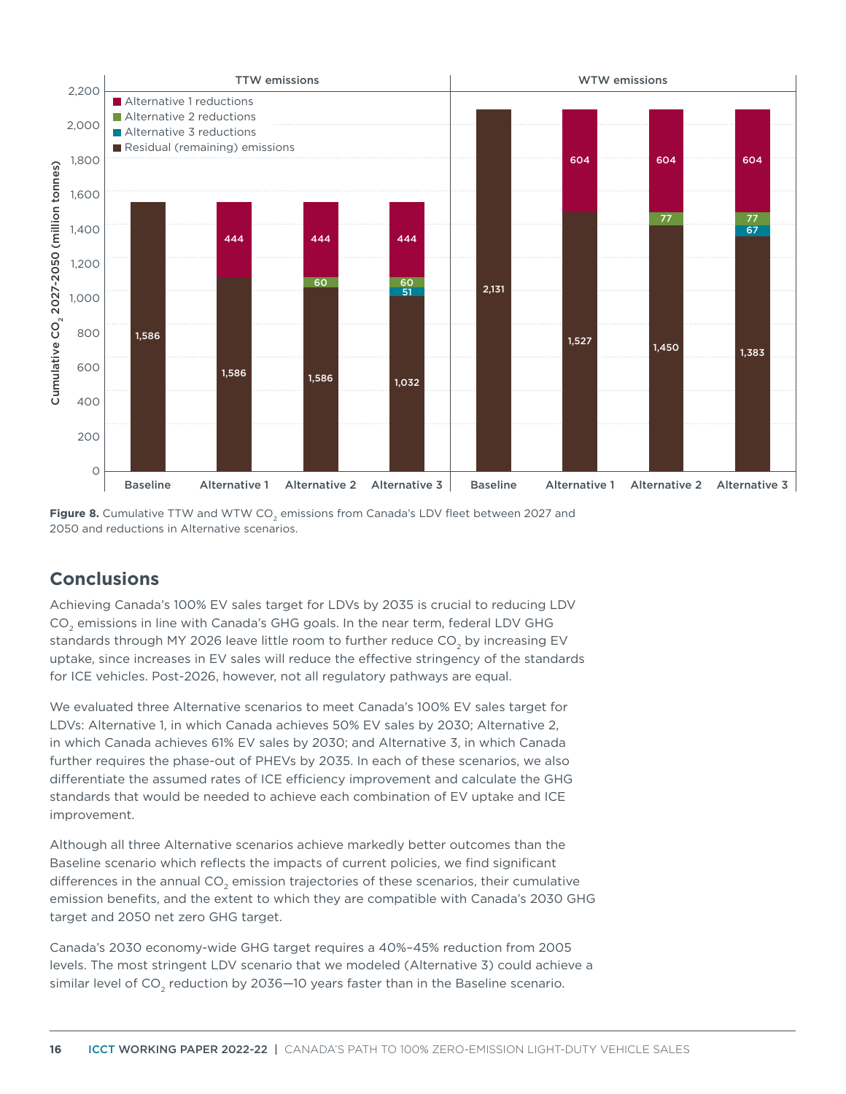

**Figure 8.** Cumulative TTW and WTW CO<sub>2</sub> emissions from Canada's LDV fleet between 2027 and 2050 and reductions in Alternative scenarios.

# **Conclusions**

Achieving Canada's 100% EV sales target for LDVs by 2035 is crucial to reducing LDV CO<sub>2</sub> emissions in line with Canada's GHG goals. In the near term, federal LDV GHG standards through MY 2026 leave little room to further reduce CO<sub>2</sub> by increasing EV uptake, since increases in EV sales will reduce the effective stringency of the standards for ICE vehicles. Post-2026, however, not all regulatory pathways are equal.

We evaluated three Alternative scenarios to meet Canada's 100% EV sales target for LDVs: Alternative 1, in which Canada achieves 50% EV sales by 2030; Alternative 2, in which Canada achieves 61% EV sales by 2030; and Alternative 3, in which Canada further requires the phase-out of PHEVs by 2035. In each of these scenarios, we also differentiate the assumed rates of ICE efficiency improvement and calculate the GHG standards that would be needed to achieve each combination of EV uptake and ICE improvement.

Although all three Alternative scenarios achieve markedly better outcomes than the Baseline scenario which reflects the impacts of current policies, we find significant differences in the annual  $CO<sub>2</sub>$  emission trajectories of these scenarios, their cumulative emission benefits, and the extent to which they are compatible with Canada's 2030 GHG target and 2050 net zero GHG target.

Canada's 2030 economy-wide GHG target requires a 40%–45% reduction from 2005 levels. The most stringent LDV scenario that we modeled (Alternative 3) could achieve a similar level of  $CO<sub>2</sub>$  reduction by 2036–10 years faster than in the Baseline scenario.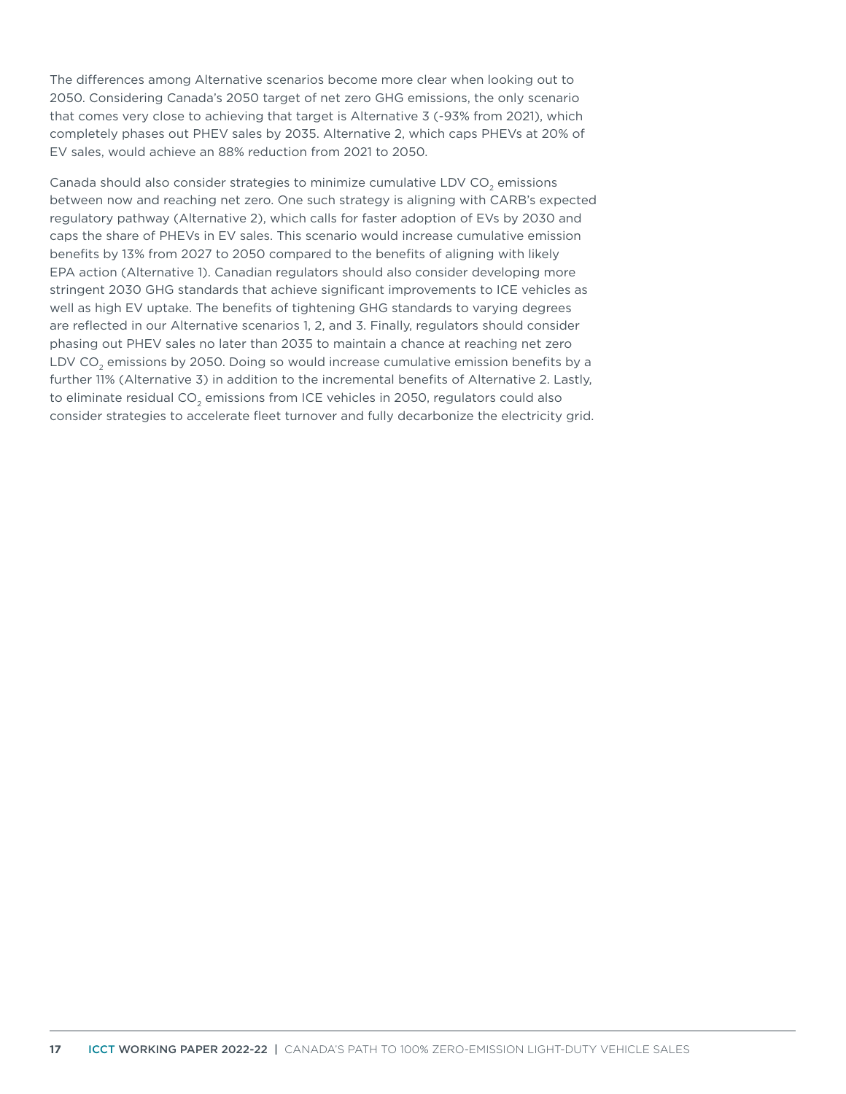The differences among Alternative scenarios become more clear when looking out to 2050. Considering Canada's 2050 target of net zero GHG emissions, the only scenario that comes very close to achieving that target is Alternative 3 (-93% from 2021), which completely phases out PHEV sales by 2035. Alternative 2, which caps PHEVs at 20% of EV sales, would achieve an 88% reduction from 2021 to 2050.

Canada should also consider strategies to minimize cumulative LDV CO<sub>2</sub> emissions between now and reaching net zero. One such strategy is aligning with CARB's expected regulatory pathway (Alternative 2), which calls for faster adoption of EVs by 2030 and caps the share of PHEVs in EV sales. This scenario would increase cumulative emission benefits by 13% from 2027 to 2050 compared to the benefits of aligning with likely EPA action (Alternative 1). Canadian regulators should also consider developing more stringent 2030 GHG standards that achieve significant improvements to ICE vehicles as well as high EV uptake. The benefits of tightening GHG standards to varying degrees are reflected in our Alternative scenarios 1, 2, and 3. Finally, regulators should consider phasing out PHEV sales no later than 2035 to maintain a chance at reaching net zero LDV CO<sub>2</sub> emissions by 2050. Doing so would increase cumulative emission benefits by a further 11% (Alternative 3) in addition to the incremental benefits of Alternative 2. Lastly, to eliminate residual CO<sub>2</sub> emissions from ICE vehicles in 2050, regulators could also consider strategies to accelerate fleet turnover and fully decarbonize the electricity grid.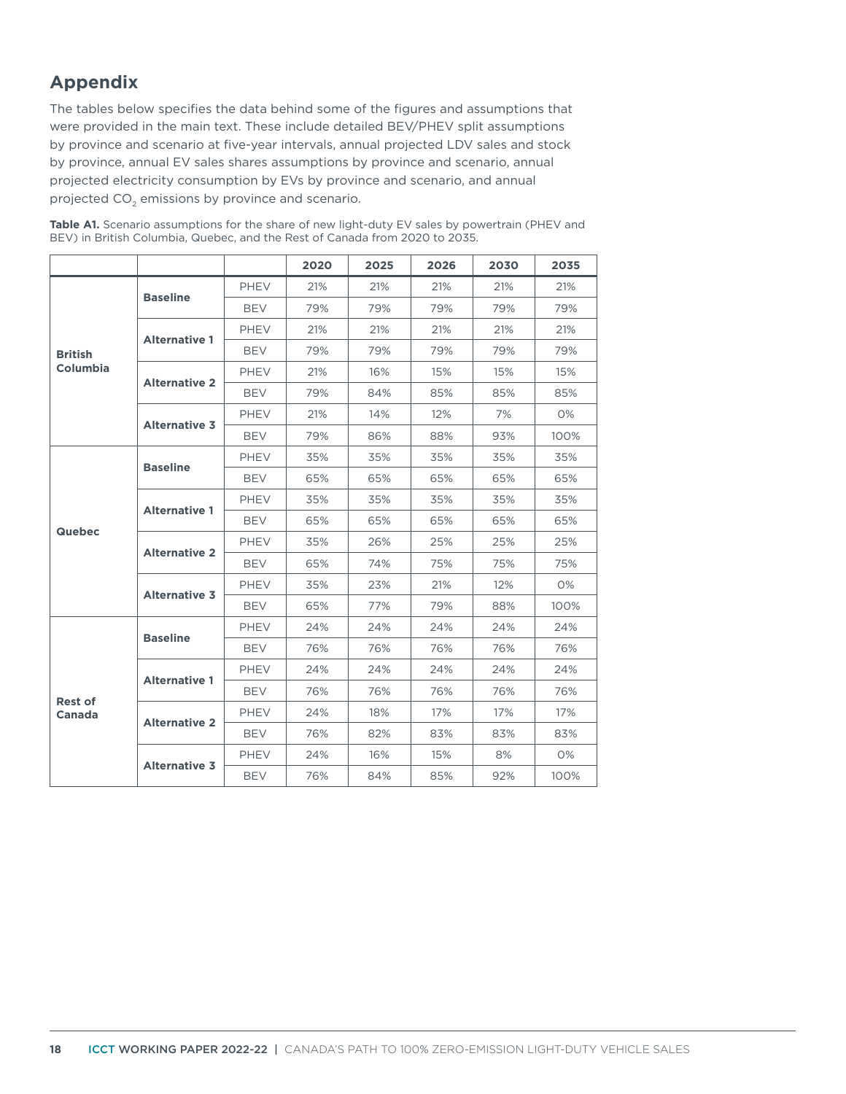# **Appendix**

The tables below specifies the data behind some of the figures and assumptions that were provided in the main text. These include detailed BEV/PHEV split assumptions by province and scenario at five-year intervals, annual projected LDV sales and stock by province, annual EV sales shares assumptions by province and scenario, annual projected electricity consumption by EVs by province and scenario, and annual projected CO<sub>2</sub> emissions by province and scenario.

|                          |                      |             | 2020 | 2025 | 2026 | 2030 | 2035 |
|--------------------------|----------------------|-------------|------|------|------|------|------|
|                          | <b>Baseline</b>      | <b>PHEV</b> | 21%  | 21%  | 21%  | 21%  | 21%  |
|                          |                      | <b>BEV</b>  | 79%  | 79%  | 79%  | 79%  | 79%  |
|                          | <b>Alternative 1</b> | <b>PHEV</b> | 21%  | 21%  | 21%  | 21%  | 21%  |
| <b>British</b>           |                      | <b>BEV</b>  | 79%  | 79%  | 79%  | 79%  | 79%  |
| Columbia                 | <b>Alternative 2</b> | <b>PHEV</b> | 21%  | 16%  | 15%  | 15%  | 15%  |
|                          |                      | <b>BEV</b>  | 79%  | 84%  | 85%  | 85%  | 85%  |
|                          |                      | <b>PHEV</b> | 21%  | 14%  | 12%  | 7%   | 0%   |
|                          | <b>Alternative 3</b> | <b>BEV</b>  | 79%  | 86%  | 88%  | 93%  | 100% |
|                          | <b>Baseline</b>      | <b>PHEV</b> | 35%  | 35%  | 35%  | 35%  | 35%  |
|                          |                      | <b>BEV</b>  | 65%  | 65%  | 65%  | 65%  | 65%  |
|                          | <b>Alternative 1</b> | <b>PHEV</b> | 35%  | 35%  | 35%  | 35%  | 35%  |
| <b>Quebec</b>            |                      | <b>BEV</b>  | 65%  | 65%  | 65%  | 65%  | 65%  |
|                          | <b>Alternative 2</b> | <b>PHEV</b> | 35%  | 26%  | 25%  | 25%  | 25%  |
|                          |                      | <b>BEV</b>  | 65%  | 74%  | 75%  | 75%  | 75%  |
|                          | <b>Alternative 3</b> | <b>PHEV</b> | 35%  | 23%  | 21%  | 12%  | 0%   |
|                          |                      | <b>BEV</b>  | 65%  | 77%  | 79%  | 88%  | 100% |
|                          | <b>Baseline</b>      | <b>PHEV</b> | 24%  | 24%  | 24%  | 24%  | 24%  |
|                          |                      | <b>BEV</b>  | 76%  | 76%  | 76%  | 76%  | 76%  |
|                          | <b>Alternative 1</b> | <b>PHEV</b> | 24%  | 24%  | 24%  | 24%  | 24%  |
|                          |                      | <b>BEV</b>  | 76%  | 76%  | 76%  | 76%  | 76%  |
| <b>Rest of</b><br>Canada |                      | <b>PHEV</b> | 24%  | 18%  | 17%  | 17%  | 17%  |
|                          | <b>Alternative 2</b> | <b>BEV</b>  | 76%  | 82%  | 83%  | 83%  | 83%  |
|                          | <b>Alternative 3</b> | PHEV        | 24%  | 16%  | 15%  | 8%   | 0%   |
|                          |                      | BEV         | 76%  | 84%  | 85%  | 92%  | 100% |

**Table A1.** Scenario assumptions for the share of new light-duty EV sales by powertrain (PHEV and BEV) in British Columbia, Quebec, and the Rest of Canada from 2020 to 2035.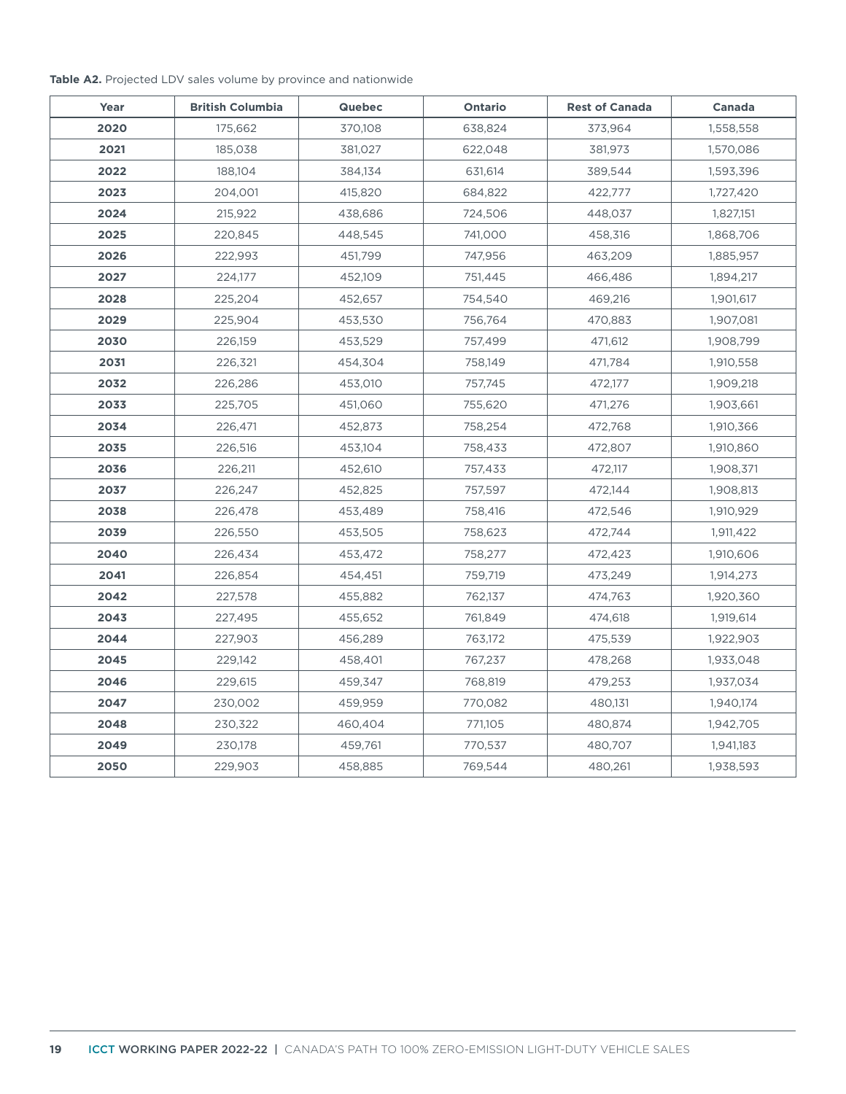#### **Table A2.** Projected LDV sales volume by province and nationwide

| Year | <b>British Columbia</b> | <b>Quebec</b> | <b>Ontario</b> | <b>Rest of Canada</b> | Canada    |
|------|-------------------------|---------------|----------------|-----------------------|-----------|
| 2020 | 175,662                 | 370,108       | 638,824        | 373,964               | 1,558,558 |
| 2021 | 185,038                 | 381,027       | 622,048        | 381,973               | 1,570,086 |
| 2022 | 188,104                 | 384,134       | 631,614        | 389,544               | 1,593,396 |
| 2023 | 204,001                 | 415,820       | 684,822        | 422,777               | 1,727,420 |
| 2024 | 215,922                 | 438,686       | 724,506        | 448,037               | 1,827,151 |
| 2025 | 220,845                 | 448,545       | 741,000        | 458,316               | 1,868,706 |
| 2026 | 222,993                 | 451,799       | 747,956        | 463,209               | 1,885,957 |
| 2027 | 224,177                 | 452,109       | 751,445        | 466,486               | 1,894,217 |
| 2028 | 225,204                 | 452,657       | 754,540        | 469,216               | 1,901,617 |
| 2029 | 225,904                 | 453,530       | 756,764        | 470,883               | 1,907,081 |
| 2030 | 226,159                 | 453,529       | 757,499        | 471,612               | 1,908,799 |
| 2031 | 226,321                 | 454,304       | 758,149        | 471,784               | 1,910,558 |
| 2032 | 226,286                 | 453,010       | 757,745        | 472,177               | 1,909,218 |
| 2033 | 225,705                 | 451,060       | 755,620        | 471,276               | 1,903,661 |
| 2034 | 226,471                 | 452,873       | 758,254        | 472,768               | 1,910,366 |
| 2035 | 226,516                 | 453,104       | 758,433        | 472,807               | 1,910,860 |
| 2036 | 226,211                 | 452,610       | 757,433        | 472,117               | 1,908,371 |
| 2037 | 226,247                 | 452,825       | 757,597        | 472,144               | 1,908,813 |
| 2038 | 226,478                 | 453,489       | 758,416        | 472,546               | 1,910,929 |
| 2039 | 226,550                 | 453,505       | 758,623        | 472,744               | 1,911,422 |
| 2040 | 226,434                 | 453,472       | 758,277        | 472,423               | 1,910,606 |
| 2041 | 226,854                 | 454,451       | 759,719        | 473,249               | 1,914,273 |
| 2042 | 227,578                 | 455,882       | 762,137        | 474,763               | 1,920,360 |
| 2043 | 227,495                 | 455,652       | 761,849        | 474,618               | 1,919,614 |
| 2044 | 227,903                 | 456,289       | 763,172        | 475,539               | 1,922,903 |
| 2045 | 229,142                 | 458,401       | 767,237        | 478,268               | 1,933,048 |
| 2046 | 229,615                 | 459,347       | 768,819        | 479,253               | 1,937,034 |
| 2047 | 230,002                 | 459,959       | 770,082        | 480,131               | 1,940,174 |
| 2048 | 230,322                 | 460,404       | 771,105        | 480,874               | 1,942,705 |
| 2049 | 230,178                 | 459,761       | 770,537        | 480,707               | 1,941,183 |
| 2050 | 229,903                 | 458,885       | 769,544        | 480,261               | 1,938,593 |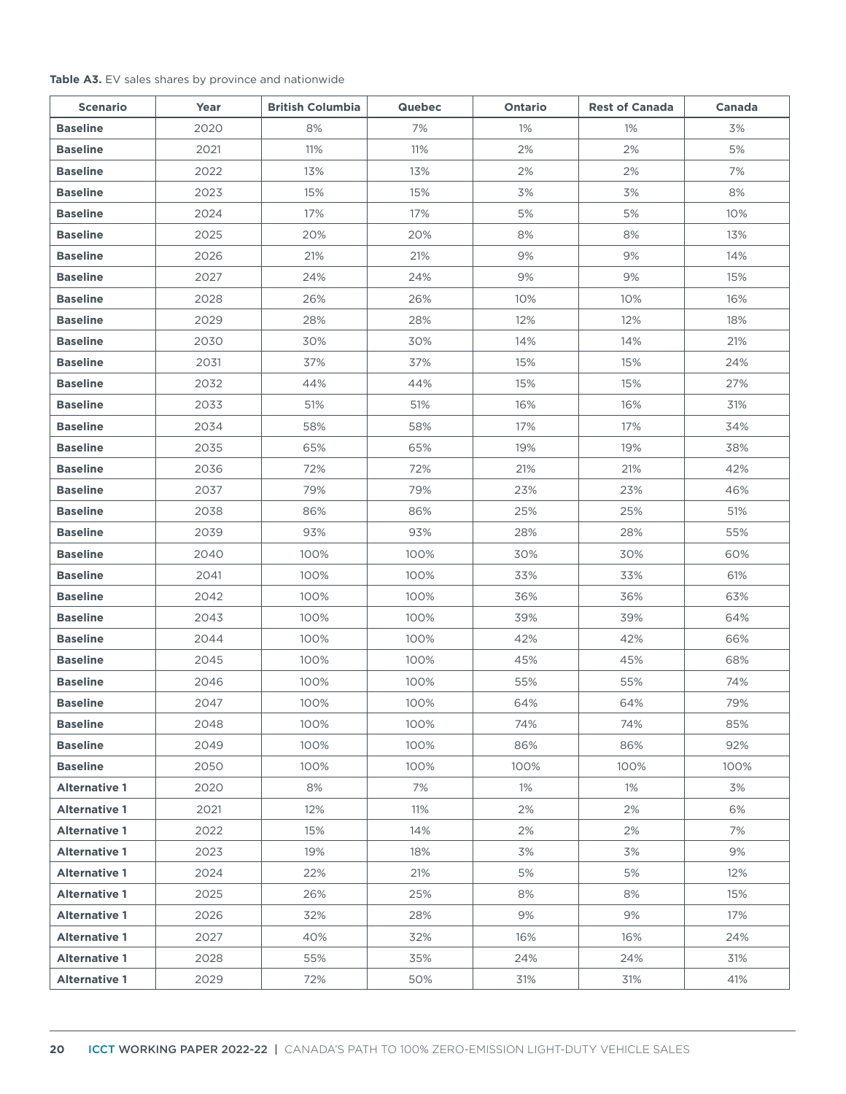#### **Table A3.** EV sales shares by province and nationwide

| <b>Scenario</b>      | Year | <b>British Columbia</b> | <b>Quebec</b> | Ontario | <b>Rest of Canada</b> | Canada |
|----------------------|------|-------------------------|---------------|---------|-----------------------|--------|
| <b>Baseline</b>      | 2020 | 8%                      | 7%            | 1%      | 1%                    | 3%     |
| <b>Baseline</b>      | 2021 | 11%                     | 11%           | 2%      | 2%                    | 5%     |
| <b>Baseline</b>      | 2022 | 13%                     | 13%           | 2%      | 2%                    | 7%     |
| <b>Baseline</b>      | 2023 | 15%                     | 15%           | 3%      | 3%                    | 8%     |
| <b>Baseline</b>      | 2024 | 17%                     | 17%           | 5%      | 5%                    | 10%    |
| <b>Baseline</b>      | 2025 | 20%                     | 20%           | 8%      | 8%                    | 13%    |
| <b>Baseline</b>      | 2026 | 21%                     | 21%           | 9%      | 9%                    | 14%    |
| <b>Baseline</b>      | 2027 | 24%                     | 24%           | 9%      | 9%                    | 15%    |
| <b>Baseline</b>      | 2028 | 26%                     | 26%           | 10%     | 10%                   | 16%    |
| <b>Baseline</b>      | 2029 | 28%                     | 28%           | 12%     | 12%                   | 18%    |
| <b>Baseline</b>      | 2030 | 30%                     | 30%           | 14%     | 14%                   | 21%    |
| <b>Baseline</b>      | 2031 | 37%                     | 37%           | 15%     | 15%                   | 24%    |
| <b>Baseline</b>      | 2032 | 44%                     | 44%           | 15%     | 15%                   | 27%    |
| <b>Baseline</b>      | 2033 | 51%                     | 51%           | 16%     | 16%                   | 31%    |
| <b>Baseline</b>      | 2034 | 58%                     | 58%           | 17%     | 17%                   | 34%    |
| <b>Baseline</b>      | 2035 | 65%                     | 65%           | 19%     | 19%                   | 38%    |
| <b>Baseline</b>      | 2036 | 72%                     | 72%           | 21%     | 21%                   | 42%    |
| <b>Baseline</b>      | 2037 | 79%                     | 79%           | 23%     | 23%                   | 46%    |
| <b>Baseline</b>      | 2038 | 86%                     | 86%           | 25%     | 25%                   | 51%    |
| <b>Baseline</b>      | 2039 | 93%                     | 93%           | 28%     | 28%                   | 55%    |
| <b>Baseline</b>      | 2040 | 100%                    | 100%          | 30%     | 30%                   | 60%    |
| <b>Baseline</b>      | 2041 | 100%                    | 100%          | 33%     | 33%                   | 61%    |
| <b>Baseline</b>      | 2042 | 100%                    | 100%          | 36%     | 36%                   | 63%    |
| <b>Baseline</b>      | 2043 | 100%                    | 100%          | 39%     | 39%                   | 64%    |
| <b>Baseline</b>      | 2044 | 100%                    | 100%          | 42%     | 42%                   | 66%    |
| <b>Baseline</b>      | 2045 | 100%                    | 100%          | 45%     | 45%                   | 68%    |
| <b>Baseline</b>      | 2046 | 100%                    | 100%          | 55%     | 55%                   | 74%    |
| <b>Baseline</b>      | 2047 | 100%                    | 100%          | 64%     | 64%                   | 79%    |
| <b>Baseline</b>      | 2048 | 100%                    | 100%          | 74%     | 74%                   | 85%    |
| <b>Baseline</b>      | 2049 | 100%                    | 100%          | 86%     | 86%                   | 92%    |
| <b>Baseline</b>      | 2050 | 100%                    | 100%          | 100%    | 100%                  | 100%   |
| <b>Alternative 1</b> | 2020 | 8%                      | 7%            | $1\%$   | $1\%$                 | 3%     |
| <b>Alternative 1</b> | 2021 | 12%                     | 11%           | 2%      | 2%                    | 6%     |
| <b>Alternative 1</b> | 2022 | 15%                     | 14%           | 2%      | 2%                    | 7%     |
| <b>Alternative 1</b> | 2023 | 19%                     | 18%           | 3%      | 3%                    | 9%     |
| <b>Alternative 1</b> | 2024 | 22%                     | 21%           | 5%      | 5%                    | 12%    |
| <b>Alternative 1</b> | 2025 | 26%                     | 25%           | 8%      | 8%                    | 15%    |
| <b>Alternative 1</b> | 2026 | 32%                     | 28%           | 9%      | 9%                    | 17%    |
| <b>Alternative 1</b> | 2027 | 40%                     | 32%           | 16%     | 16%                   | 24%    |
| <b>Alternative 1</b> | 2028 | 55%                     | 35%           | 24%     | 24%                   | 31%    |
| <b>Alternative 1</b> | 2029 | 72%                     | 50%           | 31%     | 31%                   | 41%    |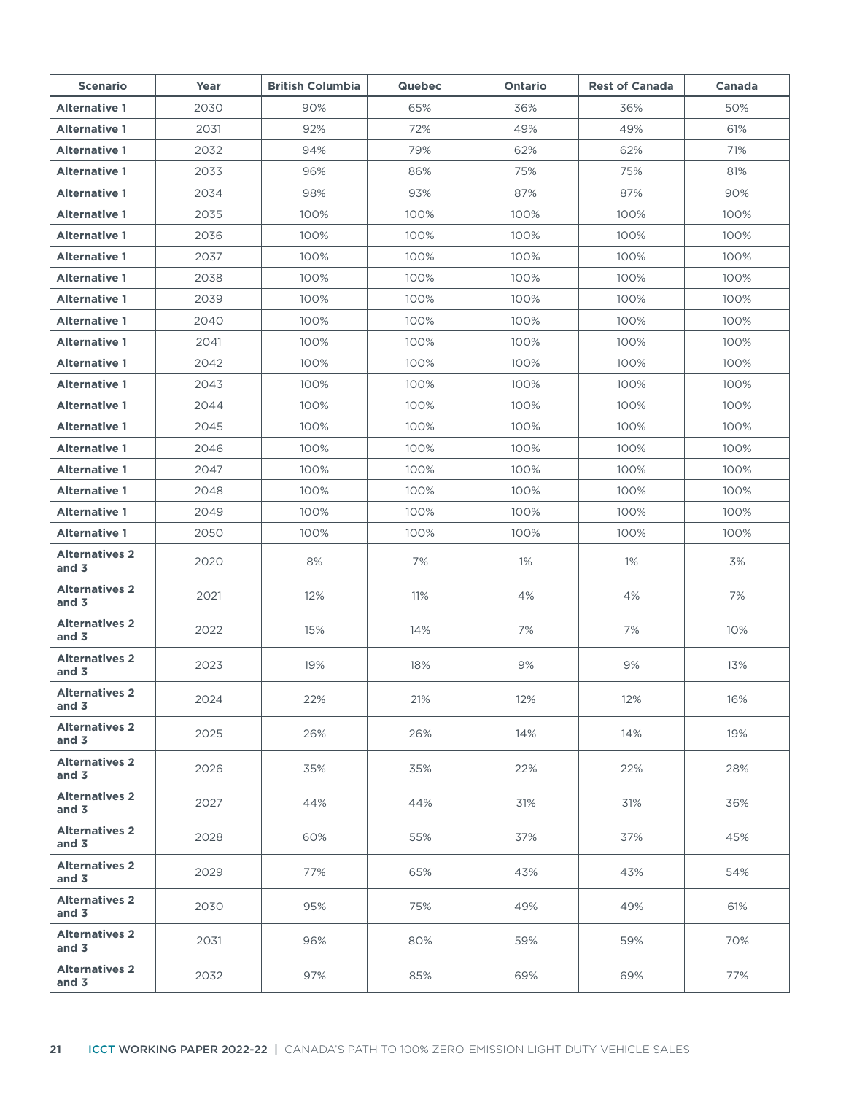| <b>Scenario</b>                  | Year | <b>British Columbia</b> | <b>Quebec</b> | Ontario | <b>Rest of Canada</b> | Canada |
|----------------------------------|------|-------------------------|---------------|---------|-----------------------|--------|
| <b>Alternative 1</b>             | 2030 | 90%                     | 65%           | 36%     | 36%                   | 50%    |
| <b>Alternative 1</b>             | 2031 | 92%                     | 72%           | 49%     | 49%                   | 61%    |
| <b>Alternative 1</b>             | 2032 | 94%                     | 79%           | 62%     | 62%                   | 71%    |
| <b>Alternative 1</b>             | 2033 | 96%                     | 86%           | 75%     | 75%                   | 81%    |
| <b>Alternative 1</b>             | 2034 | 98%                     | 93%           | 87%     | 87%                   | 90%    |
| <b>Alternative 1</b>             | 2035 | 100%                    | 100%          | 100%    | 100%                  | 100%   |
| <b>Alternative 1</b>             | 2036 | 100%                    | 100%          | 100%    | 100%                  | 100%   |
| <b>Alternative 1</b>             | 2037 | 100%                    | 100%          | 100%    | 100%                  | 100%   |
| <b>Alternative 1</b>             | 2038 | 100%                    | 100%          | 100%    | 100%                  | 100%   |
| <b>Alternative 1</b>             | 2039 | 100%                    | 100%          | 100%    | 100%                  | 100%   |
| <b>Alternative 1</b>             | 2040 | 100%                    | 100%          | 100%    | 100%                  | 100%   |
| <b>Alternative 1</b>             | 2041 | 100%                    | 100%          | 100%    | 100%                  | 100%   |
| <b>Alternative 1</b>             | 2042 | 100%                    | 100%          | 100%    | 100%                  | 100%   |
| <b>Alternative 1</b>             | 2043 | 100%                    | 100%          | 100%    | 100%                  | 100%   |
| <b>Alternative 1</b>             | 2044 | 100%                    | 100%          | 100%    | 100%                  | 100%   |
| <b>Alternative 1</b>             | 2045 | 100%                    | 100%          | 100%    | 100%                  | 100%   |
| <b>Alternative 1</b>             | 2046 | 100%                    | 100%          | 100%    | 100%                  | 100%   |
| <b>Alternative 1</b>             | 2047 | 100%                    | 100%          | 100%    | 100%                  | 100%   |
| <b>Alternative 1</b>             | 2048 | 100%                    | 100%          | 100%    | 100%                  | 100%   |
| <b>Alternative 1</b>             | 2049 | 100%                    | 100%          | 100%    | 100%                  | 100%   |
| <b>Alternative 1</b>             | 2050 | 100%                    | 100%          | 100%    | 100%                  | 100%   |
| <b>Alternatives 2</b><br>and 3   | 2020 | 8%                      | 7%            | 1%      | 1%                    | 3%     |
| <b>Alternatives 2</b><br>and 3   | 2021 | 12%                     | 11%           | 4%      | 4%                    | 7%     |
| <b>Alternatives 2</b><br>and 3   | 2022 | 15%                     | 14%           | 7%      | 7%                    | 10%    |
| <b>Alternatives 2</b><br>and $3$ | 2023 | 19%                     | 18%           | 9%      | 9%                    | 13%    |
| <b>Alternatives 2</b><br>and 3   | 2024 | 22%                     | 21%           | 12%     | 12%                   | 16%    |
| <b>Alternatives 2</b><br>and 3   | 2025 | 26%                     | 26%           | 14%     | 14%                   | 19%    |
| <b>Alternatives 2</b><br>and 3   | 2026 | 35%                     | 35%           | 22%     | 22%                   | 28%    |
| <b>Alternatives 2</b><br>and $3$ | 2027 | 44%                     | 44%           | 31%     | 31%                   | 36%    |
| <b>Alternatives 2</b><br>and 3   | 2028 | 60%                     | 55%           | 37%     | 37%                   | 45%    |
| <b>Alternatives 2</b><br>and 3   | 2029 | 77%                     | 65%           | 43%     | 43%                   | 54%    |
| <b>Alternatives 2</b><br>and 3   | 2030 | 95%                     | 75%           | 49%     | 49%                   | 61%    |
| <b>Alternatives 2</b><br>and 3   | 2031 | 96%                     | 80%           | 59%     | 59%                   | 70%    |
| <b>Alternatives 2</b><br>and $3$ | 2032 | 97%                     | 85%           | 69%     | 69%                   | 77%    |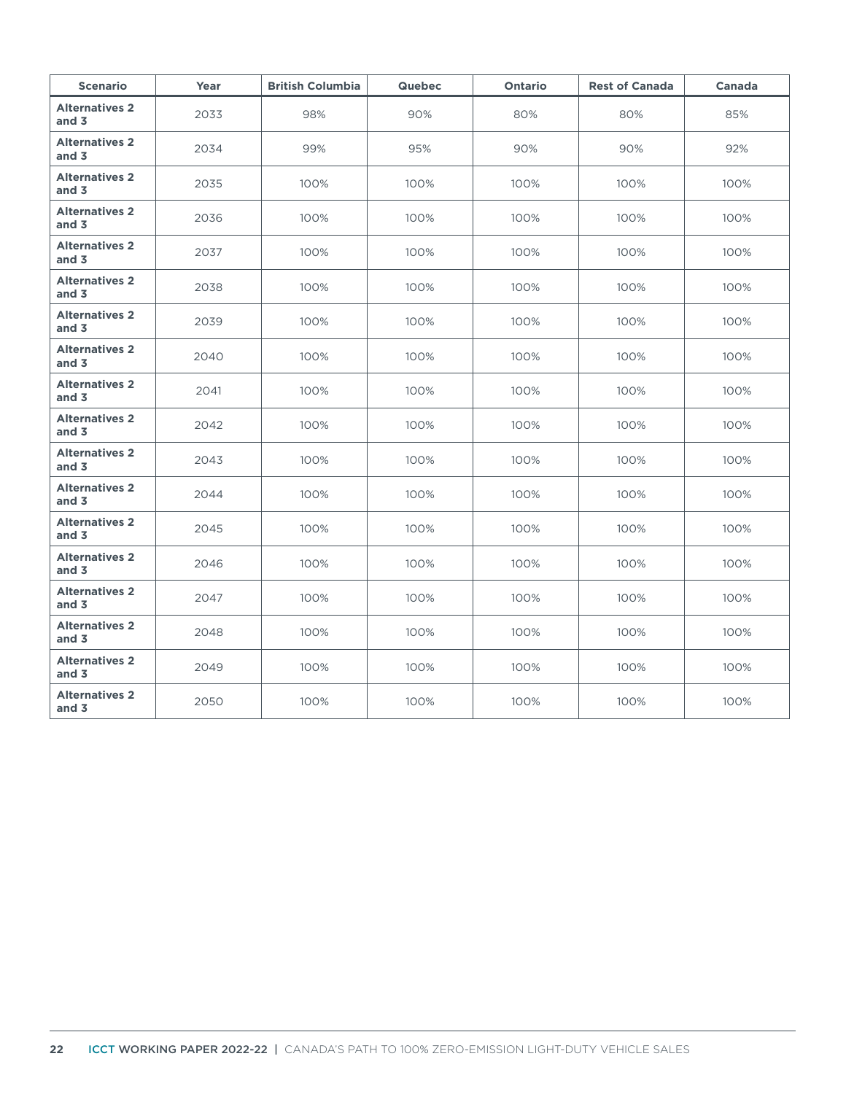| <b>Scenario</b>                  | Year | <b>British Columbia</b> | <b>Quebec</b> | Ontario | <b>Rest of Canada</b> | Canada |
|----------------------------------|------|-------------------------|---------------|---------|-----------------------|--------|
| <b>Alternatives 2</b><br>and $3$ | 2033 | 98%                     | 90%           | 80%     | 80%                   | 85%    |
| <b>Alternatives 2</b><br>and $3$ | 2034 | 99%                     | 95%           | 90%     | 90%                   | 92%    |
| <b>Alternatives 2</b><br>and $3$ | 2035 | 100%                    | 100%          | 100%    | 100%                  | 100%   |
| <b>Alternatives 2</b><br>and $3$ | 2036 | 100%                    | 100%          | 100%    | 100%                  | 100%   |
| <b>Alternatives 2</b><br>and $3$ | 2037 | 100%                    | 100%          | 100%    | 100%                  | 100%   |
| <b>Alternatives 2</b><br>and $3$ | 2038 | 100%                    | 100%          | 100%    | 100%                  | 100%   |
| <b>Alternatives 2</b><br>and $3$ | 2039 | 100%                    | 100%          | 100%    | 100%                  | 100%   |
| <b>Alternatives 2</b><br>and $3$ | 2040 | 100%                    | 100%          | 100%    | 100%                  | 100%   |
| <b>Alternatives 2</b><br>and $3$ | 2041 | 100%                    | 100%          | 100%    | 100%                  | 100%   |
| <b>Alternatives 2</b><br>and $3$ | 2042 | 100%                    | 100%          | 100%    | 100%                  | 100%   |
| <b>Alternatives 2</b><br>and $3$ | 2043 | 100%                    | 100%          | 100%    | 100%                  | 100%   |
| <b>Alternatives 2</b><br>and $3$ | 2044 | 100%                    | 100%          | 100%    | 100%                  | 100%   |
| <b>Alternatives 2</b><br>and $3$ | 2045 | 100%                    | 100%          | 100%    | 100%                  | 100%   |
| <b>Alternatives 2</b><br>and $3$ | 2046 | 100%                    | 100%          | 100%    | 100%                  | 100%   |
| <b>Alternatives 2</b><br>and $3$ | 2047 | 100%                    | 100%          | 100%    | 100%                  | 100%   |
| <b>Alternatives 2</b><br>and $3$ | 2048 | 100%                    | 100%          | 100%    | 100%                  | 100%   |
| <b>Alternatives 2</b><br>and $3$ | 2049 | 100%                    | 100%          | 100%    | 100%                  | 100%   |
| <b>Alternatives 2</b><br>and $3$ | 2050 | 100%                    | 100%          | 100%    | 100%                  | 100%   |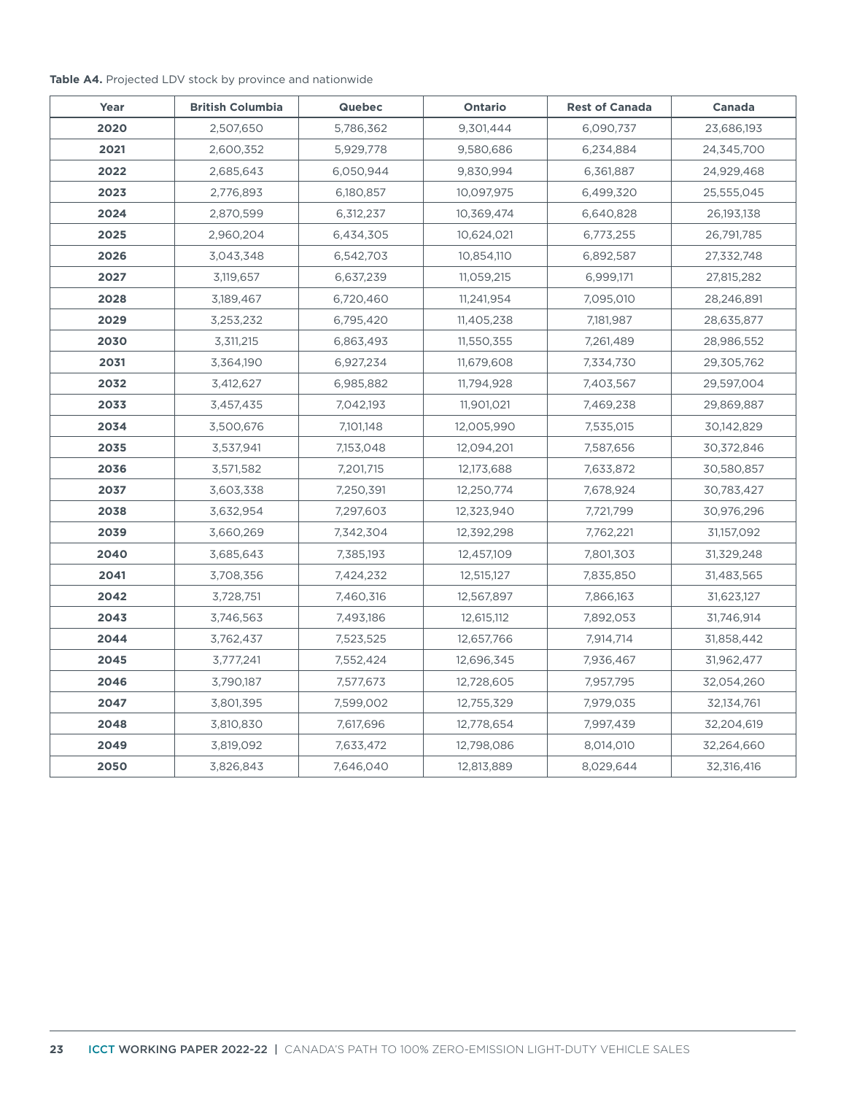#### **Table A4.** Projected LDV stock by province and nationwide

| Year | <b>British Columbia</b> | <b>Quebec</b> | <b>Ontario</b> | <b>Rest of Canada</b> | Canada     |
|------|-------------------------|---------------|----------------|-----------------------|------------|
| 2020 | 2,507,650               | 5,786,362     | 9,301,444      | 6,090,737             | 23,686,193 |
| 2021 | 2,600,352               | 5,929,778     | 9,580,686      | 6,234,884             | 24,345,700 |
| 2022 | 2,685,643               | 6,050,944     | 9,830,994      | 6,361,887             | 24,929,468 |
| 2023 | 2,776,893               | 6,180,857     | 10,097,975     | 6,499,320             | 25,555,045 |
| 2024 | 2,870,599               | 6,312,237     | 10,369,474     | 6,640,828             | 26,193,138 |
| 2025 | 2,960,204               | 6,434,305     | 10,624,021     | 6,773,255             | 26,791,785 |
| 2026 | 3,043,348               | 6,542,703     | 10,854,110     | 6,892,587             | 27,332,748 |
| 2027 | 3,119,657               | 6,637,239     | 11,059,215     | 6,999,171             | 27,815,282 |
| 2028 | 3,189,467               | 6,720,460     | 11,241,954     | 7,095,010             | 28,246,891 |
| 2029 | 3,253,232               | 6,795,420     | 11,405,238     | 7,181,987             | 28,635,877 |
| 2030 | 3,311,215               | 6,863,493     | 11,550,355     | 7,261,489             | 28,986,552 |
| 2031 | 3,364,190               | 6,927,234     | 11,679,608     | 7,334,730             | 29,305,762 |
| 2032 | 3,412,627               | 6,985,882     | 11,794,928     | 7,403,567             | 29,597,004 |
| 2033 | 3,457,435               | 7,042,193     | 11,901,021     | 7,469,238             | 29,869,887 |
| 2034 | 3,500,676               | 7,101,148     | 12,005,990     | 7,535,015             | 30,142,829 |
| 2035 | 3,537,941               | 7,153,048     | 12,094,201     | 7,587,656             | 30,372,846 |
| 2036 | 3,571,582               | 7,201,715     | 12,173,688     | 7,633,872             | 30,580,857 |
| 2037 | 3,603,338               | 7,250,391     | 12,250,774     | 7,678,924             | 30,783,427 |
| 2038 | 3,632,954               | 7,297,603     | 12,323,940     | 7,721,799             | 30,976,296 |
| 2039 | 3,660,269               | 7,342,304     | 12,392,298     | 7,762,221             | 31,157,092 |
| 2040 | 3,685,643               | 7,385,193     | 12,457,109     | 7,801,303             | 31,329,248 |
| 2041 | 3,708,356               | 7,424,232     | 12,515,127     | 7,835,850             | 31,483,565 |
| 2042 | 3,728,751               | 7,460,316     | 12,567,897     | 7,866,163             | 31,623,127 |
| 2043 | 3,746,563               | 7,493,186     | 12,615,112     | 7,892,053             | 31,746,914 |
| 2044 | 3,762,437               | 7,523,525     | 12,657,766     | 7,914,714             | 31,858,442 |
| 2045 | 3,777,241               | 7,552,424     | 12,696,345     | 7,936,467             | 31,962,477 |
| 2046 | 3,790,187               | 7,577,673     | 12,728,605     | 7,957,795             | 32,054,260 |
| 2047 | 3,801,395               | 7,599,002     | 12,755,329     | 7,979,035             | 32,134,761 |
| 2048 | 3,810,830               | 7,617,696     | 12,778,654     | 7,997,439             | 32,204,619 |
| 2049 | 3,819,092               | 7,633,472     | 12,798,086     | 8,014,010             | 32,264,660 |
| 2050 | 3,826,843               | 7,646,040     | 12,813,889     | 8,029,644             | 32,316,416 |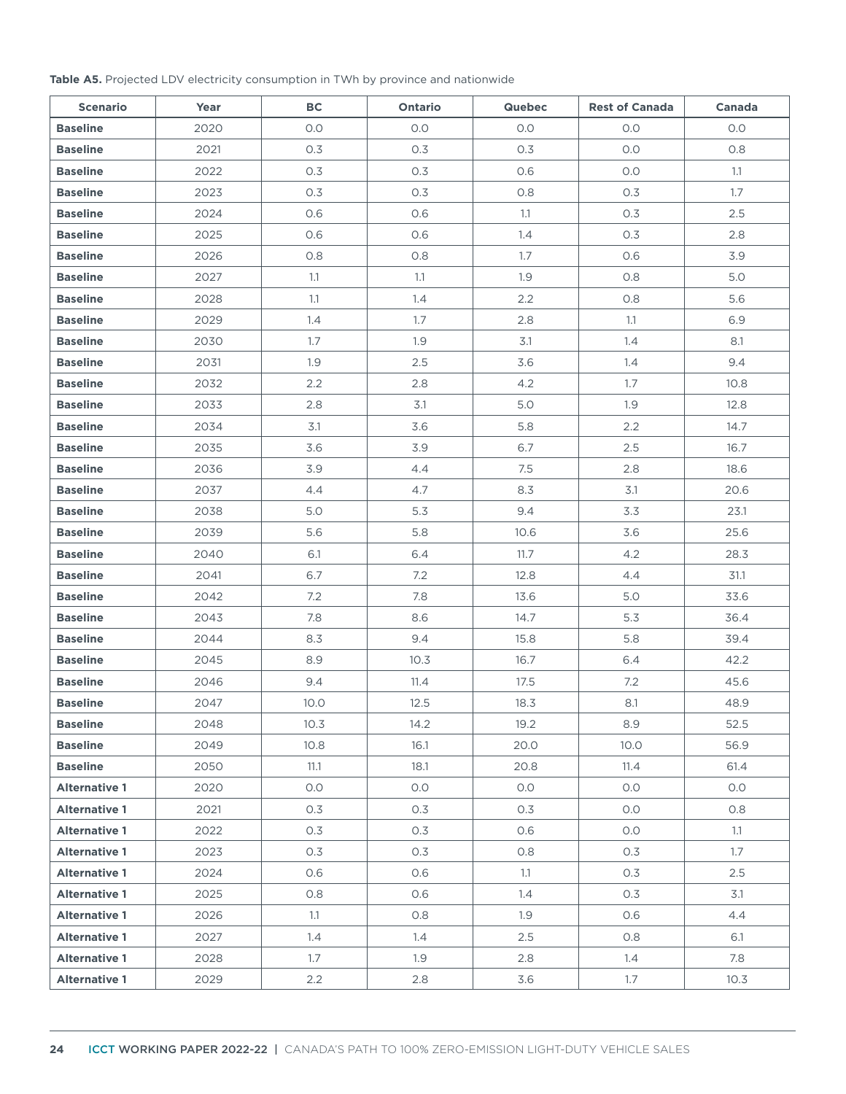#### **Table A5.** Projected LDV electricity consumption in TWh by province and nationwide

| <b>Scenario</b>      | Year | BC   | Ontario | <b>Quebec</b> | <b>Rest of Canada</b> | Canada |
|----------------------|------|------|---------|---------------|-----------------------|--------|
| <b>Baseline</b>      | 2020 | O.O  | 0.0     | 0.0           | 0.0                   | 0.0    |
| <b>Baseline</b>      | 2021 | 0.3  | 0.3     | 0.3           | 0.0                   | 0.8    |
| <b>Baseline</b>      | 2022 | 0.3  | 0.3     | 0.6           | 0.0                   | 1.1    |
| <b>Baseline</b>      | 2023 | 0.3  | 0.3     | 0.8           | 0.3                   | 1.7    |
| <b>Baseline</b>      | 2024 | 0.6  | 0.6     | 1.1           | 0.3                   | 2.5    |
| <b>Baseline</b>      | 2025 | 0.6  | 0.6     | 1.4           | 0.3                   | 2.8    |
| <b>Baseline</b>      | 2026 | 0.8  | 0.8     | 1.7           | 0.6                   | 3.9    |
| <b>Baseline</b>      | 2027 | 1.1  | 1.1     | 1.9           | 0.8                   | 5.0    |
| <b>Baseline</b>      | 2028 | 1.1  | 1.4     | 2.2           | 0.8                   | 5.6    |
| <b>Baseline</b>      | 2029 | 1.4  | 1.7     | 2.8           | 1.1                   | 6.9    |
| <b>Baseline</b>      | 2030 | 1.7  | 1.9     | 3.1           | 1.4                   | 8.1    |
| <b>Baseline</b>      | 2031 | 1.9  | 2.5     | 3.6           | 1.4                   | 9.4    |
| <b>Baseline</b>      | 2032 | 2.2  | 2.8     | 4.2           | 1.7                   | 10.8   |
| <b>Baseline</b>      | 2033 | 2.8  | 3.1     | 5.0           | 1.9                   | 12.8   |
| <b>Baseline</b>      | 2034 | 3.1  | 3.6     | 5.8           | 2.2                   | 14.7   |
| <b>Baseline</b>      | 2035 | 3.6  | 3.9     | 6.7           | 2.5                   | 16.7   |
| <b>Baseline</b>      | 2036 | 3.9  | 4.4     | 7.5           | 2.8                   | 18.6   |
| <b>Baseline</b>      | 2037 | 4.4  | 4.7     | 8.3           | 3.1                   | 20.6   |
| <b>Baseline</b>      | 2038 | 5.0  | 5.3     | 9.4           | 3.3                   | 23.1   |
| <b>Baseline</b>      | 2039 | 5.6  | 5.8     | 10.6          | 3.6                   | 25.6   |
| <b>Baseline</b>      | 2040 | 6.1  | 6.4     | 11.7          | 4.2                   | 28.3   |
| <b>Baseline</b>      | 2041 | 6.7  | 7.2     | 12.8          | 4.4                   | 31.1   |
| <b>Baseline</b>      | 2042 | 7.2  | 7.8     | 13.6          | 5.0                   | 33.6   |
| <b>Baseline</b>      | 2043 | 7.8  | 8.6     | 14.7          | 5.3                   | 36.4   |
| <b>Baseline</b>      | 2044 | 8.3  | 9.4     | 15.8          | 5.8                   | 39.4   |
| <b>Baseline</b>      | 2045 | 8.9  | 10.3    | 16.7          | 6.4                   | 42.2   |
| <b>Baseline</b>      | 2046 | 9.4  | 11.4    | 17.5          | 7.2                   | 45.6   |
| <b>Baseline</b>      | 2047 | 10.0 | 12.5    | 18.3          | 8.1                   | 48.9   |
| <b>Baseline</b>      | 2048 | 10.3 | 14.2    | 19.2          | 8.9                   | 52.5   |
| <b>Baseline</b>      | 2049 | 10.8 | 16.1    | 20.0          | 10.0                  | 56.9   |
| <b>Baseline</b>      | 2050 | 11.1 | 18.1    | 20.8          | 11.4                  | 61.4   |
| <b>Alternative 1</b> | 2020 | 0.0  | O.O     | 0.0           | 0.0                   | O.O    |
| <b>Alternative 1</b> | 2021 | 0.3  | 0.3     | 0.3           | O.O                   | 0.8    |
| <b>Alternative 1</b> | 2022 | 0.3  | 0.3     | 0.6           | O.O                   | 1.1    |
| <b>Alternative 1</b> | 2023 | 0.3  | 0.3     | 0.8           | 0.3                   | 1.7    |
| <b>Alternative 1</b> | 2024 | 0.6  | 0.6     | 1.1           | 0.3                   | 2.5    |
| <b>Alternative 1</b> | 2025 | 0.8  | 0.6     | 1.4           | 0.3                   | 3.1    |
| <b>Alternative 1</b> | 2026 | 1.1  | 0.8     | 1.9           | 0.6                   | 4.4    |
| <b>Alternative 1</b> | 2027 | 1.4  | 1.4     | 2.5           | 0.8                   | 6.1    |
| <b>Alternative 1</b> | 2028 | 1.7  | 1.9     | 2.8           | 1.4                   | 7.8    |
| <b>Alternative 1</b> | 2029 | 2.2  | 2.8     | 3.6           | 1.7                   | 10.3   |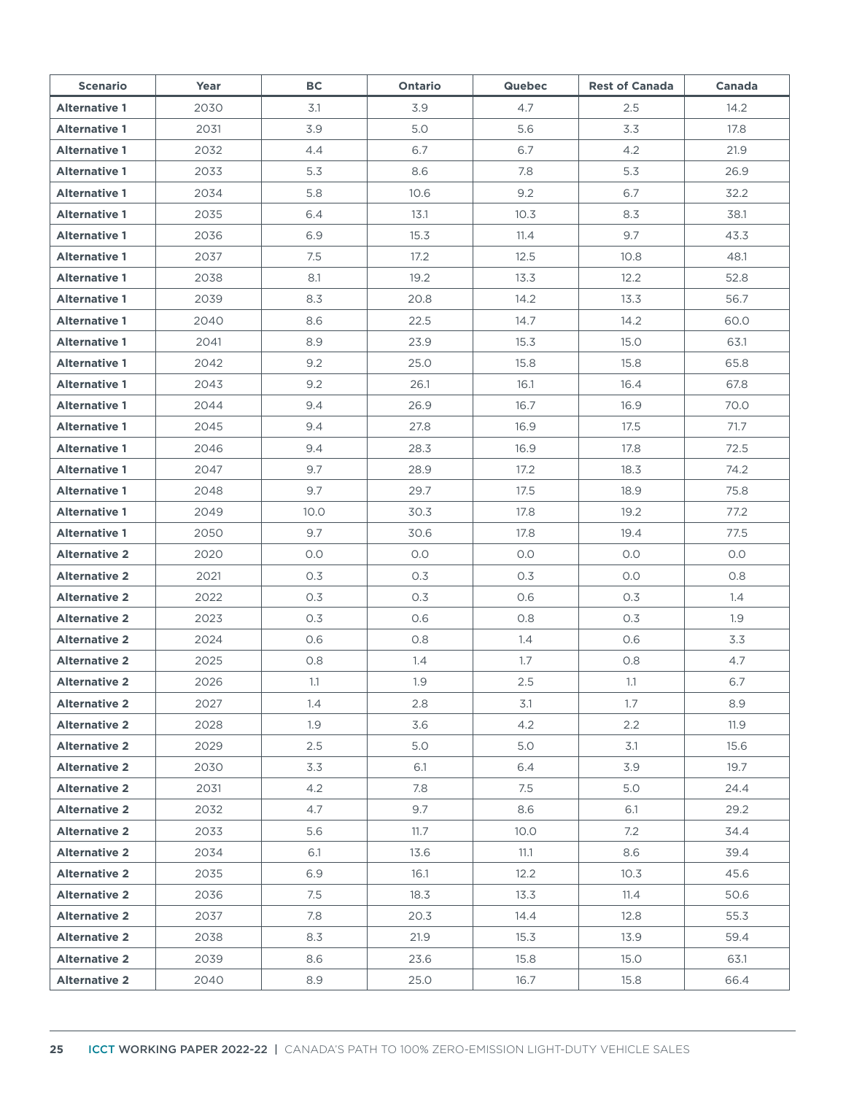| <b>Scenario</b>      | Year | <b>BC</b> | <b>Ontario</b> | <b>Quebec</b> | <b>Rest of Canada</b> | Canada |
|----------------------|------|-----------|----------------|---------------|-----------------------|--------|
| <b>Alternative 1</b> | 2030 | 3.1       | 3.9            | 4.7           | 2.5                   | 14.2   |
| <b>Alternative 1</b> | 2031 | 3.9       | 5.0            | 5.6           | 3.3                   | 17.8   |
| <b>Alternative 1</b> | 2032 | 4.4       | 6.7            | 6.7           | 4.2                   | 21.9   |
| <b>Alternative 1</b> | 2033 | 5.3       | 8.6            | 7.8           | 5.3                   | 26.9   |
| <b>Alternative 1</b> | 2034 | 5.8       | 10.6           | 9.2           | 6.7                   | 32.2   |
| <b>Alternative 1</b> | 2035 | 6.4       | 13.1           | 10.3          | 8.3                   | 38.1   |
| <b>Alternative 1</b> | 2036 | 6.9       | 15.3           | 11.4          | 9.7                   | 43.3   |
| <b>Alternative 1</b> | 2037 | 7.5       | 17.2           | 12.5          | 10.8                  | 48.1   |
| <b>Alternative 1</b> | 2038 | 8.1       | 19.2           | 13.3          | 12.2                  | 52.8   |
| <b>Alternative 1</b> | 2039 | 8.3       | 20.8           | 14.2          | 13.3                  | 56.7   |
| <b>Alternative 1</b> | 2040 | 8.6       | 22.5           | 14.7          | 14.2                  | 60.0   |
| <b>Alternative 1</b> | 2041 | 8.9       | 23.9           | 15.3          | 15.0                  | 63.1   |
| <b>Alternative 1</b> | 2042 | 9.2       | 25.0           | 15.8          | 15.8                  | 65.8   |
| <b>Alternative 1</b> | 2043 | 9.2       | 26.1           | 16.1          | 16.4                  | 67.8   |
| <b>Alternative 1</b> | 2044 | 9.4       | 26.9           | 16.7          | 16.9                  | 70.0   |
| <b>Alternative 1</b> | 2045 | 9.4       | 27.8           | 16.9          | 17.5                  | 71.7   |
| <b>Alternative 1</b> | 2046 | 9.4       | 28.3           | 16.9          | 17.8                  | 72.5   |
| <b>Alternative 1</b> | 2047 | 9.7       | 28.9           | 17.2          | 18.3                  | 74.2   |
| <b>Alternative 1</b> | 2048 | 9.7       | 29.7           | 17.5          | 18.9                  | 75.8   |
| <b>Alternative 1</b> | 2049 | 10.0      | 30.3           | 17.8          | 19.2                  | 77.2   |
| <b>Alternative 1</b> | 2050 | 9.7       | 30.6           | 17.8          | 19.4                  | 77.5   |
| <b>Alternative 2</b> | 2020 | O.O       | O.O            | O.O           | O.O                   | O.O    |
| <b>Alternative 2</b> | 2021 | 0.3       | 0.3            | 0.3           | O.O                   | 0.8    |
| <b>Alternative 2</b> | 2022 | 0.3       | 0.3            | 0.6           | 0.3                   | 1.4    |
| <b>Alternative 2</b> | 2023 | 0.3       | 0.6            | 0.8           | 0.3                   | 1.9    |
| <b>Alternative 2</b> | 2024 | 0.6       | 0.8            | 1.4           | 0.6                   | 3.3    |
| <b>Alternative 2</b> | 2025 | 0.8       | 1.4            | 1.7           | 0.8                   | 4.7    |
| <b>Alternative 2</b> | 2026 | 1.1       | 1.9            | 2.5           | 1.1                   | 6.7    |
| <b>Alternative 2</b> | 2027 | 1.4       | 2.8            | 3.1           | 1.7                   | 8.9    |
| <b>Alternative 2</b> | 2028 | 1.9       | 3.6            | 4.2           | 2.2                   | 11.9   |
| <b>Alternative 2</b> | 2029 | 2.5       | 5.0            | 5.0           | 3.1                   | 15.6   |
| <b>Alternative 2</b> | 2030 | 3.3       | 6.1            | 6.4           | 3.9                   | 19.7   |
| <b>Alternative 2</b> | 2031 | 4.2       | 7.8            | 7.5           | 5.0                   | 24.4   |
| <b>Alternative 2</b> | 2032 | 4.7       | 9.7            | 8.6           | 6.1                   | 29.2   |
| <b>Alternative 2</b> | 2033 | 5.6       | 11.7           | 10.0          | 7.2                   | 34.4   |
| <b>Alternative 2</b> | 2034 | 6.1       | 13.6           | 11.1          | 8.6                   | 39.4   |
| <b>Alternative 2</b> | 2035 | 6.9       | 16.1           | 12.2          | 10.3                  | 45.6   |
| <b>Alternative 2</b> | 2036 | 7.5       | 18.3           | 13.3          | 11.4                  | 50.6   |
| <b>Alternative 2</b> | 2037 | 7.8       | 20.3           | 14.4          | 12.8                  | 55.3   |
| <b>Alternative 2</b> | 2038 | 8.3       | 21.9           | 15.3          | 13.9                  | 59.4   |
| <b>Alternative 2</b> | 2039 | 8.6       | 23.6           | 15.8          | 15.0                  | 63.1   |
| <b>Alternative 2</b> | 2040 | 8.9       | 25.0           | 16.7          | 15.8                  | 66.4   |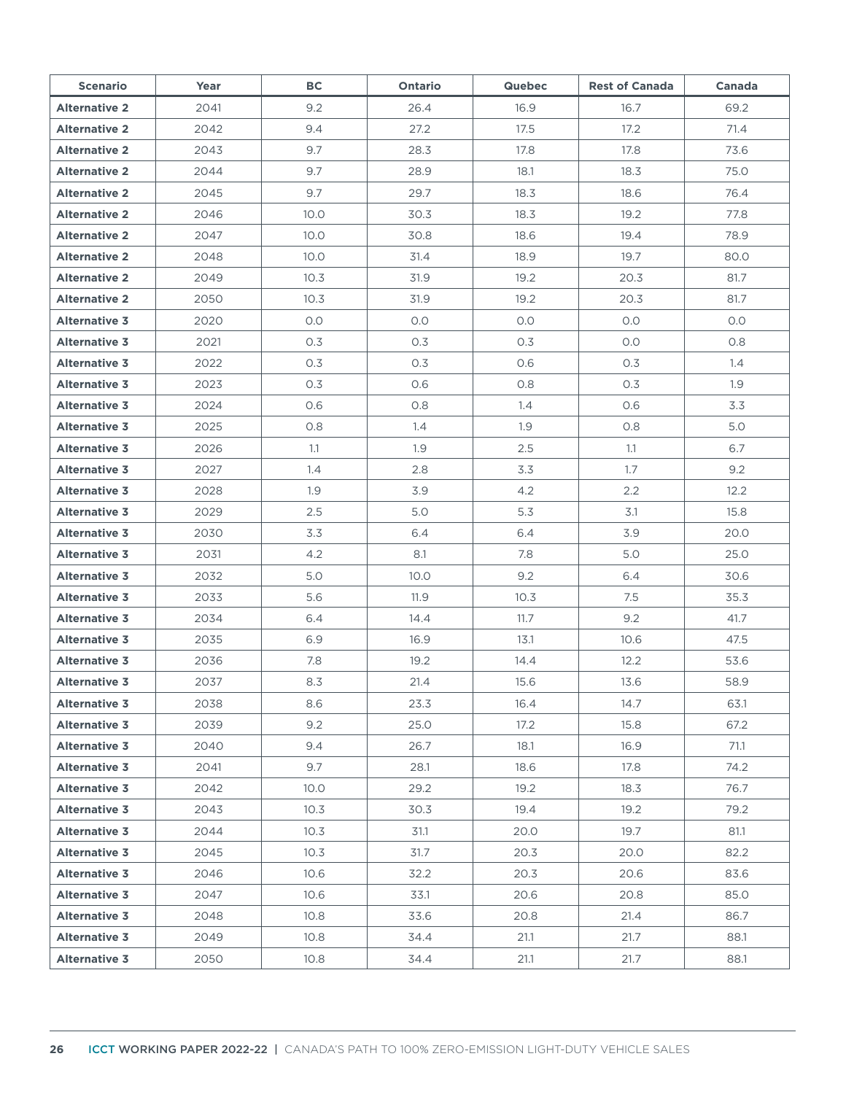| <b>Scenario</b>      | Year | BC   | <b>Ontario</b> | <b>Quebec</b> | <b>Rest of Canada</b> | Canada |
|----------------------|------|------|----------------|---------------|-----------------------|--------|
| <b>Alternative 2</b> | 2041 | 9.2  | 26.4           | 16.9          | 16.7                  | 69.2   |
| <b>Alternative 2</b> | 2042 | 9.4  | 27.2           | 17.5          | 17.2                  | 71.4   |
| <b>Alternative 2</b> | 2043 | 9.7  | 28.3           | 17.8          | 17.8                  | 73.6   |
| <b>Alternative 2</b> | 2044 | 9.7  | 28.9           | 18.1          | 18.3                  | 75.0   |
| <b>Alternative 2</b> | 2045 | 9.7  | 29.7           | 18.3          | 18.6                  | 76.4   |
| <b>Alternative 2</b> | 2046 | 10.0 | 30.3           | 18.3          | 19.2                  | 77.8   |
| <b>Alternative 2</b> | 2047 | 10.0 | 30.8           | 18.6          | 19.4                  | 78.9   |
| <b>Alternative 2</b> | 2048 | 10.0 | 31.4           | 18.9          | 19.7                  | 80.0   |
| <b>Alternative 2</b> | 2049 | 10.3 | 31.9           | 19.2          | 20.3                  | 81.7   |
| <b>Alternative 2</b> | 2050 | 10.3 | 31.9           | 19.2          | 20.3                  | 81.7   |
| <b>Alternative 3</b> | 2020 | 0.0  | O.O            | O.O           | 0.0                   | O.O    |
| <b>Alternative 3</b> | 2021 | 0.3  | 0.3            | 0.3           | 0.0                   | 0.8    |
| <b>Alternative 3</b> | 2022 | 0.3  | 0.3            | 0.6           | 0.3                   | 1.4    |
| <b>Alternative 3</b> | 2023 | 0.3  | 0.6            | 0.8           | 0.3                   | 1.9    |
| <b>Alternative 3</b> | 2024 | 0.6  | 0.8            | 1.4           | 0.6                   | 3.3    |
| <b>Alternative 3</b> | 2025 | 0.8  | 1.4            | 1.9           | 0.8                   | 5.0    |
| <b>Alternative 3</b> | 2026 | 1.1  | 1.9            | 2.5           | 1.1                   | 6.7    |
| <b>Alternative 3</b> | 2027 | 1.4  | 2.8            | 3.3           | 1.7                   | 9.2    |
| <b>Alternative 3</b> | 2028 | 1.9  | 3.9            | 4.2           | 2.2                   | 12.2   |
| <b>Alternative 3</b> | 2029 | 2.5  | 5.0            | 5.3           | 3.1                   | 15.8   |
| <b>Alternative 3</b> | 2030 | 3.3  | 6.4            | 6.4           | 3.9                   | 20.0   |
| <b>Alternative 3</b> | 2031 | 4.2  | 8.1            | 7.8           | 5.0                   | 25.0   |
| <b>Alternative 3</b> | 2032 | 5.0  | 10.0           | 9.2           | 6.4                   | 30.6   |
| <b>Alternative 3</b> | 2033 | 5.6  | 11.9           | 10.3          | 7.5                   | 35.3   |
| <b>Alternative 3</b> | 2034 | 6.4  | 14.4           | 11.7          | 9.2                   | 41.7   |
| <b>Alternative 3</b> | 2035 | 6.9  | 16.9           | 13.1          | 10.6                  | 47.5   |
| <b>Alternative 3</b> | 2036 | 7.8  | 19.2           | 14.4          | 12.2                  | 53.6   |
| <b>Alternative 3</b> | 2037 | 8.3  | 21.4           | 15.6          | 13.6                  | 58.9   |
| <b>Alternative 3</b> | 2038 | 8.6  | 23.3           | 16.4          | 14.7                  | 63.1   |
| <b>Alternative 3</b> | 2039 | 9.2  | 25.0           | 17.2          | 15.8                  | 67.2   |
| <b>Alternative 3</b> | 2040 | 9.4  | 26.7           | 18.1          | 16.9                  | 71.1   |
| <b>Alternative 3</b> | 2041 | 9.7  | 28.1           | 18.6          | 17.8                  | 74.2   |
| <b>Alternative 3</b> | 2042 | 10.0 | 29.2           | 19.2          | 18.3                  | 76.7   |
| <b>Alternative 3</b> | 2043 | 10.3 | 30.3           | 19.4          | 19.2                  | 79.2   |
| <b>Alternative 3</b> | 2044 | 10.3 | 31.1           | 20.0          | 19.7                  | 81.1   |
| <b>Alternative 3</b> | 2045 | 10.3 | 31.7           | 20.3          | 20.0                  | 82.2   |
| <b>Alternative 3</b> | 2046 | 10.6 | 32.2           | 20.3          | 20.6                  | 83.6   |
| <b>Alternative 3</b> | 2047 | 10.6 | 33.1           | 20.6          | 20.8                  | 85.0   |
| <b>Alternative 3</b> | 2048 | 10.8 | 33.6           | 20.8          | 21.4                  | 86.7   |
| <b>Alternative 3</b> | 2049 | 10.8 | 34.4           | 21.1          | 21.7                  | 88.1   |
| <b>Alternative 3</b> | 2050 | 10.8 | 34.4           | 21.1          | 21.7                  | 88.1   |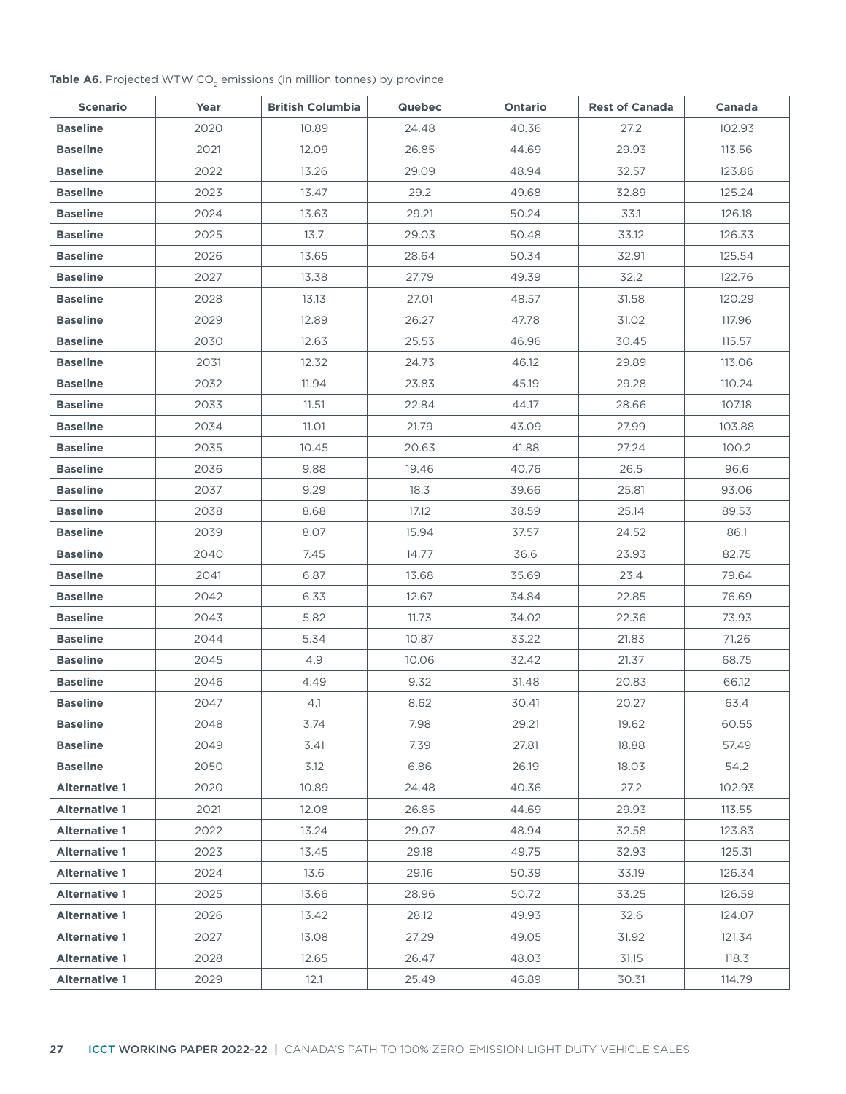#### Table A6. Projected WTW CO<sub>2</sub> emissions (in million tonnes) by province

| <b>Scenario</b>      | Year | <b>British Columbia</b> | <b>Quebec</b> | Ontario | <b>Rest of Canada</b> | Canada |
|----------------------|------|-------------------------|---------------|---------|-----------------------|--------|
| <b>Baseline</b>      | 2020 | 10.89                   | 24.48         | 40.36   | 27.2                  | 102.93 |
| <b>Baseline</b>      | 2021 | 12.09                   | 26.85         | 44.69   | 29.93                 | 113.56 |
| <b>Baseline</b>      | 2022 | 13.26                   | 29.09         | 48.94   | 32.57                 | 123.86 |
| <b>Baseline</b>      | 2023 | 13.47                   | 29.2          | 49.68   | 32.89                 | 125.24 |
| <b>Baseline</b>      | 2024 | 13.63                   | 29.21         | 50.24   | 33.1                  | 126.18 |
| <b>Baseline</b>      | 2025 | 13.7                    | 29.03         | 50.48   | 33.12                 | 126.33 |
| <b>Baseline</b>      | 2026 | 13.65                   | 28.64         | 50.34   | 32.91                 | 125.54 |
| <b>Baseline</b>      | 2027 | 13.38                   | 27.79         | 49.39   | 32.2                  | 122.76 |
| <b>Baseline</b>      | 2028 | 13.13                   | 27.01         | 48.57   | 31.58                 | 120.29 |
| <b>Baseline</b>      | 2029 | 12.89                   | 26.27         | 47.78   | 31.02                 | 117.96 |
| <b>Baseline</b>      | 2030 | 12.63                   | 25.53         | 46.96   | 30.45                 | 115.57 |
| <b>Baseline</b>      | 2031 | 12.32                   | 24.73         | 46.12   | 29.89                 | 113.06 |
| <b>Baseline</b>      | 2032 | 11.94                   | 23.83         | 45.19   | 29.28                 | 110.24 |
| <b>Baseline</b>      | 2033 | 11.51                   | 22.84         | 44.17   | 28.66                 | 107.18 |
| <b>Baseline</b>      | 2034 | 11.01                   | 21.79         | 43.09   | 27.99                 | 103.88 |
| <b>Baseline</b>      | 2035 | 10.45                   | 20.63         | 41.88   | 27.24                 | 100.2  |
| <b>Baseline</b>      | 2036 | 9.88                    | 19.46         | 40.76   | 26.5                  | 96.6   |
| <b>Baseline</b>      | 2037 | 9.29                    | 18.3          | 39.66   | 25.81                 | 93.06  |
| <b>Baseline</b>      | 2038 | 8.68                    | 17.12         | 38.59   | 25.14                 | 89.53  |
| <b>Baseline</b>      | 2039 | 8.07                    | 15.94         | 37.57   | 24.52                 | 86.1   |
| <b>Baseline</b>      | 2040 | 7.45                    | 14.77         | 36.6    | 23.93                 | 82.75  |
| <b>Baseline</b>      | 2041 | 6.87                    | 13.68         | 35.69   | 23.4                  | 79.64  |
| <b>Baseline</b>      | 2042 | 6.33                    | 12.67         | 34.84   | 22.85                 | 76.69  |
| <b>Baseline</b>      | 2043 | 5.82                    | 11.73         | 34.02   | 22.36                 | 73.93  |
| <b>Baseline</b>      | 2044 | 5.34                    | 10.87         | 33.22   | 21.83                 | 71.26  |
| <b>Baseline</b>      | 2045 | 4.9                     | 10.06         | 32.42   | 21.37                 | 68.75  |
| <b>Baseline</b>      | 2046 | 4.49                    | 9.32          | 31.48   | 20.83                 | 66.12  |
| <b>Baseline</b>      | 2047 | 4.1                     | 8.62          | 30.41   | 20.27                 | 63.4   |
| <b>Baseline</b>      | 2048 | 3.74                    | 7.98          | 29.21   | 19.62                 | 60.55  |
| <b>Baseline</b>      | 2049 | 3.41                    | 7.39          | 27.81   | 18.88                 | 57.49  |
| <b>Baseline</b>      | 2050 | 3.12                    | 6.86          | 26.19   | 18.03                 | 54.2   |
| <b>Alternative 1</b> | 2020 | 10.89                   | 24.48         | 40.36   | 27.2                  | 102.93 |
| <b>Alternative 1</b> | 2021 | 12.08                   | 26.85         | 44.69   | 29.93                 | 113.55 |
| <b>Alternative 1</b> | 2022 | 13.24                   | 29.07         | 48.94   | 32.58                 | 123.83 |
| <b>Alternative 1</b> | 2023 | 13.45                   | 29.18         | 49.75   | 32.93                 | 125.31 |
| <b>Alternative 1</b> | 2024 | 13.6                    | 29.16         | 50.39   | 33.19                 | 126.34 |
| <b>Alternative 1</b> | 2025 | 13.66                   | 28.96         | 50.72   | 33.25                 | 126.59 |
| <b>Alternative 1</b> | 2026 | 13.42                   | 28.12         | 49.93   | 32.6                  | 124.07 |
| <b>Alternative 1</b> | 2027 | 13.08                   | 27.29         | 49.05   | 31.92                 | 121.34 |
| <b>Alternative 1</b> | 2028 | 12.65                   | 26.47         | 48.03   | 31.15                 | 118.3  |
| <b>Alternative 1</b> | 2029 | 12.1                    | 25.49         | 46.89   | 30.31                 | 114.79 |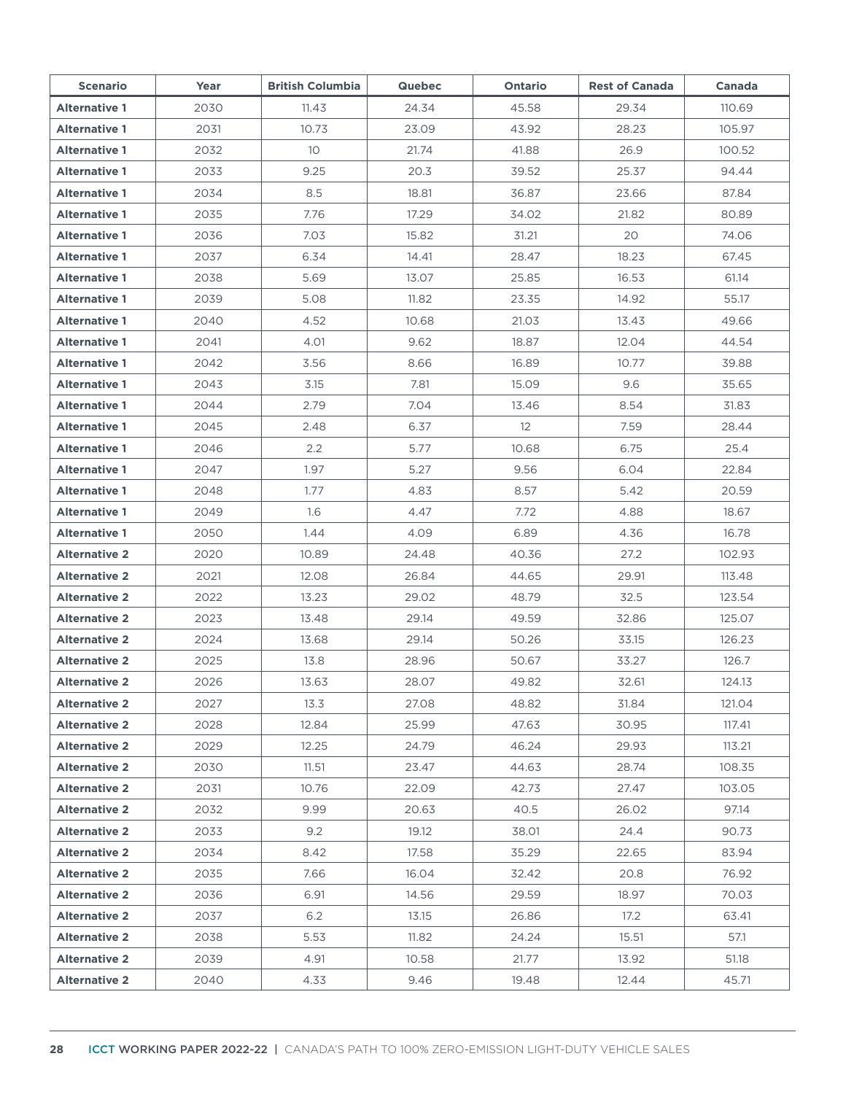| <b>Scenario</b>      | Year | <b>British Columbia</b> | <b>Quebec</b> | Ontario | <b>Rest of Canada</b> | Canada |
|----------------------|------|-------------------------|---------------|---------|-----------------------|--------|
| <b>Alternative 1</b> | 2030 | 11.43                   | 24.34         | 45.58   | 29.34                 | 110.69 |
| <b>Alternative 1</b> | 2031 | 10.73                   | 23.09         | 43.92   | 28.23                 | 105.97 |
| <b>Alternative 1</b> | 2032 | 10 <sup>°</sup>         | 21.74         | 41.88   | 26.9                  | 100.52 |
| <b>Alternative 1</b> | 2033 | 9.25                    | 20.3          | 39.52   | 25.37                 | 94.44  |
| <b>Alternative 1</b> | 2034 | 8.5                     | 18.81         | 36.87   | 23.66                 | 87.84  |
| <b>Alternative 1</b> | 2035 | 7.76                    | 17.29         | 34.02   | 21.82                 | 80.89  |
| <b>Alternative 1</b> | 2036 | 7.03                    | 15.82         | 31.21   | 20                    | 74.06  |
| <b>Alternative 1</b> | 2037 | 6.34                    | 14.41         | 28.47   | 18.23                 | 67.45  |
| <b>Alternative 1</b> | 2038 | 5.69                    | 13.07         | 25.85   | 16.53                 | 61.14  |
| <b>Alternative 1</b> | 2039 | 5.08                    | 11.82         | 23.35   | 14.92                 | 55.17  |
| <b>Alternative 1</b> | 2040 | 4.52                    | 10.68         | 21.03   | 13.43                 | 49.66  |
| <b>Alternative 1</b> | 2041 | 4.01                    | 9.62          | 18.87   | 12.04                 | 44.54  |
| <b>Alternative 1</b> | 2042 | 3.56                    | 8.66          | 16.89   | 10.77                 | 39.88  |
| <b>Alternative 1</b> | 2043 | 3.15                    | 7.81          | 15.09   | 9.6                   | 35.65  |
| <b>Alternative 1</b> | 2044 | 2.79                    | 7.04          | 13.46   | 8.54                  | 31.83  |
| <b>Alternative 1</b> | 2045 | 2.48                    | 6.37          | 12      | 7.59                  | 28.44  |
| <b>Alternative 1</b> | 2046 | $2.2\phantom{0}$        | 5.77          | 10.68   | 6.75                  | 25.4   |
| <b>Alternative 1</b> | 2047 | 1.97                    | 5.27          | 9.56    | 6.04                  | 22.84  |
| <b>Alternative 1</b> | 2048 | 1.77                    | 4.83          | 8.57    | 5.42                  | 20.59  |
| <b>Alternative 1</b> | 2049 | 1.6                     | 4.47          | 7.72    | 4.88                  | 18.67  |
| <b>Alternative 1</b> | 2050 | 1.44                    | 4.09          | 6.89    | 4.36                  | 16.78  |
| <b>Alternative 2</b> | 2020 | 10.89                   | 24.48         | 40.36   | 27.2                  | 102.93 |
| <b>Alternative 2</b> | 2021 | 12.08                   | 26.84         | 44.65   | 29.91                 | 113.48 |
| <b>Alternative 2</b> | 2022 | 13.23                   | 29.02         | 48.79   | 32.5                  | 123.54 |
| <b>Alternative 2</b> | 2023 | 13.48                   | 29.14         | 49.59   | 32.86                 | 125.07 |
| <b>Alternative 2</b> | 2024 | 13.68                   | 29.14         | 50.26   | 33.15                 | 126.23 |
| <b>Alternative 2</b> | 2025 | 13.8                    | 28.96         | 50.67   | 33.27                 | 126.7  |
| <b>Alternative 2</b> | 2026 | 13.63                   | 28.07         | 49.82   | 32.61                 | 124.13 |
| <b>Alternative 2</b> | 2027 | 13.3                    | 27.08         | 48.82   | 31.84                 | 121.04 |
| <b>Alternative 2</b> | 2028 | 12.84                   | 25.99         | 47.63   | 30.95                 | 117.41 |
| <b>Alternative 2</b> | 2029 | 12.25                   | 24.79         | 46.24   | 29.93                 | 113.21 |
| <b>Alternative 2</b> | 2030 | 11.51                   | 23.47         | 44.63   | 28.74                 | 108.35 |
| <b>Alternative 2</b> | 2031 | 10.76                   | 22.09         | 42.73   | 27.47                 | 103.05 |
| <b>Alternative 2</b> | 2032 | 9.99                    | 20.63         | 40.5    | 26.02                 | 97.14  |
| <b>Alternative 2</b> | 2033 | 9.2                     | 19.12         | 38.01   | 24.4                  | 90.73  |
| <b>Alternative 2</b> | 2034 | 8.42                    | 17.58         | 35.29   | 22.65                 | 83.94  |
| <b>Alternative 2</b> | 2035 | 7.66                    | 16.04         | 32.42   | 20.8                  | 76.92  |
| <b>Alternative 2</b> | 2036 | 6.91                    | 14.56         | 29.59   | 18.97                 | 70.03  |
| <b>Alternative 2</b> | 2037 | 6.2                     | 13.15         | 26.86   | 17.2                  | 63.41  |
| <b>Alternative 2</b> | 2038 | 5.53                    | 11.82         | 24.24   | 15.51                 | 57.1   |
| <b>Alternative 2</b> | 2039 | 4.91                    | 10.58         | 21.77   | 13.92                 | 51.18  |
| <b>Alternative 2</b> | 2040 | 4.33                    | 9.46          | 19.48   | 12.44                 | 45.71  |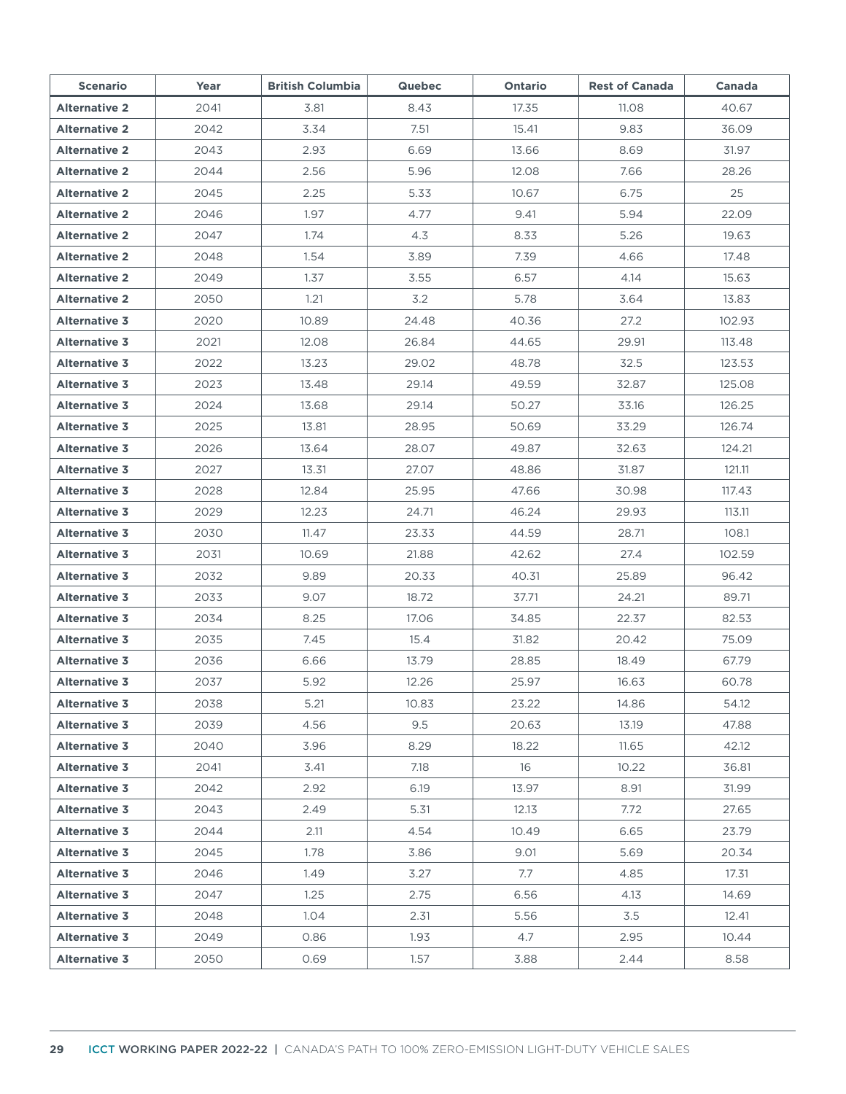| <b>Scenario</b>      | Year | <b>British Columbia</b> | <b>Quebec</b> | Ontario | <b>Rest of Canada</b> | Canada |
|----------------------|------|-------------------------|---------------|---------|-----------------------|--------|
| <b>Alternative 2</b> | 2041 | 3.81                    | 8.43          | 17.35   | 11.08                 | 40.67  |
| <b>Alternative 2</b> | 2042 | 3.34                    | 7.51          | 15.41   | 9.83                  | 36.09  |
| <b>Alternative 2</b> | 2043 | 2.93                    | 6.69          | 13.66   | 8.69                  | 31.97  |
| <b>Alternative 2</b> | 2044 | 2.56                    | 5.96          | 12.08   | 7.66                  | 28.26  |
| <b>Alternative 2</b> | 2045 | 2.25                    | 5.33          | 10.67   | 6.75                  | 25     |
| <b>Alternative 2</b> | 2046 | 1.97                    | 4.77          | 9.41    | 5.94                  | 22.09  |
| <b>Alternative 2</b> | 2047 | 1.74                    | 4.3           | 8.33    | 5.26                  | 19.63  |
| <b>Alternative 2</b> | 2048 | 1.54                    | 3.89          | 7.39    | 4.66                  | 17.48  |
| <b>Alternative 2</b> | 2049 | 1.37                    | 3.55          | 6.57    | 4.14                  | 15.63  |
| <b>Alternative 2</b> | 2050 | 1.21                    | 3.2           | 5.78    | 3.64                  | 13.83  |
| <b>Alternative 3</b> | 2020 | 10.89                   | 24.48         | 40.36   | 27.2                  | 102.93 |
| <b>Alternative 3</b> | 2021 | 12.08                   | 26.84         | 44.65   | 29.91                 | 113.48 |
| <b>Alternative 3</b> | 2022 | 13.23                   | 29.02         | 48.78   | 32.5                  | 123.53 |
| <b>Alternative 3</b> | 2023 | 13.48                   | 29.14         | 49.59   | 32.87                 | 125.08 |
| <b>Alternative 3</b> | 2024 | 13.68                   | 29.14         | 50.27   | 33.16                 | 126.25 |
| <b>Alternative 3</b> | 2025 | 13.81                   | 28.95         | 50.69   | 33.29                 | 126.74 |
| <b>Alternative 3</b> | 2026 | 13.64                   | 28.07         | 49.87   | 32.63                 | 124.21 |
| <b>Alternative 3</b> | 2027 | 13.31                   | 27.07         | 48.86   | 31.87                 | 121.11 |
| <b>Alternative 3</b> | 2028 | 12.84                   | 25.95         | 47.66   | 30.98                 | 117.43 |
| <b>Alternative 3</b> | 2029 | 12.23                   | 24.71         | 46.24   | 29.93                 | 113.11 |
| <b>Alternative 3</b> | 2030 | 11.47                   | 23.33         | 44.59   | 28.71                 | 108.1  |
| <b>Alternative 3</b> | 2031 | 10.69                   | 21.88         | 42.62   | 27.4                  | 102.59 |
| <b>Alternative 3</b> | 2032 | 9.89                    | 20.33         | 40.31   | 25.89                 | 96.42  |
| <b>Alternative 3</b> | 2033 | 9.07                    | 18.72         | 37.71   | 24.21                 | 89.71  |
| <b>Alternative 3</b> | 2034 | 8.25                    | 17.06         | 34.85   | 22.37                 | 82.53  |
| <b>Alternative 3</b> | 2035 | 7.45                    | 15.4          | 31.82   | 20.42                 | 75.09  |
| <b>Alternative 3</b> | 2036 | 6.66                    | 13.79         | 28.85   | 18.49                 | 67.79  |
| <b>Alternative 3</b> | 2037 | 5.92                    | 12.26         | 25.97   | 16.63                 | 60.78  |
| <b>Alternative 3</b> | 2038 | 5.21                    | 10.83         | 23.22   | 14.86                 | 54.12  |
| <b>Alternative 3</b> | 2039 | 4.56                    | 9.5           | 20.63   | 13.19                 | 47.88  |
| <b>Alternative 3</b> | 2040 | 3.96                    | 8.29          | 18.22   | 11.65                 | 42.12  |
| <b>Alternative 3</b> | 2041 | 3.41                    | 7.18          | 16      | 10.22                 | 36.81  |
| <b>Alternative 3</b> | 2042 | 2.92                    | 6.19          | 13.97   | 8.91                  | 31.99  |
| <b>Alternative 3</b> | 2043 | 2.49                    | 5.31          | 12.13   | 7.72                  | 27.65  |
| <b>Alternative 3</b> | 2044 | 2.11                    | 4.54          | 10.49   | 6.65                  | 23.79  |
| <b>Alternative 3</b> | 2045 | 1.78                    | 3.86          | 9.01    | 5.69                  | 20.34  |
| <b>Alternative 3</b> | 2046 | 1.49                    | 3.27          | 7.7     | 4.85                  | 17.31  |
| <b>Alternative 3</b> | 2047 | 1.25                    | 2.75          | 6.56    | 4.13                  | 14.69  |
| <b>Alternative 3</b> | 2048 | 1.04                    | 2.31          | 5.56    | 3.5                   | 12.41  |
| <b>Alternative 3</b> | 2049 | 0.86                    | 1.93          | 4.7     | 2.95                  | 10.44  |
| <b>Alternative 3</b> | 2050 | 0.69                    | 1.57          | 3.88    | 2.44                  | 8.58   |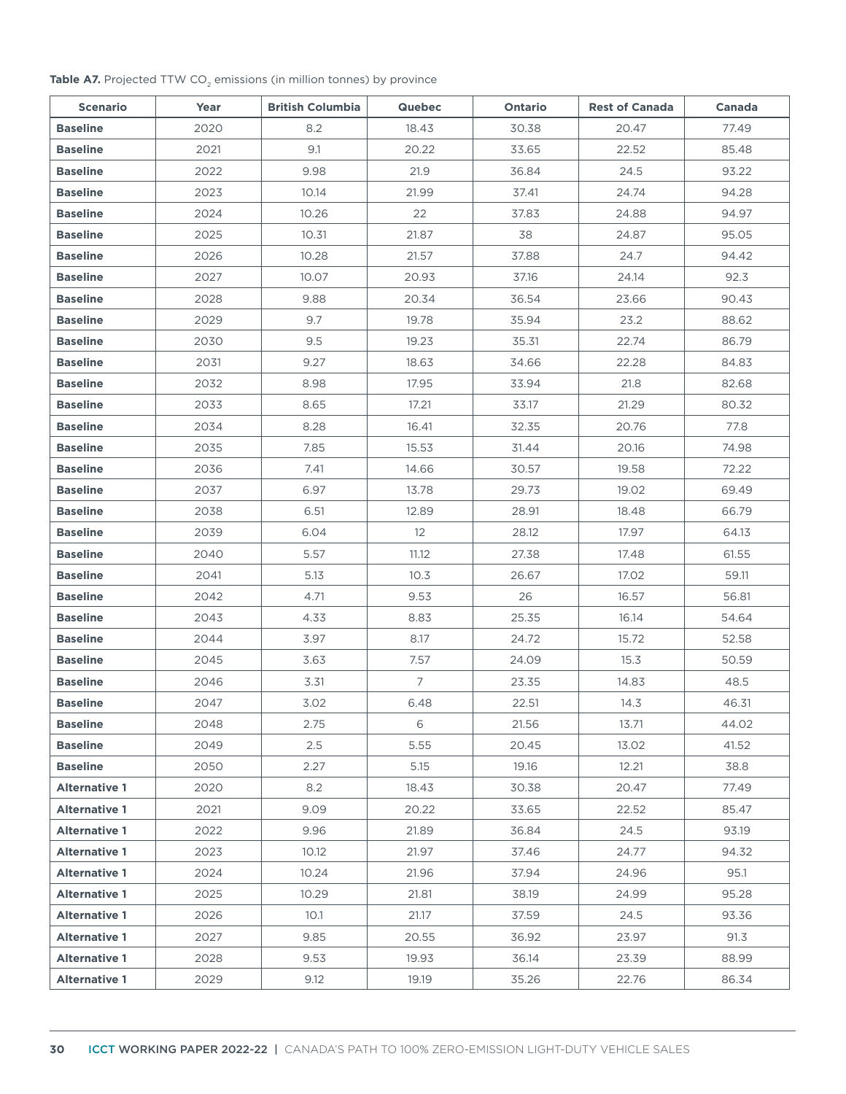#### **Table A7.** Projected TTW CO<sub>2</sub> emissions (in million tonnes) by province

| <b>Scenario</b>      | Year | <b>British Columbia</b> | <b>Quebec</b>     | Ontario | <b>Rest of Canada</b> | Canada |
|----------------------|------|-------------------------|-------------------|---------|-----------------------|--------|
| <b>Baseline</b>      | 2020 | 8.2                     | 18.43             | 30.38   | 20.47                 | 77.49  |
| <b>Baseline</b>      | 2021 | 9.1                     | 20.22             | 33.65   | 22.52                 | 85.48  |
| <b>Baseline</b>      | 2022 | 9.98                    | 21.9              | 36.84   | 24.5                  | 93.22  |
| <b>Baseline</b>      | 2023 | 10.14                   | 21.99             | 37.41   | 24.74                 | 94.28  |
| <b>Baseline</b>      | 2024 | 10.26                   | 22                | 37.83   | 24.88                 | 94.97  |
| <b>Baseline</b>      | 2025 | 10.31                   | 21.87             | 38      | 24.87                 | 95.05  |
| <b>Baseline</b>      | 2026 | 10.28                   | 21.57             | 37.88   | 24.7                  | 94.42  |
| <b>Baseline</b>      | 2027 | 10.07                   | 20.93             | 37.16   | 24.14                 | 92.3   |
| <b>Baseline</b>      | 2028 | 9.88                    | 20.34             | 36.54   | 23.66                 | 90.43  |
| <b>Baseline</b>      | 2029 | 9.7                     | 19.78             | 35.94   | 23.2                  | 88.62  |
| <b>Baseline</b>      | 2030 | 9.5                     | 19.23             | 35.31   | 22.74                 | 86.79  |
| <b>Baseline</b>      | 2031 | 9.27                    | 18.63             | 34.66   | 22.28                 | 84.83  |
| <b>Baseline</b>      | 2032 | 8.98                    | 17.95             | 33.94   | 21.8                  | 82.68  |
| <b>Baseline</b>      | 2033 | 8.65                    | 17.21             | 33.17   | 21.29                 | 80.32  |
| <b>Baseline</b>      | 2034 | 8.28                    | 16.41             | 32.35   | 20.76                 | 77.8   |
| <b>Baseline</b>      | 2035 | 7.85                    | 15.53             | 31.44   | 20.16                 | 74.98  |
| <b>Baseline</b>      | 2036 | 7.41                    | 14.66             | 30.57   | 19.58                 | 72.22  |
| <b>Baseline</b>      | 2037 | 6.97                    | 13.78             | 29.73   | 19.02                 | 69.49  |
| <b>Baseline</b>      | 2038 | 6.51                    | 12.89             | 28.91   | 18.48                 | 66.79  |
| <b>Baseline</b>      | 2039 | 6.04                    | $12 \overline{ }$ | 28.12   | 17.97                 | 64.13  |
| <b>Baseline</b>      | 2040 | 5.57                    | 11.12             | 27.38   | 17.48                 | 61.55  |
| <b>Baseline</b>      | 2041 | 5.13                    | 10.3              | 26.67   | 17.02                 | 59.11  |
| <b>Baseline</b>      | 2042 | 4.71                    | 9.53              | 26      | 16.57                 | 56.81  |
| <b>Baseline</b>      | 2043 | 4.33                    | 8.83              | 25.35   | 16.14                 | 54.64  |
| <b>Baseline</b>      | 2044 | 3.97                    | 8.17              | 24.72   | 15.72                 | 52.58  |
| <b>Baseline</b>      | 2045 | 3.63                    | 7.57              | 24.09   | 15.3                  | 50.59  |
| <b>Baseline</b>      | 2046 | 3.31                    | $7\overline{ }$   | 23.35   | 14.83                 | 48.5   |
| <b>Baseline</b>      | 2047 | 3.02                    | 6.48              | 22.51   | 14.3                  | 46.31  |
| <b>Baseline</b>      | 2048 | 2.75                    | 6                 | 21.56   | 13.71                 | 44.02  |
| <b>Baseline</b>      | 2049 | 2.5                     | 5.55              | 20.45   | 13.02                 | 41.52  |
| <b>Baseline</b>      | 2050 | 2.27                    | 5.15              | 19.16   | 12.21                 | 38.8   |
| <b>Alternative 1</b> | 2020 | 8.2                     | 18.43             | 30.38   | 20.47                 | 77.49  |
| <b>Alternative 1</b> | 2021 | 9.09                    | 20.22             | 33.65   | 22.52                 | 85.47  |
| <b>Alternative 1</b> | 2022 | 9.96                    | 21.89             | 36.84   | 24.5                  | 93.19  |
| <b>Alternative 1</b> | 2023 | 10.12                   | 21.97             | 37.46   | 24.77                 | 94.32  |
| <b>Alternative 1</b> | 2024 | 10.24                   | 21.96             | 37.94   | 24.96                 | 95.1   |
| <b>Alternative 1</b> | 2025 | 10.29                   | 21.81             | 38.19   | 24.99                 | 95.28  |
| <b>Alternative 1</b> | 2026 | 10.1                    | 21.17             | 37.59   | 24.5                  | 93.36  |
| <b>Alternative 1</b> | 2027 | 9.85                    | 20.55             | 36.92   | 23.97                 | 91.3   |
| <b>Alternative 1</b> | 2028 | 9.53                    | 19.93             | 36.14   | 23.39                 | 88.99  |
| <b>Alternative 1</b> | 2029 | 9.12                    | 19.19             | 35.26   | 22.76                 | 86.34  |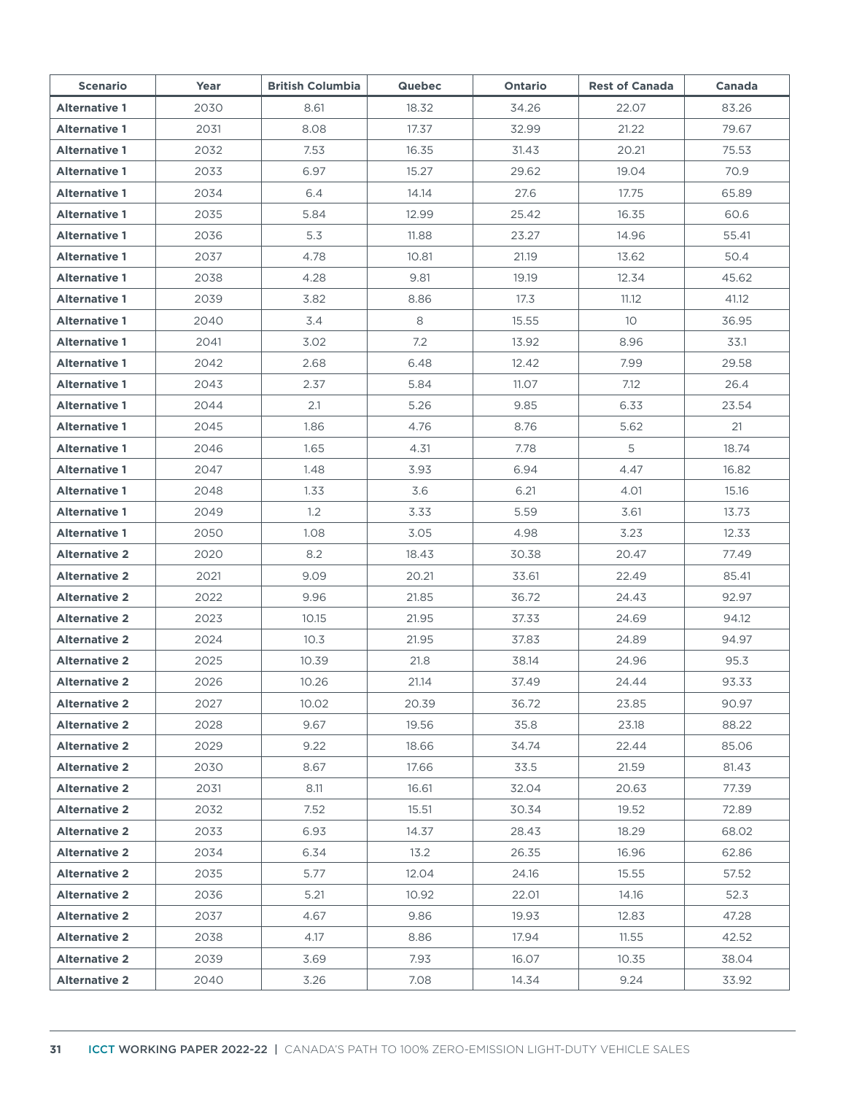| <b>Scenario</b>      | Year | <b>British Columbia</b> | <b>Quebec</b> | <b>Ontario</b> | <b>Rest of Canada</b> | Canada |
|----------------------|------|-------------------------|---------------|----------------|-----------------------|--------|
| <b>Alternative 1</b> | 2030 | 8.61                    | 18.32         | 34.26          | 22.07                 | 83.26  |
| <b>Alternative 1</b> | 2031 | 8.08                    | 17.37         | 32.99          | 21.22                 | 79.67  |
| <b>Alternative 1</b> | 2032 | 7.53                    | 16.35         | 31.43          | 20.21                 | 75.53  |
| <b>Alternative 1</b> | 2033 | 6.97                    | 15.27         | 29.62          | 19.04                 | 70.9   |
| <b>Alternative 1</b> | 2034 | 6.4                     | 14.14         | 27.6           | 17.75                 | 65.89  |
| <b>Alternative 1</b> | 2035 | 5.84                    | 12.99         | 25.42          | 16.35                 | 60.6   |
| <b>Alternative 1</b> | 2036 | 5.3                     | 11.88         | 23.27          | 14.96                 | 55.41  |
| <b>Alternative 1</b> | 2037 | 4.78                    | 10.81         | 21.19          | 13.62                 | 50.4   |
| <b>Alternative 1</b> | 2038 | 4.28                    | 9.81          | 19.19          | 12.34                 | 45.62  |
| <b>Alternative 1</b> | 2039 | 3.82                    | 8.86          | 17.3           | 11.12                 | 41.12  |
| <b>Alternative 1</b> | 2040 | 3.4                     | 8             | 15.55          | 10                    | 36.95  |
| <b>Alternative 1</b> | 2041 | 3.02                    | 7.2           | 13.92          | 8.96                  | 33.1   |
| <b>Alternative 1</b> | 2042 | 2.68                    | 6.48          | 12.42          | 7.99                  | 29.58  |
| <b>Alternative 1</b> | 2043 | 2.37                    | 5.84          | 11.07          | 7.12                  | 26.4   |
| <b>Alternative 1</b> | 2044 | 2.1                     | 5.26          | 9.85           | 6.33                  | 23.54  |
| <b>Alternative 1</b> | 2045 | 1.86                    | 4.76          | 8.76           | 5.62                  | 21     |
| <b>Alternative 1</b> | 2046 | 1.65                    | 4.31          | 7.78           | 5                     | 18.74  |
| <b>Alternative 1</b> | 2047 | 1.48                    | 3.93          | 6.94           | 4.47                  | 16.82  |
| <b>Alternative 1</b> | 2048 | 1.33                    | 3.6           | 6.21           | 4.01                  | 15.16  |
| <b>Alternative 1</b> | 2049 | 1.2                     | 3.33          | 5.59           | 3.61                  | 13.73  |
| <b>Alternative 1</b> | 2050 | 1.08                    | 3.05          | 4.98           | 3.23                  | 12.33  |
| <b>Alternative 2</b> | 2020 | 8.2                     | 18.43         | 30.38          | 20.47                 | 77.49  |
| <b>Alternative 2</b> | 2021 | 9.09                    | 20.21         | 33.61          | 22.49                 | 85.41  |
| <b>Alternative 2</b> | 2022 | 9.96                    | 21.85         | 36.72          | 24.43                 | 92.97  |
| <b>Alternative 2</b> | 2023 | 10.15                   | 21.95         | 37.33          | 24.69                 | 94.12  |
| <b>Alternative 2</b> | 2024 | 10.3                    | 21.95         | 37.83          | 24.89                 | 94.97  |
| <b>Alternative 2</b> | 2025 | 10.39                   | 21.8          | 38.14          | 24.96                 | 95.3   |
| <b>Alternative 2</b> | 2026 | 10.26                   | 21.14         | 37.49          | 24.44                 | 93.33  |
| <b>Alternative 2</b> | 2027 | 10.02                   | 20.39         | 36.72          | 23.85                 | 90.97  |
| <b>Alternative 2</b> | 2028 | 9.67                    | 19.56         | 35.8           | 23.18                 | 88.22  |
| <b>Alternative 2</b> | 2029 | 9.22                    | 18.66         | 34.74          | 22.44                 | 85.06  |
| <b>Alternative 2</b> | 2030 | 8.67                    | 17.66         | 33.5           | 21.59                 | 81.43  |
| <b>Alternative 2</b> | 2031 | 8.11                    | 16.61         | 32.04          | 20.63                 | 77.39  |
| <b>Alternative 2</b> | 2032 | 7.52                    | 15.51         | 30.34          | 19.52                 | 72.89  |
| <b>Alternative 2</b> | 2033 | 6.93                    | 14.37         | 28.43          | 18.29                 | 68.02  |
| <b>Alternative 2</b> | 2034 | 6.34                    | 13.2          | 26.35          | 16.96                 | 62.86  |
| <b>Alternative 2</b> | 2035 | 5.77                    | 12.04         | 24.16          | 15.55                 | 57.52  |
| <b>Alternative 2</b> | 2036 | 5.21                    | 10.92         | 22.01          | 14.16                 | 52.3   |
| <b>Alternative 2</b> | 2037 | 4.67                    | 9.86          | 19.93          | 12.83                 | 47.28  |
| <b>Alternative 2</b> | 2038 | 4.17                    | 8.86          | 17.94          | 11.55                 | 42.52  |
| <b>Alternative 2</b> | 2039 | 3.69                    | 7.93          | 16.07          | 10.35                 | 38.04  |
| <b>Alternative 2</b> | 2040 | 3.26                    | 7.08          | 14.34          | 9.24                  | 33.92  |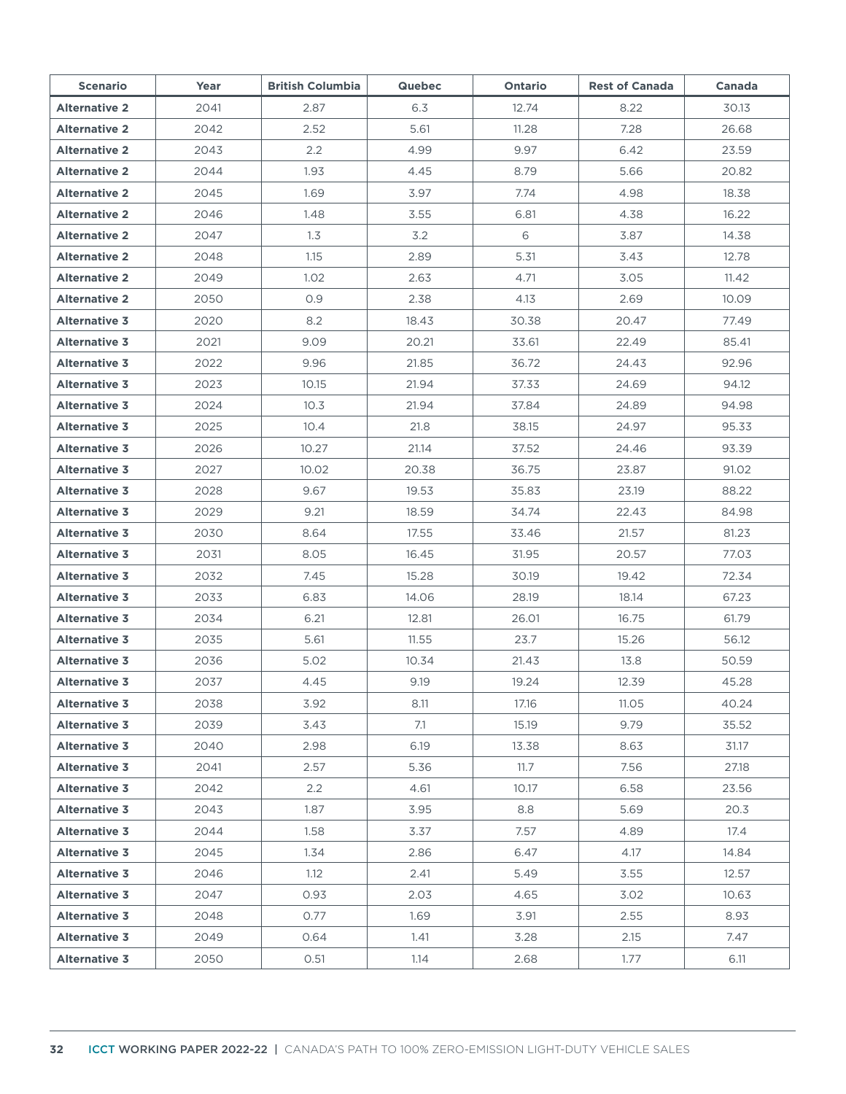| <b>Scenario</b>      | Year | <b>British Columbia</b> | <b>Quebec</b> | Ontario | <b>Rest of Canada</b> | Canada |
|----------------------|------|-------------------------|---------------|---------|-----------------------|--------|
| <b>Alternative 2</b> | 2041 | 2.87                    | 6.3           | 12.74   | 8.22                  | 30.13  |
| <b>Alternative 2</b> | 2042 | 2.52                    | 5.61          | 11.28   | 7.28                  | 26.68  |
| <b>Alternative 2</b> | 2043 | 2.2                     | 4.99          | 9.97    | 6.42                  | 23.59  |
| <b>Alternative 2</b> | 2044 | 1.93                    | 4.45          | 8.79    | 5.66                  | 20.82  |
| <b>Alternative 2</b> | 2045 | 1.69                    | 3.97          | 7.74    | 4.98                  | 18.38  |
| <b>Alternative 2</b> | 2046 | 1.48                    | 3.55          | 6.81    | 4.38                  | 16.22  |
| <b>Alternative 2</b> | 2047 | 1.3                     | 3.2           | 6       | 3.87                  | 14.38  |
| <b>Alternative 2</b> | 2048 | 1.15                    | 2.89          | 5.31    | 3.43                  | 12.78  |
| <b>Alternative 2</b> | 2049 | 1.02                    | 2.63          | 4.71    | 3.05                  | 11.42  |
| <b>Alternative 2</b> | 2050 | 0.9                     | 2.38          | 4.13    | 2.69                  | 10.09  |
| <b>Alternative 3</b> | 2020 | 8.2                     | 18.43         | 30.38   | 20.47                 | 77.49  |
| <b>Alternative 3</b> | 2021 | 9.09                    | 20.21         | 33.61   | 22.49                 | 85.41  |
| <b>Alternative 3</b> | 2022 | 9.96                    | 21.85         | 36.72   | 24.43                 | 92.96  |
| <b>Alternative 3</b> | 2023 | 10.15                   | 21.94         | 37.33   | 24.69                 | 94.12  |
| <b>Alternative 3</b> | 2024 | 10.3                    | 21.94         | 37.84   | 24.89                 | 94.98  |
| <b>Alternative 3</b> | 2025 | 10.4                    | 21.8          | 38.15   | 24.97                 | 95.33  |
| <b>Alternative 3</b> | 2026 | 10.27                   | 21.14         | 37.52   | 24.46                 | 93.39  |
| <b>Alternative 3</b> | 2027 | 10.02                   | 20.38         | 36.75   | 23.87                 | 91.02  |
| <b>Alternative 3</b> | 2028 | 9.67                    | 19.53         | 35.83   | 23.19                 | 88.22  |
| <b>Alternative 3</b> | 2029 | 9.21                    | 18.59         | 34.74   | 22.43                 | 84.98  |
| <b>Alternative 3</b> | 2030 | 8.64                    | 17.55         | 33.46   | 21.57                 | 81.23  |
| <b>Alternative 3</b> | 2031 | 8.05                    | 16.45         | 31.95   | 20.57                 | 77.03  |
| <b>Alternative 3</b> | 2032 | 7.45                    | 15.28         | 30.19   | 19.42                 | 72.34  |
| <b>Alternative 3</b> | 2033 | 6.83                    | 14.06         | 28.19   | 18.14                 | 67.23  |
| <b>Alternative 3</b> | 2034 | 6.21                    | 12.81         | 26.01   | 16.75                 | 61.79  |
| <b>Alternative 3</b> | 2035 | 5.61                    | 11.55         | 23.7    | 15.26                 | 56.12  |
| <b>Alternative 3</b> | 2036 | 5.02                    | 10.34         | 21.43   | 13.8                  | 50.59  |
| <b>Alternative 3</b> | 2037 | 4.45                    | 9.19          | 19.24   | 12.39                 | 45.28  |
| <b>Alternative 3</b> | 2038 | 3.92                    | 8.11          | 17.16   | 11.05                 | 40.24  |
| <b>Alternative 3</b> | 2039 | 3.43                    | 7.1           | 15.19   | 9.79                  | 35.52  |
| <b>Alternative 3</b> | 2040 | 2.98                    | 6.19          | 13.38   | 8.63                  | 31.17  |
| <b>Alternative 3</b> | 2041 | 2.57                    | 5.36          | 11.7    | 7.56                  | 27.18  |
| <b>Alternative 3</b> | 2042 | 2.2                     | 4.61          | 10.17   | 6.58                  | 23.56  |
| <b>Alternative 3</b> | 2043 | 1.87                    | 3.95          | 8.8     | 5.69                  | 20.3   |
| <b>Alternative 3</b> | 2044 | 1.58                    | 3.37          | 7.57    | 4.89                  | 17.4   |
| <b>Alternative 3</b> | 2045 | 1.34                    | 2.86          | 6.47    | 4.17                  | 14.84  |
| <b>Alternative 3</b> | 2046 | 1.12                    | 2.41          | 5.49    | 3.55                  | 12.57  |
| <b>Alternative 3</b> | 2047 | 0.93                    | 2.03          | 4.65    | 3.02                  | 10.63  |
| <b>Alternative 3</b> | 2048 | 0.77                    | 1.69          | 3.91    | 2.55                  | 8.93   |
| <b>Alternative 3</b> | 2049 | 0.64                    | 1.41          | 3.28    | 2.15                  | 7.47   |
| <b>Alternative 3</b> | 2050 | 0.51                    | 1.14          | 2.68    | 1.77                  | 6.11   |